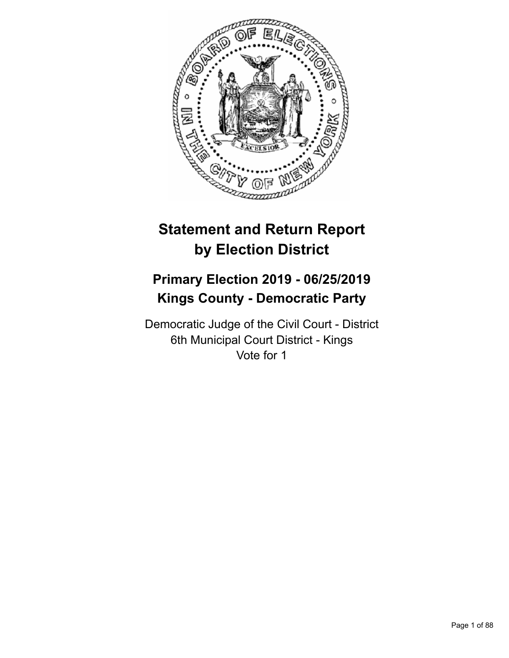

# **Statement and Return Report by Election District**

# **Primary Election 2019 - 06/25/2019 Kings County - Democratic Party**

Democratic Judge of the Civil Court - District 6th Municipal Court District - Kings Vote for 1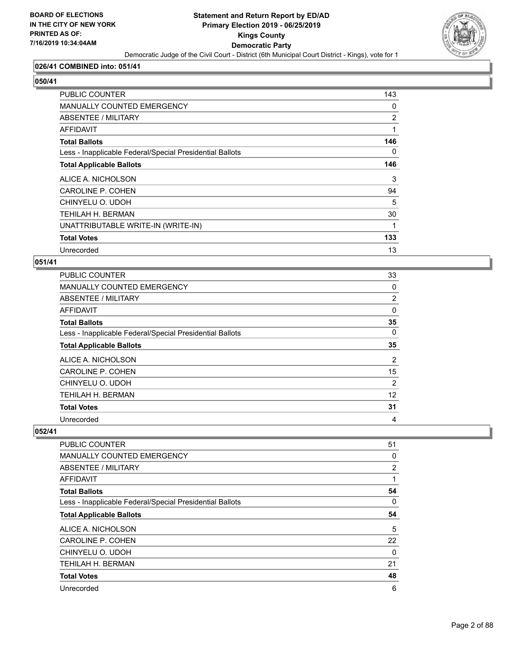

#### **026/41 COMBINED into: 051/41**

# **050/41**

| <b>PUBLIC COUNTER</b>                                    | 143            |
|----------------------------------------------------------|----------------|
| MANUALLY COUNTED EMERGENCY                               | 0              |
| ABSENTEE / MILITARY                                      | $\overline{2}$ |
| AFFIDAVIT                                                | 1              |
| <b>Total Ballots</b>                                     | 146            |
| Less - Inapplicable Federal/Special Presidential Ballots | $\Omega$       |
| <b>Total Applicable Ballots</b>                          | 146            |
| ALICE A. NICHOLSON                                       | 3              |
| CAROLINE P. COHEN                                        | 94             |
| CHINYELU O. UDOH                                         | 5              |
| <b>TEHILAH H. BERMAN</b>                                 | 30             |
| UNATTRIBUTABLE WRITE-IN (WRITE-IN)                       | 1              |
| <b>Total Votes</b>                                       | 133            |
| Unrecorded                                               | 13             |

#### **051/41**

| PUBLIC COUNTER                                           | 33             |
|----------------------------------------------------------|----------------|
| <b>MANUALLY COUNTED EMERGENCY</b>                        | 0              |
| ABSENTEE / MILITARY                                      | $\overline{2}$ |
| <b>AFFIDAVIT</b>                                         | 0              |
| <b>Total Ballots</b>                                     | 35             |
| Less - Inapplicable Federal/Special Presidential Ballots | 0              |
| <b>Total Applicable Ballots</b>                          | 35             |
| ALICE A. NICHOLSON                                       | $\overline{2}$ |
| CAROLINE P. COHEN                                        | 15             |
| CHINYELU O. UDOH                                         | $\overline{2}$ |
| TEHILAH H. BERMAN                                        | 12             |
| <b>Total Votes</b>                                       | 31             |
| Unrecorded                                               | 4              |

| <b>PUBLIC COUNTER</b>                                    | 51 |
|----------------------------------------------------------|----|
| <b>MANUALLY COUNTED EMERGENCY</b>                        | 0  |
| ABSENTEE / MILITARY                                      | 2  |
| <b>AFFIDAVIT</b>                                         | 1  |
| <b>Total Ballots</b>                                     | 54 |
| Less - Inapplicable Federal/Special Presidential Ballots | 0  |
| <b>Total Applicable Ballots</b>                          | 54 |
| ALICE A. NICHOLSON                                       | 5  |
| CAROLINE P. COHEN                                        | 22 |
| CHINYELU O. UDOH                                         | 0  |
| TEHILAH H. BERMAN                                        | 21 |
| <b>Total Votes</b>                                       | 48 |
| Unrecorded                                               | 6  |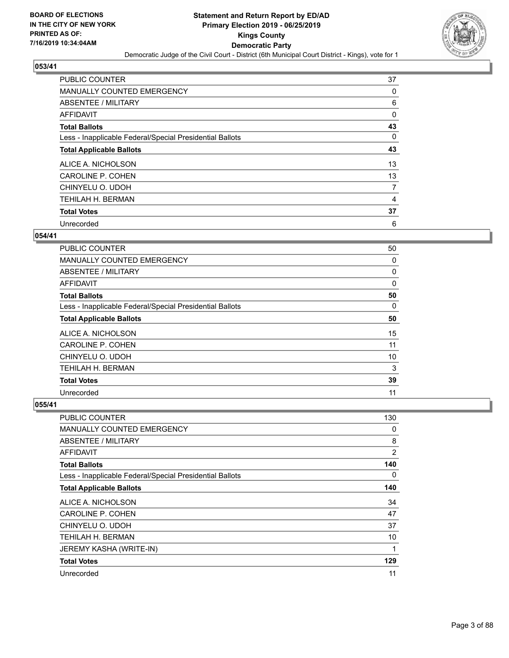

| <b>PUBLIC COUNTER</b>                                    | 37             |
|----------------------------------------------------------|----------------|
| <b>MANUALLY COUNTED EMERGENCY</b>                        | 0              |
| ABSENTEE / MILITARY                                      | 6              |
| <b>AFFIDAVIT</b>                                         | 0              |
| <b>Total Ballots</b>                                     | 43             |
| Less - Inapplicable Federal/Special Presidential Ballots | 0              |
| <b>Total Applicable Ballots</b>                          | 43             |
| ALICE A. NICHOLSON                                       | 13             |
| CAROLINE P. COHEN                                        | 13             |
| CHINYELU O. UDOH                                         | $\overline{7}$ |
| <b>TEHILAH H. BERMAN</b>                                 | 4              |
| <b>Total Votes</b>                                       | 37             |
| Unrecorded                                               | 6              |

#### **054/41**

| <b>PUBLIC COUNTER</b>                                    | 50 |
|----------------------------------------------------------|----|
| <b>MANUALLY COUNTED EMERGENCY</b>                        | 0  |
| ABSENTEE / MILITARY                                      | 0  |
| <b>AFFIDAVIT</b>                                         | 0  |
| <b>Total Ballots</b>                                     | 50 |
| Less - Inapplicable Federal/Special Presidential Ballots | 0  |
| <b>Total Applicable Ballots</b>                          | 50 |
| ALICE A. NICHOLSON                                       | 15 |
| CAROLINE P. COHEN                                        | 11 |
| CHINYELU O. UDOH                                         | 10 |
| TEHILAH H. BERMAN                                        | 3  |
| <b>Total Votes</b>                                       | 39 |
| Unrecorded                                               | 11 |

| <b>PUBLIC COUNTER</b>                                    | 130            |
|----------------------------------------------------------|----------------|
| MANUALLY COUNTED EMERGENCY                               | 0              |
| ABSENTEE / MILITARY                                      | 8              |
| AFFIDAVIT                                                | $\overline{2}$ |
| <b>Total Ballots</b>                                     | 140            |
| Less - Inapplicable Federal/Special Presidential Ballots | 0              |
| <b>Total Applicable Ballots</b>                          | 140            |
| ALICE A. NICHOLSON                                       | 34             |
| CAROLINE P. COHEN                                        | 47             |
| CHINYELU O. UDOH                                         | 37             |
| TEHILAH H. BERMAN                                        | 10             |
| JEREMY KASHA (WRITE-IN)                                  | 1              |
| <b>Total Votes</b>                                       | 129            |
| Unrecorded                                               | 11             |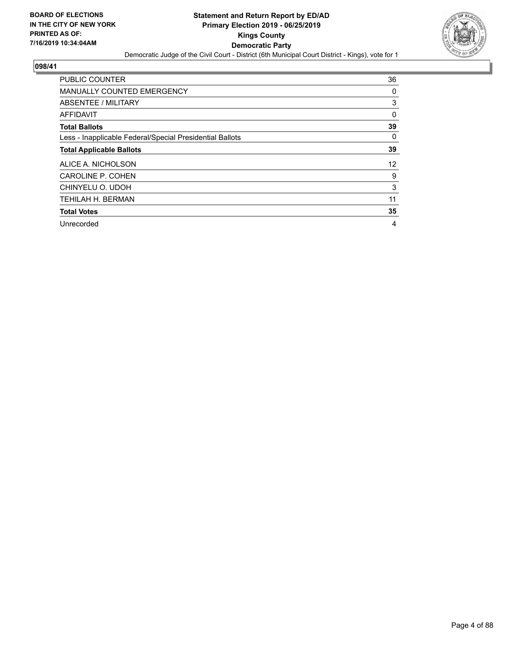

| <b>PUBLIC COUNTER</b>                                    | 36       |
|----------------------------------------------------------|----------|
| <b>MANUALLY COUNTED EMERGENCY</b>                        | 0        |
| ABSENTEE / MILITARY                                      | 3        |
| <b>AFFIDAVIT</b>                                         | 0        |
| <b>Total Ballots</b>                                     | 39       |
| Less - Inapplicable Federal/Special Presidential Ballots | $\Omega$ |
| <b>Total Applicable Ballots</b>                          | 39       |
| ALICE A. NICHOLSON                                       | 12       |
| CAROLINE P. COHEN                                        | 9        |
| CHINYELU O. UDOH                                         | 3        |
| TEHILAH H. BERMAN                                        | 11       |
| <b>Total Votes</b>                                       | 35       |
| Unrecorded                                               | 4        |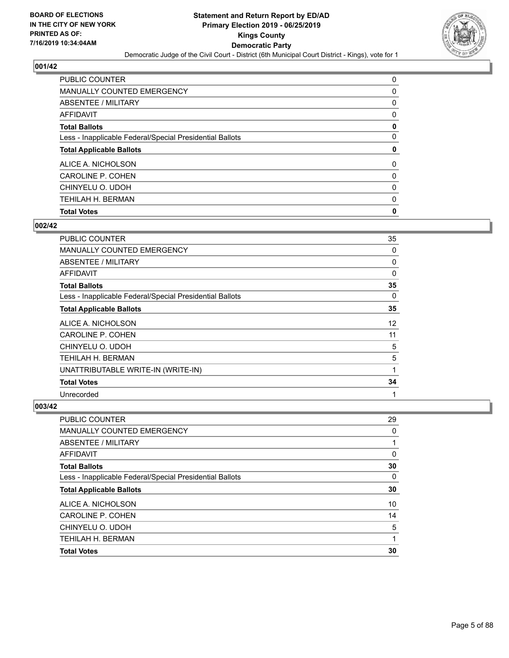

| PUBLIC COUNTER                                           | 0        |
|----------------------------------------------------------|----------|
| <b>MANUALLY COUNTED EMERGENCY</b>                        | 0        |
| ABSENTEE / MILITARY                                      | 0        |
| AFFIDAVIT                                                | 0        |
| <b>Total Ballots</b>                                     | 0        |
| Less - Inapplicable Federal/Special Presidential Ballots | 0        |
| <b>Total Applicable Ballots</b>                          | 0        |
| ALICE A. NICHOLSON                                       | $\Omega$ |
| CAROLINE P. COHEN                                        | $\Omega$ |
| CHINYELU O. UDOH                                         | 0        |
| <b>TEHILAH H. BERMAN</b>                                 | 0        |
| <b>Total Votes</b>                                       | 0        |

## **002/42**

| <b>PUBLIC COUNTER</b>                                    | 35 |
|----------------------------------------------------------|----|
| <b>MANUALLY COUNTED EMERGENCY</b>                        | 0  |
| ABSENTEE / MILITARY                                      | 0  |
| AFFIDAVIT                                                | 0  |
| <b>Total Ballots</b>                                     | 35 |
| Less - Inapplicable Federal/Special Presidential Ballots | 0  |
| <b>Total Applicable Ballots</b>                          | 35 |
| ALICE A. NICHOLSON                                       | 12 |
| <b>CAROLINE P. COHEN</b>                                 | 11 |
| CHINYELU O. UDOH                                         | 5  |
| TEHILAH H. BERMAN                                        | 5  |
| UNATTRIBUTABLE WRITE-IN (WRITE-IN)                       | 1  |
| <b>Total Votes</b>                                       | 34 |
| Unrecorded                                               | 1  |

| PUBLIC COUNTER                                           | 29       |
|----------------------------------------------------------|----------|
| MANUALLY COUNTED EMERGENCY                               | $\Omega$ |
| <b>ABSENTEE / MILITARY</b>                               |          |
| AFFIDAVIT                                                | $\Omega$ |
| <b>Total Ballots</b>                                     | 30       |
| Less - Inapplicable Federal/Special Presidential Ballots | 0        |
| <b>Total Applicable Ballots</b>                          | 30       |
| ALICE A. NICHOLSON                                       | 10       |
| CAROLINE P. COHEN                                        | 14       |
| CHINYELU O. UDOH                                         | 5        |
| <b>TEHILAH H. BERMAN</b>                                 |          |
| <b>Total Votes</b>                                       | 30       |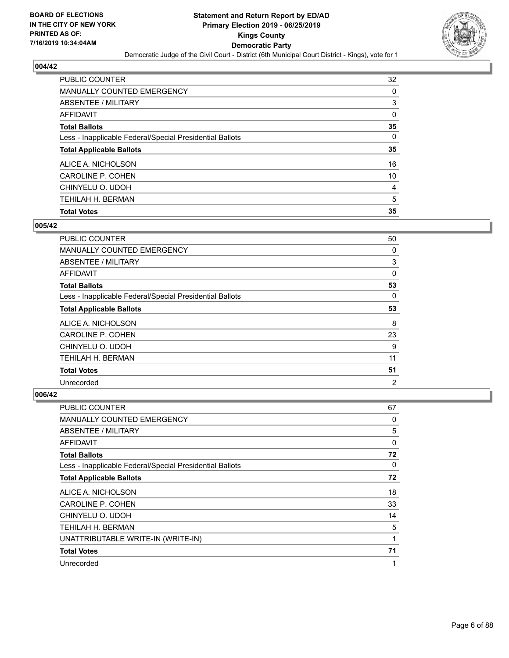

| <b>PUBLIC COUNTER</b>                                    | 32       |
|----------------------------------------------------------|----------|
| <b>MANUALLY COUNTED EMERGENCY</b>                        | 0        |
| ABSENTEE / MILITARY                                      | 3        |
| AFFIDAVIT                                                | 0        |
| <b>Total Ballots</b>                                     | 35       |
| Less - Inapplicable Federal/Special Presidential Ballots | $\Omega$ |
| <b>Total Applicable Ballots</b>                          | 35       |
| ALICE A. NICHOLSON                                       | 16       |
| CAROLINE P. COHEN                                        | 10       |
| CHINYELU O. UDOH                                         | 4        |
| <b>TEHILAH H. BERMAN</b>                                 | 5        |
| <b>Total Votes</b>                                       | 35       |

## **005/42**

| PUBLIC COUNTER                                           | 50             |
|----------------------------------------------------------|----------------|
| MANUALLY COUNTED EMERGENCY                               | 0              |
| ABSENTEE / MILITARY                                      | 3              |
| AFFIDAVIT                                                | $\Omega$       |
| <b>Total Ballots</b>                                     | 53             |
| Less - Inapplicable Federal/Special Presidential Ballots | 0              |
| <b>Total Applicable Ballots</b>                          | 53             |
| ALICE A. NICHOLSON                                       | 8              |
| <b>CAROLINE P. COHEN</b>                                 | 23             |
| CHINYELU O. UDOH                                         | 9              |
| TEHILAH H. BERMAN                                        | 11             |
| <b>Total Votes</b>                                       | 51             |
| Unrecorded                                               | $\overline{2}$ |

| PUBLIC COUNTER                                           | 67 |
|----------------------------------------------------------|----|
| MANUALLY COUNTED EMERGENCY                               | 0  |
| ABSENTEE / MILITARY                                      | 5  |
| AFFIDAVIT                                                | 0  |
| <b>Total Ballots</b>                                     | 72 |
| Less - Inapplicable Federal/Special Presidential Ballots | 0  |
| <b>Total Applicable Ballots</b>                          | 72 |
| ALICE A. NICHOLSON                                       | 18 |
| CAROLINE P. COHEN                                        | 33 |
| CHINYELU O. UDOH                                         | 14 |
| TEHILAH H. BERMAN                                        | 5  |
| UNATTRIBUTABLE WRITE-IN (WRITE-IN)                       | 1  |
| <b>Total Votes</b>                                       | 71 |
| Unrecorded                                               | 1  |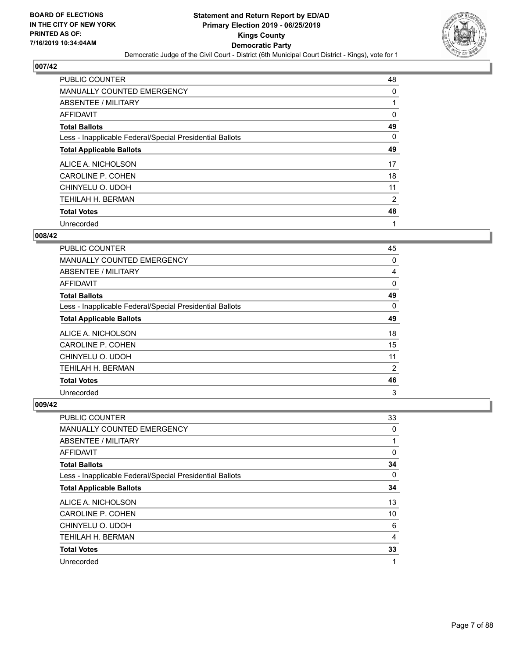

| <b>PUBLIC COUNTER</b>                                    | 48 |
|----------------------------------------------------------|----|
| <b>MANUALLY COUNTED EMERGENCY</b>                        | 0  |
| ABSENTEE / MILITARY                                      |    |
| <b>AFFIDAVIT</b>                                         | 0  |
| <b>Total Ballots</b>                                     | 49 |
| Less - Inapplicable Federal/Special Presidential Ballots | 0  |
| <b>Total Applicable Ballots</b>                          | 49 |
| ALICE A. NICHOLSON                                       | 17 |
| <b>CAROLINE P. COHEN</b>                                 | 18 |
| CHINYELU O. UDOH                                         | 11 |
| <b>TEHILAH H. BERMAN</b>                                 | 2  |
| <b>Total Votes</b>                                       | 48 |
| Unrecorded                                               | 1  |

#### **008/42**

| <b>PUBLIC COUNTER</b>                                    | 45 |
|----------------------------------------------------------|----|
| MANUALLY COUNTED EMERGENCY                               | 0  |
| ABSENTEE / MILITARY                                      | 4  |
| AFFIDAVIT                                                | 0  |
| <b>Total Ballots</b>                                     | 49 |
| Less - Inapplicable Federal/Special Presidential Ballots | 0  |
| <b>Total Applicable Ballots</b>                          | 49 |
| ALICE A. NICHOLSON                                       | 18 |
| <b>CAROLINE P. COHEN</b>                                 | 15 |
| CHINYELU O. UDOH                                         | 11 |
| TEHILAH H. BERMAN                                        | 2  |
| <b>Total Votes</b>                                       | 46 |
| Unrecorded                                               | 3  |

| <b>PUBLIC COUNTER</b>                                    | 33 |
|----------------------------------------------------------|----|
| <b>MANUALLY COUNTED EMERGENCY</b>                        | 0  |
| ABSENTEE / MILITARY                                      | 1  |
| AFFIDAVIT                                                | 0  |
| <b>Total Ballots</b>                                     | 34 |
| Less - Inapplicable Federal/Special Presidential Ballots | 0  |
| <b>Total Applicable Ballots</b>                          | 34 |
| ALICE A. NICHOLSON                                       | 13 |
| <b>CAROLINE P. COHEN</b>                                 | 10 |
| CHINYELU O. UDOH                                         | 6  |
| TEHILAH H. BERMAN                                        | 4  |
| <b>Total Votes</b>                                       | 33 |
| Unrecorded                                               | 1  |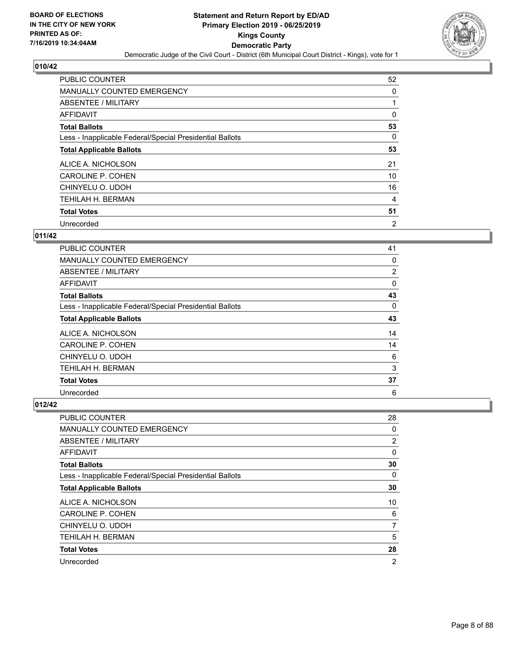

| <b>PUBLIC COUNTER</b>                                    | 52             |
|----------------------------------------------------------|----------------|
| <b>MANUALLY COUNTED EMERGENCY</b>                        | 0              |
| ABSENTEE / MILITARY                                      |                |
| <b>AFFIDAVIT</b>                                         | 0              |
| <b>Total Ballots</b>                                     | 53             |
| Less - Inapplicable Federal/Special Presidential Ballots | 0              |
| <b>Total Applicable Ballots</b>                          | 53             |
| ALICE A. NICHOLSON                                       | 21             |
| <b>CAROLINE P. COHEN</b>                                 | 10             |
| CHINYELU O. UDOH                                         | 16             |
| TEHILAH H. BERMAN                                        | 4              |
| <b>Total Votes</b>                                       | 51             |
| Unrecorded                                               | $\overline{2}$ |

## **011/42**

| <b>PUBLIC COUNTER</b>                                    | 41       |
|----------------------------------------------------------|----------|
| MANUALLY COUNTED EMERGENCY                               | 0        |
| ABSENTEE / MILITARY                                      | 2        |
| <b>AFFIDAVIT</b>                                         | 0        |
| <b>Total Ballots</b>                                     | 43       |
| Less - Inapplicable Federal/Special Presidential Ballots | $\Omega$ |
| <b>Total Applicable Ballots</b>                          | 43       |
| ALICE A. NICHOLSON                                       | 14       |
| <b>CAROLINE P. COHEN</b>                                 | 14       |
| CHINYELU O. UDOH                                         | 6        |
| TEHILAH H. BERMAN                                        | 3        |
| <b>Total Votes</b>                                       | 37       |
| Unrecorded                                               | 6        |

| PUBLIC COUNTER                                           | 28             |
|----------------------------------------------------------|----------------|
| MANUALLY COUNTED EMERGENCY                               | 0              |
| ABSENTEE / MILITARY                                      | 2              |
| AFFIDAVIT                                                | 0              |
| <b>Total Ballots</b>                                     | 30             |
| Less - Inapplicable Federal/Special Presidential Ballots | $\Omega$       |
| <b>Total Applicable Ballots</b>                          | 30             |
| ALICE A. NICHOLSON                                       | 10             |
| CAROLINE P. COHEN                                        | 6              |
| CHINYELU O. UDOH                                         | 7              |
| <b>TEHILAH H. BERMAN</b>                                 | 5              |
| <b>Total Votes</b>                                       | 28             |
| Unrecorded                                               | $\overline{2}$ |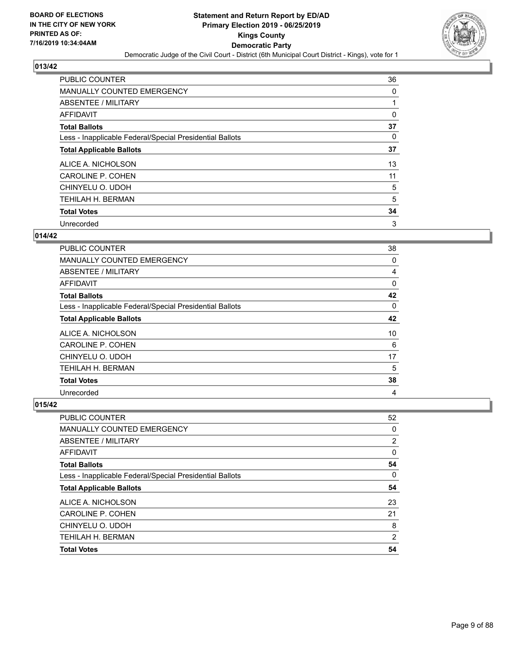

| <b>PUBLIC COUNTER</b>                                    | 36 |
|----------------------------------------------------------|----|
| <b>MANUALLY COUNTED EMERGENCY</b>                        | 0  |
| ABSENTEE / MILITARY                                      |    |
| <b>AFFIDAVIT</b>                                         | 0  |
| <b>Total Ballots</b>                                     | 37 |
| Less - Inapplicable Federal/Special Presidential Ballots | 0  |
| <b>Total Applicable Ballots</b>                          | 37 |
| ALICE A. NICHOLSON                                       | 13 |
| <b>CAROLINE P. COHEN</b>                                 | 11 |
| CHINYELU O. UDOH                                         | 5  |
| TEHILAH H. BERMAN                                        | 5  |
| <b>Total Votes</b>                                       | 34 |
| Unrecorded                                               | 3  |

#### **014/42**

| <b>PUBLIC COUNTER</b>                                    | 38 |
|----------------------------------------------------------|----|
| <b>MANUALLY COUNTED EMERGENCY</b>                        | 0  |
| ABSENTEE / MILITARY                                      | 4  |
| <b>AFFIDAVIT</b>                                         | 0  |
| <b>Total Ballots</b>                                     | 42 |
| Less - Inapplicable Federal/Special Presidential Ballots | 0  |
| <b>Total Applicable Ballots</b>                          | 42 |
| ALICE A. NICHOLSON                                       | 10 |
| CAROLINE P. COHEN                                        | 6  |
| CHINYELU O. UDOH                                         | 17 |
| TEHILAH H. BERMAN                                        | 5  |
| <b>Total Votes</b>                                       | 38 |
| Unrecorded                                               | 4  |

| PUBLIC COUNTER                                           | 52             |
|----------------------------------------------------------|----------------|
| <b>MANUALLY COUNTED EMERGENCY</b>                        | 0              |
| ABSENTEE / MILITARY                                      | 2              |
| AFFIDAVIT                                                | 0              |
| <b>Total Ballots</b>                                     | 54             |
| Less - Inapplicable Federal/Special Presidential Ballots | 0              |
| <b>Total Applicable Ballots</b>                          | 54             |
| ALICE A. NICHOLSON                                       | 23             |
| CAROLINE P. COHEN                                        | 21             |
|                                                          |                |
| CHINYELU O. UDOH                                         | 8              |
| <b>TEHILAH H. BERMAN</b>                                 | $\overline{2}$ |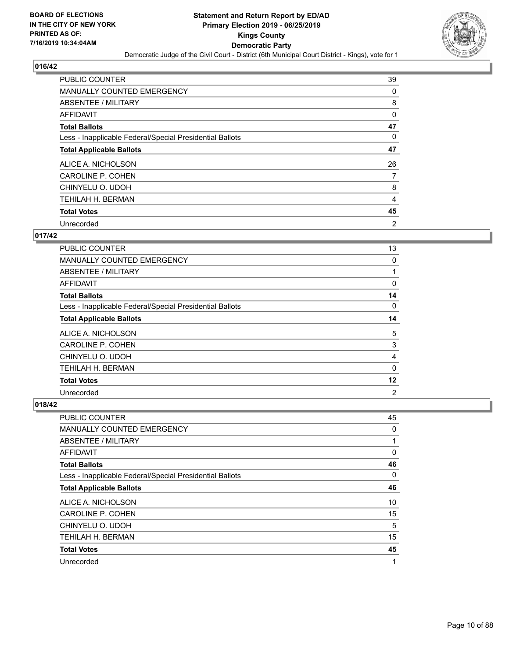

| <b>PUBLIC COUNTER</b>                                    | 39             |
|----------------------------------------------------------|----------------|
| <b>MANUALLY COUNTED EMERGENCY</b>                        | 0              |
| ABSENTEE / MILITARY                                      | 8              |
| <b>AFFIDAVIT</b>                                         | 0              |
| <b>Total Ballots</b>                                     | 47             |
| Less - Inapplicable Federal/Special Presidential Ballots | 0              |
| <b>Total Applicable Ballots</b>                          | 47             |
| ALICE A. NICHOLSON                                       | 26             |
| <b>CAROLINE P. COHEN</b>                                 | 7              |
| CHINYELU O. UDOH                                         | 8              |
| TEHILAH H. BERMAN                                        | 4              |
| <b>Total Votes</b>                                       | 45             |
| Unrecorded                                               | $\overline{2}$ |

#### **017/42**

| <b>PUBLIC COUNTER</b>                                    | 13             |
|----------------------------------------------------------|----------------|
| MANUALLY COUNTED EMERGENCY                               | 0              |
| ABSENTEE / MILITARY                                      | 1              |
| <b>AFFIDAVIT</b>                                         | 0              |
| <b>Total Ballots</b>                                     | 14             |
| Less - Inapplicable Federal/Special Presidential Ballots | $\Omega$       |
| <b>Total Applicable Ballots</b>                          | 14             |
| ALICE A. NICHOLSON                                       | 5              |
| <b>CAROLINE P. COHEN</b>                                 | 3              |
| CHINYELU O. UDOH                                         | 4              |
| TEHILAH H. BERMAN                                        | $\mathbf{0}$   |
| <b>Total Votes</b>                                       | 12             |
| Unrecorded                                               | $\overline{2}$ |

| PUBLIC COUNTER                                           | 45       |
|----------------------------------------------------------|----------|
| MANUALLY COUNTED EMERGENCY                               | 0        |
| ABSENTEE / MILITARY                                      | 1        |
| AFFIDAVIT                                                | 0        |
| <b>Total Ballots</b>                                     | 46       |
| Less - Inapplicable Federal/Special Presidential Ballots | $\Omega$ |
| <b>Total Applicable Ballots</b>                          | 46       |
| ALICE A. NICHOLSON                                       | 10       |
| CAROLINE P. COHEN                                        | 15       |
| CHINYELU O. UDOH                                         | 5        |
| TEHILAH H. BERMAN                                        | 15       |
| <b>Total Votes</b>                                       | 45       |
| Unrecorded                                               | 1        |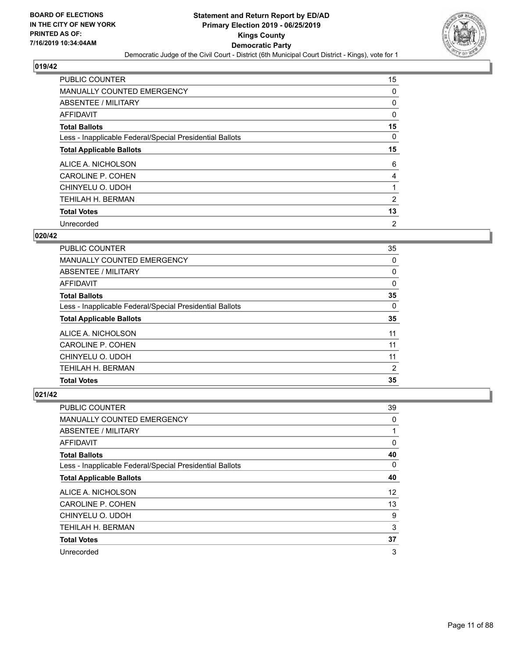

| <b>PUBLIC COUNTER</b>                                    | 15             |
|----------------------------------------------------------|----------------|
| <b>MANUALLY COUNTED EMERGENCY</b>                        | 0              |
| ABSENTEE / MILITARY                                      | 0              |
| <b>AFFIDAVIT</b>                                         | 0              |
| <b>Total Ballots</b>                                     | 15             |
| Less - Inapplicable Federal/Special Presidential Ballots | 0              |
| <b>Total Applicable Ballots</b>                          | 15             |
| ALICE A. NICHOLSON                                       | 6              |
| <b>CAROLINE P. COHEN</b>                                 | 4              |
| CHINYELU O. UDOH                                         |                |
| TEHILAH H. BERMAN                                        | 2              |
| <b>Total Votes</b>                                       | 13             |
| Unrecorded                                               | $\overline{2}$ |

#### **020/42**

| <b>PUBLIC COUNTER</b>                                    | 35       |
|----------------------------------------------------------|----------|
| MANUALLY COUNTED EMERGENCY                               | 0        |
| ABSENTEE / MILITARY                                      | $\Omega$ |
| AFFIDAVIT                                                | $\Omega$ |
| <b>Total Ballots</b>                                     | 35       |
| Less - Inapplicable Federal/Special Presidential Ballots | 0        |
| <b>Total Applicable Ballots</b>                          | 35       |
| ALICE A. NICHOLSON                                       | 11       |
| CAROLINE P. COHEN                                        | 11       |
| CHINYELU O. UDOH                                         | 11       |
| <b>TEHILAH H. BERMAN</b>                                 | 2        |
| <b>Total Votes</b>                                       | 35       |

| PUBLIC COUNTER                                           | 39       |
|----------------------------------------------------------|----------|
| MANUALLY COUNTED EMERGENCY                               | 0        |
| ABSENTEE / MILITARY                                      | 1        |
| AFFIDAVIT                                                | 0        |
| <b>Total Ballots</b>                                     | 40       |
| Less - Inapplicable Federal/Special Presidential Ballots | $\Omega$ |
| <b>Total Applicable Ballots</b>                          | 40       |
| ALICE A. NICHOLSON                                       | 12       |
| CAROLINE P. COHEN                                        | 13       |
| CHINYELU O. UDOH                                         | 9        |
| TEHILAH H. BERMAN                                        | 3        |
| <b>Total Votes</b>                                       | 37       |
| Unrecorded                                               | 3        |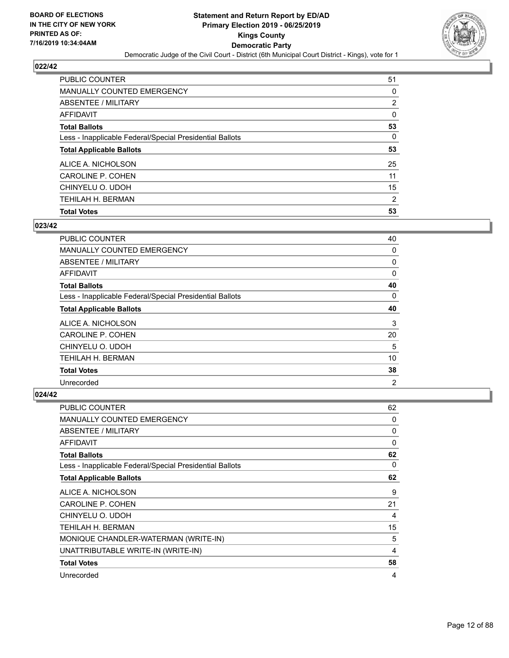

| PUBLIC COUNTER                                           | 51 |
|----------------------------------------------------------|----|
| <b>MANUALLY COUNTED EMERGENCY</b>                        | 0  |
| ABSENTEE / MILITARY                                      | 2  |
| AFFIDAVIT                                                | 0  |
| <b>Total Ballots</b>                                     | 53 |
| Less - Inapplicable Federal/Special Presidential Ballots | 0  |
| <b>Total Applicable Ballots</b>                          | 53 |
| ALICE A. NICHOLSON                                       | 25 |
| CAROLINE P. COHEN                                        | 11 |
| CHINYELU O. UDOH                                         | 15 |
| <b>TEHILAH H. BERMAN</b>                                 | 2  |
| <b>Total Votes</b>                                       | 53 |

## **023/42**

| PUBLIC COUNTER                                           | 40 |
|----------------------------------------------------------|----|
| MANUALLY COUNTED EMERGENCY                               | 0  |
| ABSENTEE / MILITARY                                      | 0  |
| AFFIDAVIT                                                | 0  |
| <b>Total Ballots</b>                                     | 40 |
| Less - Inapplicable Federal/Special Presidential Ballots | 0  |
| <b>Total Applicable Ballots</b>                          | 40 |
| ALICE A. NICHOLSON                                       | 3  |
| <b>CAROLINE P. COHEN</b>                                 | 20 |
| CHINYELU O. UDOH                                         | 5  |
| TEHILAH H. BERMAN                                        | 10 |
| <b>Total Votes</b>                                       | 38 |
| Unrecorded                                               | 2  |

| <b>PUBLIC COUNTER</b>                                    | 62       |
|----------------------------------------------------------|----------|
| <b>MANUALLY COUNTED EMERGENCY</b>                        | 0        |
| ABSENTEE / MILITARY                                      | 0        |
| <b>AFFIDAVIT</b>                                         | 0        |
| <b>Total Ballots</b>                                     | 62       |
| Less - Inapplicable Federal/Special Presidential Ballots | $\Omega$ |
| <b>Total Applicable Ballots</b>                          | 62       |
| ALICE A. NICHOLSON                                       | 9        |
| <b>CAROLINE P. COHEN</b>                                 | 21       |
| CHINYELU O. UDOH                                         | 4        |
| TEHILAH H. BERMAN                                        | 15       |
| MONIQUE CHANDLER-WATERMAN (WRITE-IN)                     | 5        |
| UNATTRIBUTABLE WRITE-IN (WRITE-IN)                       | 4        |
| <b>Total Votes</b>                                       | 58       |
| Unrecorded                                               | 4        |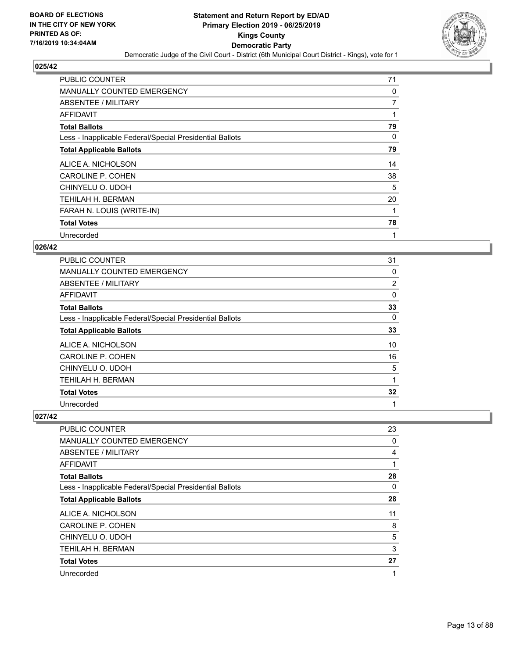

| <b>PUBLIC COUNTER</b>                                    | 71             |
|----------------------------------------------------------|----------------|
| MANUALLY COUNTED EMERGENCY                               | 0              |
| ABSENTEE / MILITARY                                      | $\overline{7}$ |
| AFFIDAVIT                                                |                |
| <b>Total Ballots</b>                                     | 79             |
| Less - Inapplicable Federal/Special Presidential Ballots | 0              |
| <b>Total Applicable Ballots</b>                          | 79             |
| ALICE A. NICHOLSON                                       | 14             |
| <b>CAROLINE P. COHEN</b>                                 | 38             |
| CHINYELU O. UDOH                                         | 5              |
| TEHILAH H. BERMAN                                        | 20             |
| FARAH N. LOUIS (WRITE-IN)                                |                |
| <b>Total Votes</b>                                       | 78             |
|                                                          |                |

#### **026/42**

| <b>PUBLIC COUNTER</b>                                    | 31       |
|----------------------------------------------------------|----------|
| <b>MANUALLY COUNTED EMERGENCY</b>                        | 0        |
| ABSENTEE / MILITARY                                      | 2        |
| AFFIDAVIT                                                | 0        |
| <b>Total Ballots</b>                                     | 33       |
| Less - Inapplicable Federal/Special Presidential Ballots | $\Omega$ |
| <b>Total Applicable Ballots</b>                          | 33       |
| ALICE A. NICHOLSON                                       | 10       |
| <b>CAROLINE P. COHEN</b>                                 | 16       |
| CHINYELU O. UDOH                                         | 5        |
| TEHILAH H. BERMAN                                        | 1        |
| <b>Total Votes</b>                                       | 32       |
| Unrecorded                                               | 1        |

| <b>PUBLIC COUNTER</b>                                    | 23 |
|----------------------------------------------------------|----|
| MANUALLY COUNTED EMERGENCY                               | 0  |
| ABSENTEE / MILITARY                                      | 4  |
| AFFIDAVIT                                                |    |
| <b>Total Ballots</b>                                     | 28 |
| Less - Inapplicable Federal/Special Presidential Ballots | 0  |
| <b>Total Applicable Ballots</b>                          | 28 |
| ALICE A. NICHOLSON                                       | 11 |
| CAROLINE P. COHEN                                        | 8  |
| CHINYELU O. UDOH                                         | 5  |
| TEHILAH H. BERMAN                                        | 3  |
| <b>Total Votes</b>                                       | 27 |
| Unrecorded                                               | 1  |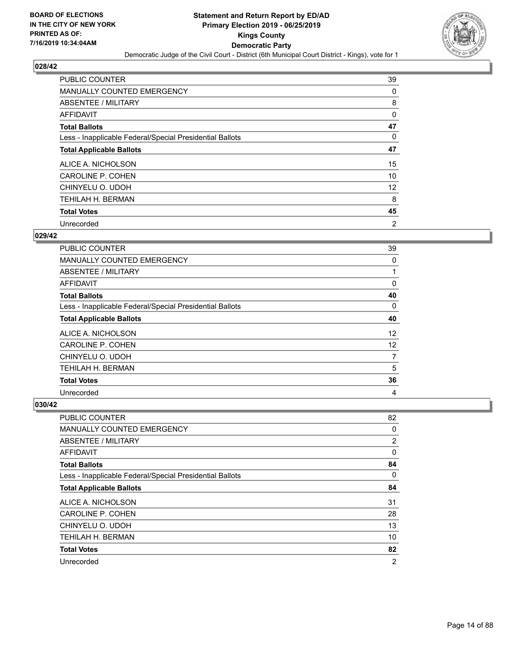

| <b>PUBLIC COUNTER</b>                                    | 39             |
|----------------------------------------------------------|----------------|
| <b>MANUALLY COUNTED EMERGENCY</b>                        | 0              |
| ABSENTEE / MILITARY                                      | 8              |
| <b>AFFIDAVIT</b>                                         | 0              |
| <b>Total Ballots</b>                                     | 47             |
| Less - Inapplicable Federal/Special Presidential Ballots | 0              |
| <b>Total Applicable Ballots</b>                          | 47             |
| ALICE A. NICHOLSON                                       | 15             |
| <b>CAROLINE P. COHEN</b>                                 | 10             |
| CHINYELU O. UDOH                                         | 12             |
| <b>TEHILAH H. BERMAN</b>                                 | 8              |
| <b>Total Votes</b>                                       | 45             |
| Unrecorded                                               | $\overline{2}$ |

## **029/42**

| <b>PUBLIC COUNTER</b>                                    | 39             |
|----------------------------------------------------------|----------------|
| <b>MANUALLY COUNTED EMERGENCY</b>                        | 0              |
| ABSENTEE / MILITARY                                      |                |
| AFFIDAVIT                                                | 0              |
| <b>Total Ballots</b>                                     | 40             |
| Less - Inapplicable Federal/Special Presidential Ballots | 0              |
| <b>Total Applicable Ballots</b>                          | 40             |
| ALICE A. NICHOLSON                                       | 12             |
| <b>CAROLINE P. COHEN</b>                                 | 12             |
| CHINYELU O. UDOH                                         | $\overline{7}$ |
| <b>TEHILAH H. BERMAN</b>                                 | 5              |
| <b>Total Votes</b>                                       | 36             |
| Unrecorded                                               | 4              |

| <b>PUBLIC COUNTER</b>                                    | 82             |
|----------------------------------------------------------|----------------|
| <b>MANUALLY COUNTED EMERGENCY</b>                        | 0              |
| ABSENTEE / MILITARY                                      | $\overline{2}$ |
| AFFIDAVIT                                                | 0              |
| <b>Total Ballots</b>                                     | 84             |
| Less - Inapplicable Federal/Special Presidential Ballots | 0              |
| <b>Total Applicable Ballots</b>                          | 84             |
| ALICE A. NICHOLSON                                       | 31             |
| CAROLINE P. COHEN                                        | 28             |
| CHINYELU O. UDOH                                         | 13             |
| TEHILAH H. BERMAN                                        | 10             |
| <b>Total Votes</b>                                       | 82             |
| Unrecorded                                               | $\overline{2}$ |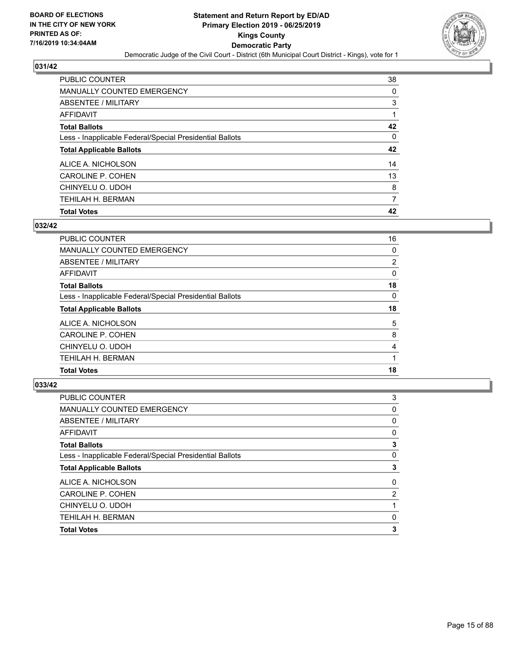

| PUBLIC COUNTER                                           | 38       |
|----------------------------------------------------------|----------|
| <b>MANUALLY COUNTED EMERGENCY</b>                        | $\Omega$ |
| ABSENTEE / MILITARY                                      | 3        |
| AFFIDAVIT                                                |          |
| <b>Total Ballots</b>                                     | 42       |
| Less - Inapplicable Federal/Special Presidential Ballots | $\Omega$ |
| <b>Total Applicable Ballots</b>                          | 42       |
| ALICE A. NICHOLSON                                       | 14       |
| <b>CAROLINE P. COHEN</b>                                 | 13       |
| CHINYELU O. UDOH                                         | 8        |
| <b>TEHILAH H. BERMAN</b>                                 | 7        |
| <b>Total Votes</b>                                       | 42       |

## **032/42**

| PUBLIC COUNTER                                           | 16 |
|----------------------------------------------------------|----|
| <b>MANUALLY COUNTED EMERGENCY</b>                        | 0  |
| ABSENTEE / MILITARY                                      | 2  |
| AFFIDAVIT                                                | 0  |
| <b>Total Ballots</b>                                     | 18 |
| Less - Inapplicable Federal/Special Presidential Ballots | 0  |
| <b>Total Applicable Ballots</b>                          | 18 |
| ALICE A. NICHOLSON                                       | 5  |
| CAROLINE P. COHEN                                        | 8  |
| CHINYELU O. UDOH                                         | 4  |
| TEHILAH H. BERMAN                                        |    |
| <b>Total Votes</b>                                       | 18 |
|                                                          |    |

| 3              |
|----------------|
| 0              |
| 0              |
| 0              |
| 3              |
| 0              |
| 3              |
| 0              |
| $\overline{2}$ |
|                |
| $\Omega$       |
| 3              |
|                |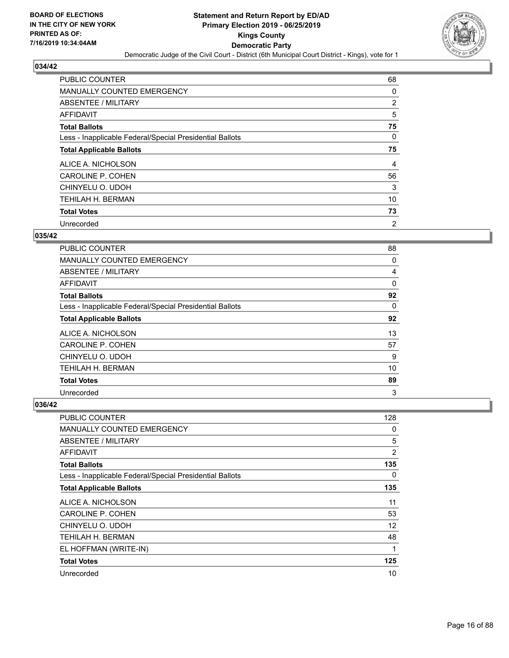

| <b>PUBLIC COUNTER</b>                                    | 68             |
|----------------------------------------------------------|----------------|
| <b>MANUALLY COUNTED EMERGENCY</b>                        | 0              |
| ABSENTEE / MILITARY                                      | 2              |
| <b>AFFIDAVIT</b>                                         | 5              |
| <b>Total Ballots</b>                                     | 75             |
| Less - Inapplicable Federal/Special Presidential Ballots | 0              |
| <b>Total Applicable Ballots</b>                          | 75             |
| ALICE A. NICHOLSON                                       | 4              |
| <b>CAROLINE P. COHEN</b>                                 | 56             |
| CHINYELU O. UDOH                                         | 3              |
| <b>TEHILAH H. BERMAN</b>                                 | 10             |
| <b>Total Votes</b>                                       | 73             |
| Unrecorded                                               | $\overline{2}$ |

#### **035/42**

| <b>PUBLIC COUNTER</b>                                    | 88 |
|----------------------------------------------------------|----|
| <b>MANUALLY COUNTED EMERGENCY</b>                        | 0  |
| ABSENTEE / MILITARY                                      | 4  |
| <b>AFFIDAVIT</b>                                         | 0  |
| <b>Total Ballots</b>                                     | 92 |
| Less - Inapplicable Federal/Special Presidential Ballots | 0  |
| <b>Total Applicable Ballots</b>                          | 92 |
| ALICE A. NICHOLSON                                       | 13 |
| <b>CAROLINE P. COHEN</b>                                 | 57 |
| CHINYELU O. UDOH                                         | 9  |
| TEHILAH H. BERMAN                                        | 10 |
| <b>Total Votes</b>                                       | 89 |
| Unrecorded                                               | 3  |

| PUBLIC COUNTER                                           | 128            |
|----------------------------------------------------------|----------------|
| <b>MANUALLY COUNTED EMERGENCY</b>                        | 0              |
| ABSENTEE / MILITARY                                      | 5              |
| AFFIDAVIT                                                | $\overline{2}$ |
| <b>Total Ballots</b>                                     | 135            |
| Less - Inapplicable Federal/Special Presidential Ballots | $\Omega$       |
| <b>Total Applicable Ballots</b>                          | 135            |
| ALICE A. NICHOLSON                                       | 11             |
| <b>CAROLINE P. COHEN</b>                                 | 53             |
| CHINYELU O. UDOH                                         | 12             |
| TEHILAH H. BERMAN                                        | 48             |
| EL HOFFMAN (WRITE-IN)                                    | 1              |
| <b>Total Votes</b>                                       | 125            |
| Unrecorded                                               | 10             |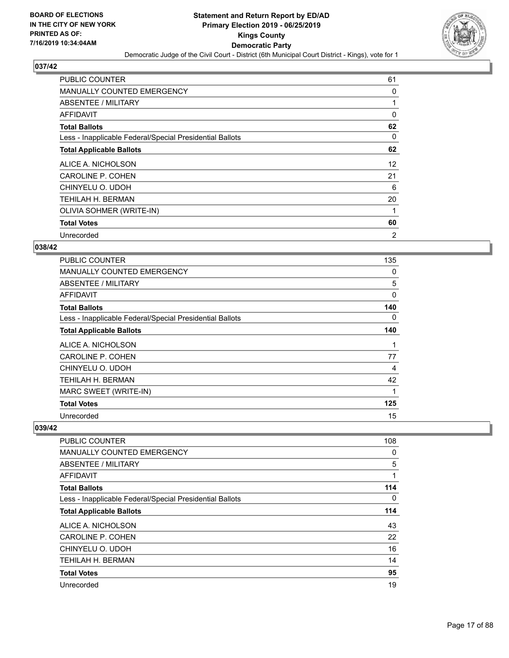

| <b>PUBLIC COUNTER</b>                                    | 61 |
|----------------------------------------------------------|----|
| MANUALLY COUNTED EMERGENCY                               | 0  |
| ABSENTEE / MILITARY                                      |    |
| AFFIDAVIT                                                | 0  |
| <b>Total Ballots</b>                                     | 62 |
| Less - Inapplicable Federal/Special Presidential Ballots | 0  |
| <b>Total Applicable Ballots</b>                          | 62 |
| ALICE A. NICHOLSON                                       | 12 |
| CAROLINE P. COHEN                                        | 21 |
| CHINYELU O. UDOH                                         | 6  |
| TEHILAH H. BERMAN                                        | 20 |
| OLIVIA SOHMER (WRITE-IN)                                 | 1  |
| <b>Total Votes</b>                                       | 60 |
| Unrecorded                                               | 2  |

#### **038/42**

| <b>PUBLIC COUNTER</b>                                    | 135 |
|----------------------------------------------------------|-----|
| <b>MANUALLY COUNTED EMERGENCY</b>                        | 0   |
| ABSENTEE / MILITARY                                      | 5   |
| AFFIDAVIT                                                | 0   |
| <b>Total Ballots</b>                                     | 140 |
| Less - Inapplicable Federal/Special Presidential Ballots | 0   |
| <b>Total Applicable Ballots</b>                          | 140 |
| ALICE A. NICHOLSON                                       | 1   |
| <b>CAROLINE P. COHEN</b>                                 | 77  |
| CHINYELU O. UDOH                                         | 4   |
| TEHILAH H. BERMAN                                        | 42  |
| MARC SWEET (WRITE-IN)                                    | 1   |
| <b>Total Votes</b>                                       | 125 |
| Unrecorded                                               | 15  |

| <b>PUBLIC COUNTER</b>                                    | 108      |
|----------------------------------------------------------|----------|
| <b>MANUALLY COUNTED EMERGENCY</b>                        | 0        |
| ABSENTEE / MILITARY                                      | 5        |
| <b>AFFIDAVIT</b>                                         | 1        |
| <b>Total Ballots</b>                                     | 114      |
| Less - Inapplicable Federal/Special Presidential Ballots | $\Omega$ |
| <b>Total Applicable Ballots</b>                          | 114      |
| ALICE A. NICHOLSON                                       | 43       |
| <b>CAROLINE P. COHEN</b>                                 | 22       |
| CHINYELU O. UDOH                                         | 16       |
| <b>TEHILAH H. BERMAN</b>                                 | 14       |
| <b>Total Votes</b>                                       | 95       |
| Unrecorded                                               | 19       |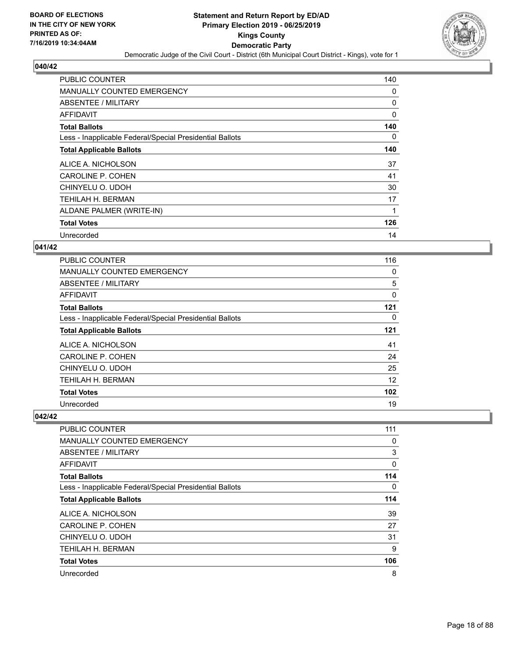

| <b>PUBLIC COUNTER</b>                                    | 140      |
|----------------------------------------------------------|----------|
| <b>MANUALLY COUNTED EMERGENCY</b>                        | 0        |
| <b>ABSENTEE / MILITARY</b>                               | 0        |
| AFFIDAVIT                                                | $\Omega$ |
| <b>Total Ballots</b>                                     | 140      |
| Less - Inapplicable Federal/Special Presidential Ballots | 0        |
| <b>Total Applicable Ballots</b>                          | 140      |
| ALICE A. NICHOLSON                                       | 37       |
| <b>CAROLINE P. COHEN</b>                                 | 41       |
| CHINYELU O. UDOH                                         | 30       |
| TEHILAH H. BERMAN                                        | 17       |
| ALDANE PALMER (WRITE-IN)                                 | 1        |
| <b>Total Votes</b>                                       | 126      |
| Unrecorded                                               | 14       |

#### **041/42**

| <b>PUBLIC COUNTER</b>                                    | 116 |
|----------------------------------------------------------|-----|
| <b>MANUALLY COUNTED EMERGENCY</b>                        | 0   |
| ABSENTEE / MILITARY                                      | 5   |
| AFFIDAVIT                                                | 0   |
| <b>Total Ballots</b>                                     | 121 |
| Less - Inapplicable Federal/Special Presidential Ballots | 0   |
| <b>Total Applicable Ballots</b>                          | 121 |
| ALICE A. NICHOLSON                                       | 41  |
| <b>CAROLINE P. COHEN</b>                                 | 24  |
| CHINYELU O. UDOH                                         | 25  |
| <b>TEHILAH H. BERMAN</b>                                 | 12  |
| <b>Total Votes</b>                                       | 102 |
| Unrecorded                                               | 19  |

| <b>PUBLIC COUNTER</b>                                    | 111 |
|----------------------------------------------------------|-----|
| <b>MANUALLY COUNTED EMERGENCY</b>                        | 0   |
| ABSENTEE / MILITARY                                      | 3   |
| AFFIDAVIT                                                | 0   |
| <b>Total Ballots</b>                                     | 114 |
| Less - Inapplicable Federal/Special Presidential Ballots | 0   |
| <b>Total Applicable Ballots</b>                          | 114 |
| ALICE A. NICHOLSON                                       | 39  |
| <b>CAROLINE P. COHEN</b>                                 | 27  |
| CHINYELU O. UDOH                                         | 31  |
| <b>TEHILAH H. BERMAN</b>                                 | 9   |
| <b>Total Votes</b>                                       | 106 |
| Unrecorded                                               | 8   |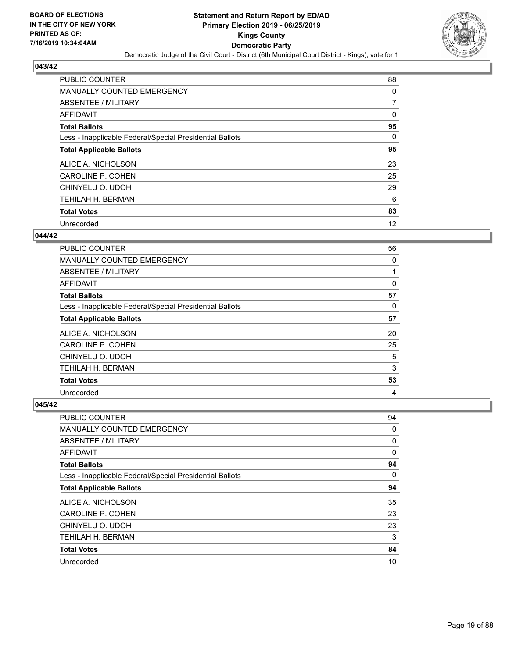

| <b>PUBLIC COUNTER</b>                                    | 88 |
|----------------------------------------------------------|----|
| MANUALLY COUNTED EMERGENCY                               | 0  |
| ABSENTEE / MILITARY                                      | 7  |
| <b>AFFIDAVIT</b>                                         | 0  |
| <b>Total Ballots</b>                                     | 95 |
| Less - Inapplicable Federal/Special Presidential Ballots | 0  |
| <b>Total Applicable Ballots</b>                          | 95 |
| ALICE A. NICHOLSON                                       | 23 |
| <b>CAROLINE P. COHEN</b>                                 | 25 |
| CHINYELU O. UDOH                                         | 29 |
| TEHILAH H. BERMAN                                        | 6  |
| <b>Total Votes</b>                                       | 83 |
| Unrecorded                                               | 12 |

#### **044/42**

| <b>PUBLIC COUNTER</b>                                    | 56 |
|----------------------------------------------------------|----|
| MANUALLY COUNTED EMERGENCY                               | 0  |
| ABSENTEE / MILITARY                                      |    |
| <b>AFFIDAVIT</b>                                         | 0  |
| <b>Total Ballots</b>                                     | 57 |
| Less - Inapplicable Federal/Special Presidential Ballots | 0  |
| <b>Total Applicable Ballots</b>                          | 57 |
| ALICE A. NICHOLSON                                       | 20 |
| <b>CAROLINE P. COHEN</b>                                 | 25 |
| CHINYELU O. UDOH                                         | 5  |
| TEHILAH H. BERMAN                                        | 3  |
| <b>Total Votes</b>                                       | 53 |
| Unrecorded                                               | 4  |

| PUBLIC COUNTER                                           | 94       |
|----------------------------------------------------------|----------|
| MANUALLY COUNTED EMERGENCY                               | 0        |
| ABSENTEE / MILITARY                                      | 0        |
| AFFIDAVIT                                                | 0        |
| <b>Total Ballots</b>                                     | 94       |
| Less - Inapplicable Federal/Special Presidential Ballots | $\Omega$ |
| <b>Total Applicable Ballots</b>                          | 94       |
| ALICE A. NICHOLSON                                       | 35       |
| CAROLINE P. COHEN                                        | 23       |
| CHINYELU O. UDOH                                         | 23       |
| <b>TEHILAH H. BERMAN</b>                                 | 3        |
| <b>Total Votes</b>                                       | 84       |
| Unrecorded                                               | 10       |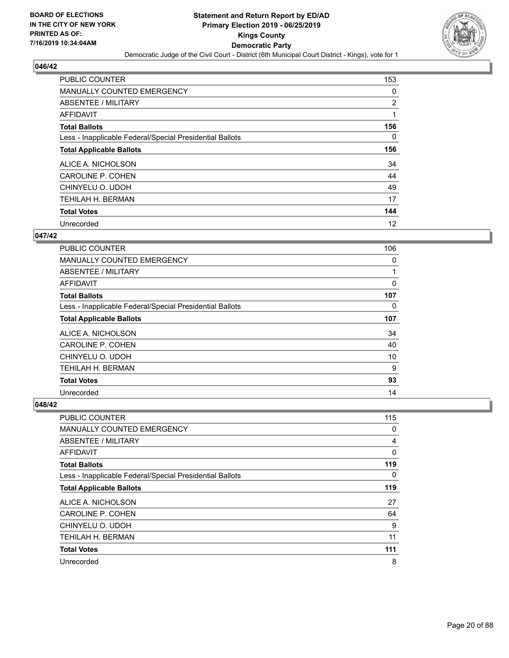

| <b>PUBLIC COUNTER</b>                                    | 153 |
|----------------------------------------------------------|-----|
| MANUALLY COUNTED EMERGENCY                               | 0   |
| ABSENTEE / MILITARY                                      | 2   |
| AFFIDAVIT                                                | 1   |
| <b>Total Ballots</b>                                     | 156 |
| Less - Inapplicable Federal/Special Presidential Ballots | 0   |
| <b>Total Applicable Ballots</b>                          | 156 |
| ALICE A. NICHOLSON                                       | 34  |
| <b>CAROLINE P. COHEN</b>                                 | 44  |
| CHINYELU O. UDOH                                         | 49  |
| <b>TEHILAH H. BERMAN</b>                                 | 17  |
| <b>Total Votes</b>                                       | 144 |
| Unrecorded                                               | 12  |

#### **047/42**

| PUBLIC COUNTER                                           | 106      |
|----------------------------------------------------------|----------|
| <b>MANUALLY COUNTED EMERGENCY</b>                        | $\Omega$ |
| ABSENTEE / MILITARY                                      |          |
| <b>AFFIDAVIT</b>                                         | 0        |
| <b>Total Ballots</b>                                     | 107      |
| Less - Inapplicable Federal/Special Presidential Ballots | 0        |
| <b>Total Applicable Ballots</b>                          | 107      |
| ALICE A. NICHOLSON                                       | 34       |
| CAROLINE P. COHEN                                        | 40       |
| CHINYELU O. UDOH                                         | 10       |
| <b>TEHILAH H. BERMAN</b>                                 | 9        |
| <b>Total Votes</b>                                       | 93       |
| Unrecorded                                               | 14       |

| <b>PUBLIC COUNTER</b>                                    | 115 |
|----------------------------------------------------------|-----|
| <b>MANUALLY COUNTED EMERGENCY</b>                        | 0   |
| ABSENTEE / MILITARY                                      | 4   |
| AFFIDAVIT                                                | 0   |
| <b>Total Ballots</b>                                     | 119 |
| Less - Inapplicable Federal/Special Presidential Ballots | 0   |
| <b>Total Applicable Ballots</b>                          | 119 |
| ALICE A. NICHOLSON                                       | 27  |
| <b>CAROLINE P. COHEN</b>                                 | 64  |
| CHINYELU O. UDOH                                         | 9   |
| TEHILAH H. BERMAN                                        | 11  |
| <b>Total Votes</b>                                       | 111 |
| Unrecorded                                               | 8   |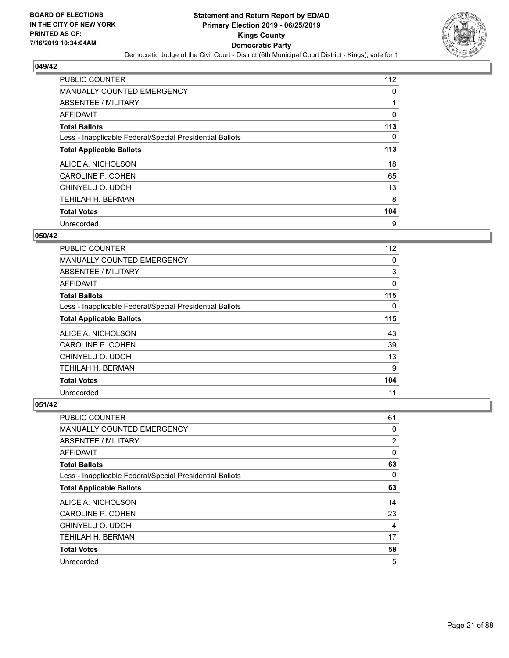

| <b>PUBLIC COUNTER</b>                                    | 112 |
|----------------------------------------------------------|-----|
| <b>MANUALLY COUNTED EMERGENCY</b>                        | 0   |
| ABSENTEE / MILITARY                                      |     |
| AFFIDAVIT                                                | 0   |
| <b>Total Ballots</b>                                     | 113 |
| Less - Inapplicable Federal/Special Presidential Ballots | 0   |
| <b>Total Applicable Ballots</b>                          | 113 |
| ALICE A. NICHOLSON                                       | 18  |
| <b>CAROLINE P. COHEN</b>                                 | 65  |
| CHINYELU O. UDOH                                         | 13  |
| TEHILAH H. BERMAN                                        | 8   |
| <b>Total Votes</b>                                       | 104 |
| Unrecorded                                               | 9   |

#### **050/42**

| <b>PUBLIC COUNTER</b>                                    | 112 |
|----------------------------------------------------------|-----|
| <b>MANUALLY COUNTED EMERGENCY</b>                        | 0   |
| ABSENTEE / MILITARY                                      | 3   |
| <b>AFFIDAVIT</b>                                         | 0   |
| <b>Total Ballots</b>                                     | 115 |
| Less - Inapplicable Federal/Special Presidential Ballots | 0   |
| <b>Total Applicable Ballots</b>                          | 115 |
| ALICE A. NICHOLSON                                       | 43  |
| <b>CAROLINE P. COHEN</b>                                 | 39  |
| CHINYELU O. UDOH                                         | 13  |
| <b>TEHILAH H. BERMAN</b>                                 | 9   |
| <b>Total Votes</b>                                       | 104 |
| Unrecorded                                               | 11  |

| PUBLIC COUNTER                                           | 61       |
|----------------------------------------------------------|----------|
| MANUALLY COUNTED EMERGENCY                               | 0        |
| ABSENTEE / MILITARY                                      | 2        |
| AFFIDAVIT                                                | 0        |
| <b>Total Ballots</b>                                     | 63       |
| Less - Inapplicable Federal/Special Presidential Ballots | $\Omega$ |
| <b>Total Applicable Ballots</b>                          | 63       |
| ALICE A. NICHOLSON                                       | 14       |
| CAROLINE P. COHEN                                        | 23       |
| CHINYELU O. UDOH                                         | 4        |
| TEHILAH H. BERMAN                                        | 17       |
| <b>Total Votes</b>                                       | 58       |
| Unrecorded                                               | 5        |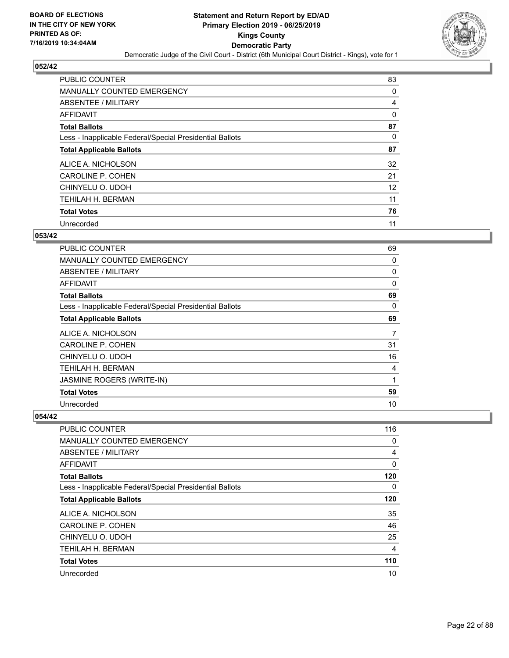

| <b>PUBLIC COUNTER</b>                                    | 83 |
|----------------------------------------------------------|----|
| MANUALLY COUNTED EMERGENCY                               | 0  |
| ABSENTEE / MILITARY                                      | 4  |
| <b>AFFIDAVIT</b>                                         | 0  |
| <b>Total Ballots</b>                                     | 87 |
| Less - Inapplicable Federal/Special Presidential Ballots | 0  |
| <b>Total Applicable Ballots</b>                          | 87 |
| ALICE A. NICHOLSON                                       | 32 |
| <b>CAROLINE P. COHEN</b>                                 | 21 |
| CHINYELU O. UDOH                                         | 12 |
| TEHILAH H. BERMAN                                        | 11 |
| <b>Total Votes</b>                                       | 76 |
| Unrecorded                                               | 11 |

#### **053/42**

| <b>PUBLIC COUNTER</b>                                    | 69           |
|----------------------------------------------------------|--------------|
| <b>MANUALLY COUNTED EMERGENCY</b>                        | 0            |
| ABSENTEE / MILITARY                                      | 0            |
| AFFIDAVIT                                                | $\mathbf{0}$ |
| <b>Total Ballots</b>                                     | 69           |
| Less - Inapplicable Federal/Special Presidential Ballots | $\Omega$     |
| <b>Total Applicable Ballots</b>                          | 69           |
| ALICE A. NICHOLSON                                       | 7            |
| CAROLINE P. COHEN                                        | 31           |
| CHINYELU O. UDOH                                         | 16           |
| TEHILAH H. BERMAN                                        | 4            |
| JASMINE ROGERS (WRITE-IN)                                | 1            |
| <b>Total Votes</b>                                       | 59           |
| Unrecorded                                               | 10           |

| <b>PUBLIC COUNTER</b>                                    | 116            |
|----------------------------------------------------------|----------------|
| MANUALLY COUNTED EMERGENCY                               | 0              |
| ABSENTEE / MILITARY                                      | 4              |
| AFFIDAVIT                                                | 0              |
| <b>Total Ballots</b>                                     | 120            |
| Less - Inapplicable Federal/Special Presidential Ballots | 0              |
| <b>Total Applicable Ballots</b>                          | 120            |
| ALICE A. NICHOLSON                                       | 35             |
| CAROLINE P. COHEN                                        | 46             |
| CHINYELU O. UDOH                                         | 25             |
| TEHILAH H. BERMAN                                        | $\overline{4}$ |
| <b>Total Votes</b>                                       | 110            |
| Unrecorded                                               | 10             |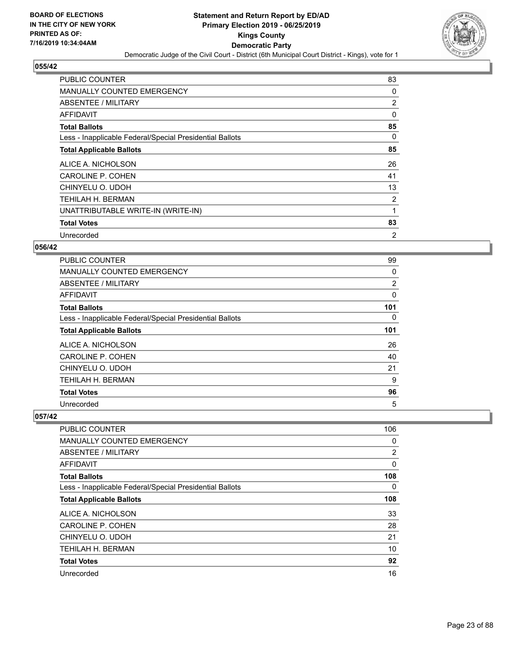

| <b>PUBLIC COUNTER</b>                                    | 83             |
|----------------------------------------------------------|----------------|
| MANUALLY COUNTED EMERGENCY                               | 0              |
| ABSENTEE / MILITARY                                      | $\overline{2}$ |
| AFFIDAVIT                                                | 0              |
| <b>Total Ballots</b>                                     | 85             |
| Less - Inapplicable Federal/Special Presidential Ballots | 0              |
| <b>Total Applicable Ballots</b>                          | 85             |
| ALICE A. NICHOLSON                                       | 26             |
| CAROLINE P. COHEN                                        | 41             |
| CHINYELU O. UDOH                                         | 13             |
| TEHILAH H. BERMAN                                        | 2              |
| UNATTRIBUTABLE WRITE-IN (WRITE-IN)                       | 1              |
| <b>Total Votes</b>                                       | 83             |
| Unrecorded                                               | $\overline{2}$ |

## **056/42**

| <b>PUBLIC COUNTER</b>                                    | 99  |
|----------------------------------------------------------|-----|
| MANUALLY COUNTED EMERGENCY                               | 0   |
| ABSENTEE / MILITARY                                      | 2   |
| AFFIDAVIT                                                | 0   |
| <b>Total Ballots</b>                                     | 101 |
| Less - Inapplicable Federal/Special Presidential Ballots | 0   |
| <b>Total Applicable Ballots</b>                          | 101 |
| ALICE A. NICHOLSON                                       | 26  |
| <b>CAROLINE P. COHEN</b>                                 | 40  |
| CHINYELU O. UDOH                                         | 21  |
| TEHILAH H. BERMAN                                        | 9   |
| <b>Total Votes</b>                                       | 96  |
| Unrecorded                                               | 5   |

| <b>PUBLIC COUNTER</b>                                    | 106 |
|----------------------------------------------------------|-----|
| MANUALLY COUNTED EMERGENCY                               | 0   |
| ABSENTEE / MILITARY                                      | 2   |
| AFFIDAVIT                                                | 0   |
| <b>Total Ballots</b>                                     | 108 |
| Less - Inapplicable Federal/Special Presidential Ballots | 0   |
| <b>Total Applicable Ballots</b>                          | 108 |
| ALICE A. NICHOLSON                                       | 33  |
| CAROLINE P. COHEN                                        | 28  |
| CHINYELU O. UDOH                                         | 21  |
| TEHILAH H. BERMAN                                        | 10  |
| <b>Total Votes</b>                                       | 92  |
| Unrecorded                                               | 16  |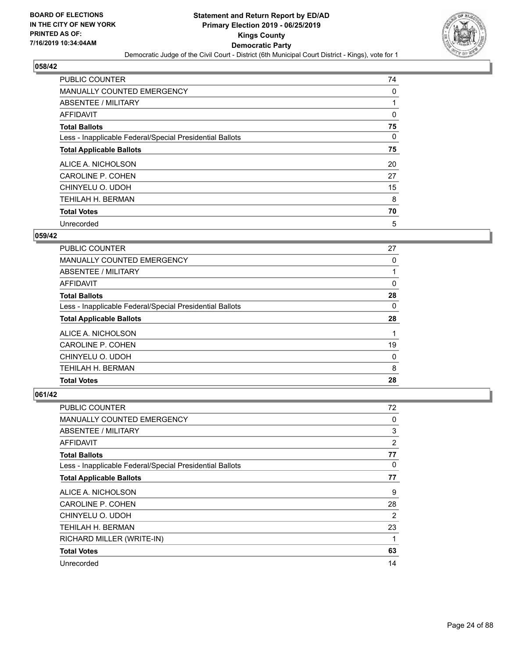

| <b>PUBLIC COUNTER</b>                                    | 74 |
|----------------------------------------------------------|----|
| MANUALLY COUNTED EMERGENCY                               | 0  |
| ABSENTEE / MILITARY                                      |    |
| AFFIDAVIT                                                | 0  |
| <b>Total Ballots</b>                                     | 75 |
| Less - Inapplicable Federal/Special Presidential Ballots | 0  |
| <b>Total Applicable Ballots</b>                          | 75 |
| ALICE A. NICHOLSON                                       | 20 |
| <b>CAROLINE P. COHEN</b>                                 | 27 |
| CHINYELU O. UDOH                                         | 15 |
| TEHILAH H. BERMAN                                        | 8  |
| <b>Total Votes</b>                                       | 70 |
| Unrecorded                                               | 5  |

#### **059/42**

| <b>PUBLIC COUNTER</b>                                    | 27 |
|----------------------------------------------------------|----|
| MANUALLY COUNTED EMERGENCY                               | 0  |
| ABSENTEE / MILITARY                                      |    |
| <b>AFFIDAVIT</b>                                         | 0  |
| <b>Total Ballots</b>                                     | 28 |
| Less - Inapplicable Federal/Special Presidential Ballots | 0  |
| <b>Total Applicable Ballots</b>                          | 28 |
| ALICE A. NICHOLSON                                       |    |
| <b>CAROLINE P. COHEN</b>                                 | 19 |
| CHINYELU O. UDOH                                         | 0  |
| TEHILAH H. BERMAN                                        | 8  |
| <b>Total Votes</b>                                       | 28 |

| <b>PUBLIC COUNTER</b>                                    | 72             |
|----------------------------------------------------------|----------------|
| MANUALLY COUNTED EMERGENCY                               | 0              |
| ABSENTEE / MILITARY                                      | 3              |
| AFFIDAVIT                                                | $\overline{2}$ |
| <b>Total Ballots</b>                                     | 77             |
| Less - Inapplicable Federal/Special Presidential Ballots | 0              |
| <b>Total Applicable Ballots</b>                          | 77             |
| ALICE A. NICHOLSON                                       | 9              |
| CAROLINE P. COHEN                                        | 28             |
| CHINYELU O. UDOH                                         | $\overline{2}$ |
| <b>TEHILAH H. BERMAN</b>                                 | 23             |
| RICHARD MILLER (WRITE-IN)                                | 1              |
| <b>Total Votes</b>                                       | 63             |
| Unrecorded                                               | 14             |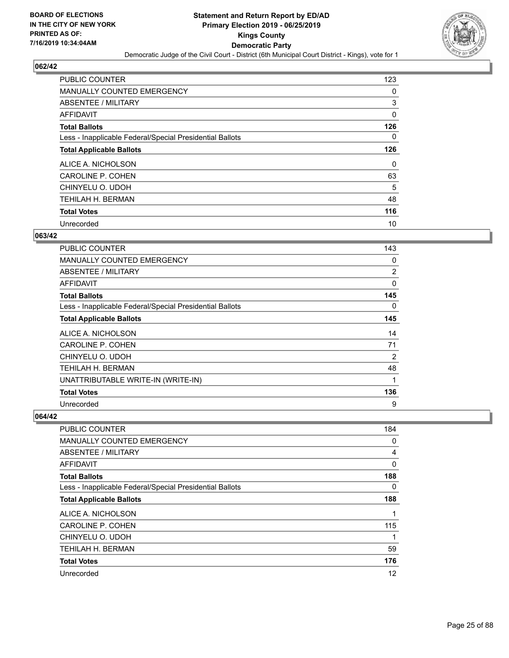

| <b>PUBLIC COUNTER</b>                                    | 123      |
|----------------------------------------------------------|----------|
| MANUALLY COUNTED EMERGENCY                               | 0        |
| ABSENTEE / MILITARY                                      | 3        |
| AFFIDAVIT                                                | 0        |
| <b>Total Ballots</b>                                     | 126      |
| Less - Inapplicable Federal/Special Presidential Ballots | 0        |
| <b>Total Applicable Ballots</b>                          | 126      |
| ALICE A. NICHOLSON                                       | $\Omega$ |
| <b>CAROLINE P. COHEN</b>                                 | 63       |
| CHINYELU O. UDOH                                         | 5        |
| <b>TEHILAH H. BERMAN</b>                                 | 48       |
| <b>Total Votes</b>                                       | 116      |
| Unrecorded                                               | 10       |

#### **063/42**

| <b>PUBLIC COUNTER</b>                                    | 143 |
|----------------------------------------------------------|-----|
| <b>MANUALLY COUNTED EMERGENCY</b>                        | 0   |
| <b>ABSENTEE / MILITARY</b>                               | 2   |
| <b>AFFIDAVIT</b>                                         | 0   |
| <b>Total Ballots</b>                                     | 145 |
| Less - Inapplicable Federal/Special Presidential Ballots | 0   |
| <b>Total Applicable Ballots</b>                          | 145 |
| ALICE A. NICHOLSON                                       | 14  |
| <b>CAROLINE P. COHEN</b>                                 | 71  |
| CHINYELU O. UDOH                                         | 2   |
| TEHILAH H. BERMAN                                        | 48  |
| UNATTRIBUTABLE WRITE-IN (WRITE-IN)                       | 1   |
| <b>Total Votes</b>                                       | 136 |
| Unrecorded                                               | 9   |

| PUBLIC COUNTER                                           | 184      |
|----------------------------------------------------------|----------|
| MANUALLY COUNTED EMERGENCY                               | 0        |
| ABSENTEE / MILITARY                                      | 4        |
| AFFIDAVIT                                                | $\Omega$ |
| <b>Total Ballots</b>                                     | 188      |
| Less - Inapplicable Federal/Special Presidential Ballots | 0        |
| <b>Total Applicable Ballots</b>                          | 188      |
| ALICE A. NICHOLSON                                       |          |
| CAROLINE P. COHEN                                        | 115      |
| CHINYELU O. UDOH                                         | 1        |
| <b>TEHILAH H. BERMAN</b>                                 | 59       |
| <b>Total Votes</b>                                       | 176      |
| Unrecorded                                               | 12       |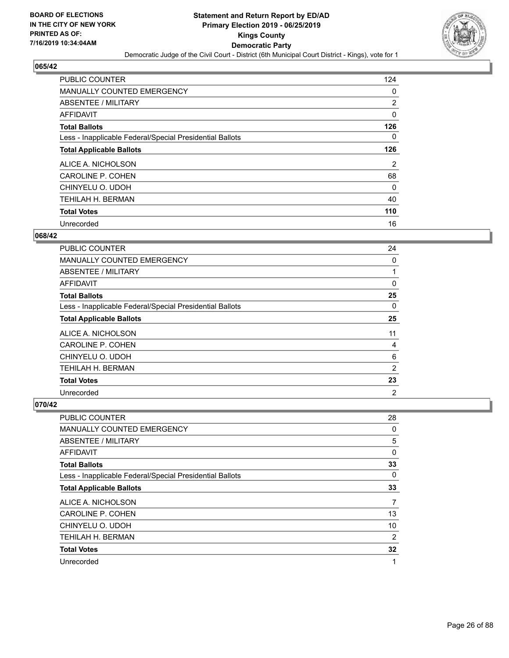

| <b>PUBLIC COUNTER</b>                                    | 124 |
|----------------------------------------------------------|-----|
| <b>MANUALLY COUNTED EMERGENCY</b>                        | 0   |
| ABSENTEE / MILITARY                                      | 2   |
| <b>AFFIDAVIT</b>                                         | 0   |
| <b>Total Ballots</b>                                     | 126 |
| Less - Inapplicable Federal/Special Presidential Ballots | 0   |
| <b>Total Applicable Ballots</b>                          | 126 |
| ALICE A. NICHOLSON                                       | 2   |
| <b>CAROLINE P. COHEN</b>                                 | 68  |
| CHINYELU O. UDOH                                         | 0   |
| <b>TEHILAH H. BERMAN</b>                                 | 40  |
| <b>Total Votes</b>                                       | 110 |
| Unrecorded                                               | 16  |

#### **068/42**

| <b>PUBLIC COUNTER</b>                                    | 24             |
|----------------------------------------------------------|----------------|
| MANUALLY COUNTED EMERGENCY                               | 0              |
| ABSENTEE / MILITARY                                      | 1              |
| AFFIDAVIT                                                | 0              |
| <b>Total Ballots</b>                                     | 25             |
| Less - Inapplicable Federal/Special Presidential Ballots | $\Omega$       |
| <b>Total Applicable Ballots</b>                          | 25             |
| ALICE A. NICHOLSON                                       | 11             |
| CAROLINE P. COHEN                                        | 4              |
| CHINYELU O. UDOH                                         | 6              |
| TEHILAH H. BERMAN                                        | $\overline{2}$ |
| <b>Total Votes</b>                                       | 23             |
| Unrecorded                                               | $\overline{2}$ |

| <b>PUBLIC COUNTER</b>                                    | 28 |
|----------------------------------------------------------|----|
| <b>MANUALLY COUNTED EMERGENCY</b>                        | 0  |
| ABSENTEE / MILITARY                                      | 5  |
| AFFIDAVIT                                                | 0  |
| <b>Total Ballots</b>                                     | 33 |
| Less - Inapplicable Federal/Special Presidential Ballots | 0  |
| <b>Total Applicable Ballots</b>                          | 33 |
| ALICE A. NICHOLSON                                       | 7  |
| <b>CAROLINE P. COHEN</b>                                 | 13 |
| CHINYELU O. UDOH                                         | 10 |
| TEHILAH H. BERMAN                                        | 2  |
| <b>Total Votes</b>                                       | 32 |
| Unrecorded                                               | 1  |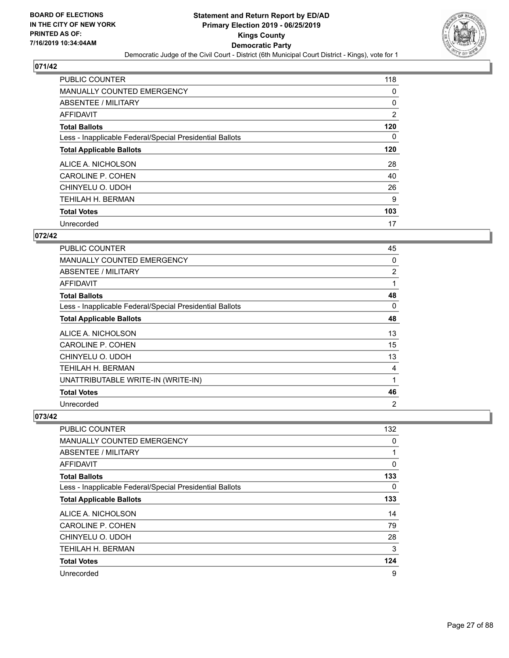

| <b>PUBLIC COUNTER</b>                                    | 118      |
|----------------------------------------------------------|----------|
| <b>MANUALLY COUNTED EMERGENCY</b>                        | 0        |
| ABSENTEE / MILITARY                                      | 0        |
| AFFIDAVIT                                                | 2        |
| <b>Total Ballots</b>                                     | 120      |
| Less - Inapplicable Federal/Special Presidential Ballots | $\Omega$ |
| <b>Total Applicable Ballots</b>                          | 120      |
| ALICE A. NICHOLSON                                       | 28       |
| <b>CAROLINE P. COHEN</b>                                 | 40       |
| CHINYELU O. UDOH                                         | 26       |
| TEHILAH H. BERMAN                                        | 9        |
| <b>Total Votes</b>                                       | 103      |
| Unrecorded                                               | 17       |

#### **072/42**

| PUBLIC COUNTER                                           | 45             |
|----------------------------------------------------------|----------------|
| MANUALLY COUNTED EMERGENCY                               | 0              |
| ABSENTEE / MILITARY                                      | $\overline{2}$ |
| AFFIDAVIT                                                | 1              |
| <b>Total Ballots</b>                                     | 48             |
| Less - Inapplicable Federal/Special Presidential Ballots | 0              |
| <b>Total Applicable Ballots</b>                          | 48             |
| ALICE A. NICHOLSON                                       | 13             |
| <b>CAROLINE P. COHEN</b>                                 | 15             |
| CHINYELU O. UDOH                                         | 13             |
| TEHILAH H. BERMAN                                        | 4              |
| UNATTRIBUTABLE WRITE-IN (WRITE-IN)                       | 1              |
| <b>Total Votes</b>                                       | 46             |
| Unrecorded                                               | 2              |

| <b>PUBLIC COUNTER</b>                                    | 132 |
|----------------------------------------------------------|-----|
| MANUALLY COUNTED EMERGENCY                               | 0   |
| ABSENTEE / MILITARY                                      |     |
| AFFIDAVIT                                                | 0   |
| <b>Total Ballots</b>                                     | 133 |
| Less - Inapplicable Federal/Special Presidential Ballots | 0   |
| <b>Total Applicable Ballots</b>                          | 133 |
| ALICE A. NICHOLSON                                       | 14  |
| CAROLINE P. COHEN                                        | 79  |
| CHINYELU O. UDOH                                         | 28  |
| TEHILAH H. BERMAN                                        | 3   |
| <b>Total Votes</b>                                       | 124 |
| Unrecorded                                               | 9   |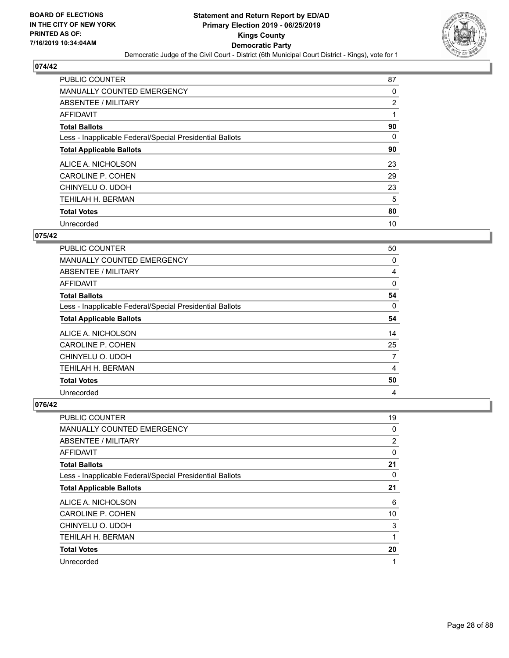

| <b>PUBLIC COUNTER</b>                                    | 87 |
|----------------------------------------------------------|----|
| MANUALLY COUNTED EMERGENCY                               | 0  |
| ABSENTEE / MILITARY                                      | 2  |
| <b>AFFIDAVIT</b>                                         |    |
| <b>Total Ballots</b>                                     | 90 |
| Less - Inapplicable Federal/Special Presidential Ballots | 0  |
| <b>Total Applicable Ballots</b>                          | 90 |
| ALICE A. NICHOLSON                                       | 23 |
| <b>CAROLINE P. COHEN</b>                                 | 29 |
| CHINYELU O. UDOH                                         | 23 |
| TEHILAH H. BERMAN                                        | 5  |
| <b>Total Votes</b>                                       | 80 |
| Unrecorded                                               | 10 |

#### **075/42**

| <b>PUBLIC COUNTER</b>                                    | 50       |
|----------------------------------------------------------|----------|
| <b>MANUALLY COUNTED EMERGENCY</b>                        | 0        |
| ABSENTEE / MILITARY                                      | 4        |
| AFFIDAVIT                                                | 0        |
| <b>Total Ballots</b>                                     | 54       |
| Less - Inapplicable Federal/Special Presidential Ballots | $\Omega$ |
| <b>Total Applicable Ballots</b>                          | 54       |
| ALICE A. NICHOLSON                                       | 14       |
| CAROLINE P. COHEN                                        | 25       |
| CHINYELU O. UDOH                                         | 7        |
| TEHILAH H. BERMAN                                        | 4        |
| <b>Total Votes</b>                                       | 50       |
| Unrecorded                                               | 4        |

| <b>PUBLIC COUNTER</b>                                    | 19 |
|----------------------------------------------------------|----|
| <b>MANUALLY COUNTED EMERGENCY</b>                        | 0  |
| ABSENTEE / MILITARY                                      | 2  |
| AFFIDAVIT                                                | 0  |
| <b>Total Ballots</b>                                     | 21 |
| Less - Inapplicable Federal/Special Presidential Ballots | 0  |
| <b>Total Applicable Ballots</b>                          | 21 |
| ALICE A. NICHOLSON                                       | 6  |
| CAROLINE P. COHEN                                        | 10 |
| CHINYELU O. UDOH                                         | 3  |
| <b>TEHILAH H. BERMAN</b>                                 | 1  |
| <b>Total Votes</b>                                       | 20 |
| Unrecorded                                               | 1  |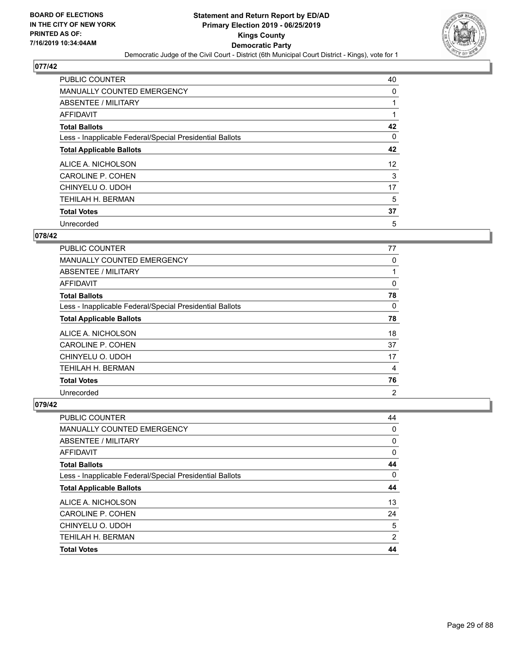

| <b>PUBLIC COUNTER</b>                                    | 40 |
|----------------------------------------------------------|----|
| MANUALLY COUNTED EMERGENCY                               | 0  |
| ABSENTEE / MILITARY                                      |    |
| <b>AFFIDAVIT</b>                                         |    |
| <b>Total Ballots</b>                                     | 42 |
| Less - Inapplicable Federal/Special Presidential Ballots | 0  |
| <b>Total Applicable Ballots</b>                          | 42 |
| ALICE A. NICHOLSON                                       | 12 |
| <b>CAROLINE P. COHEN</b>                                 | 3  |
| CHINYELU O. UDOH                                         | 17 |
| TEHILAH H. BERMAN                                        | 5  |
| <b>Total Votes</b>                                       | 37 |
| Unrecorded                                               | 5  |

#### **078/42**

| <b>PUBLIC COUNTER</b>                                    | 77             |
|----------------------------------------------------------|----------------|
| MANUALLY COUNTED EMERGENCY                               | 0              |
| ABSENTEE / MILITARY                                      |                |
| AFFIDAVIT                                                | 0              |
| <b>Total Ballots</b>                                     | 78             |
| Less - Inapplicable Federal/Special Presidential Ballots | $\Omega$       |
| <b>Total Applicable Ballots</b>                          | 78             |
| ALICE A. NICHOLSON                                       | 18             |
| <b>CAROLINE P. COHEN</b>                                 | 37             |
| CHINYELU O. UDOH                                         | 17             |
| TEHILAH H. BERMAN                                        | 4              |
| <b>Total Votes</b>                                       | 76             |
| Unrecorded                                               | $\overline{2}$ |

| PUBLIC COUNTER                                           | 44             |
|----------------------------------------------------------|----------------|
| <b>MANUALLY COUNTED EMERGENCY</b>                        | 0              |
| ABSENTEE / MILITARY                                      | 0              |
| AFFIDAVIT                                                | 0              |
| <b>Total Ballots</b>                                     | 44             |
| Less - Inapplicable Federal/Special Presidential Ballots | 0              |
| <b>Total Applicable Ballots</b>                          | 44             |
| ALICE A. NICHOLSON                                       | 13             |
| CAROLINE P. COHEN                                        | 24             |
| CHINYELU O. UDOH                                         | 5              |
| <b>TEHILAH H. BERMAN</b>                                 | $\overline{2}$ |
| <b>Total Votes</b>                                       | 44             |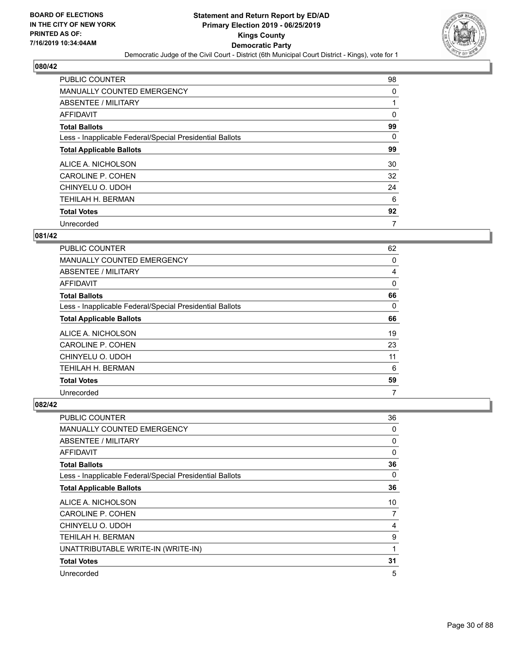

| <b>PUBLIC COUNTER</b>                                    | 98 |
|----------------------------------------------------------|----|
| MANUALLY COUNTED EMERGENCY                               | 0  |
| ABSENTEE / MILITARY                                      |    |
| AFFIDAVIT                                                | 0  |
| <b>Total Ballots</b>                                     | 99 |
| Less - Inapplicable Federal/Special Presidential Ballots | 0  |
| <b>Total Applicable Ballots</b>                          | 99 |
| ALICE A. NICHOLSON                                       | 30 |
| <b>CAROLINE P. COHEN</b>                                 | 32 |
| CHINYELU O. UDOH                                         | 24 |
| TEHILAH H. BERMAN                                        | 6  |
| <b>Total Votes</b>                                       | 92 |
| Unrecorded                                               | 7  |

#### **081/42**

| <b>PUBLIC COUNTER</b>                                    | 62       |
|----------------------------------------------------------|----------|
| MANUALLY COUNTED EMERGENCY                               | 0        |
| ABSENTEE / MILITARY                                      | 4        |
| AFFIDAVIT                                                | 0        |
| <b>Total Ballots</b>                                     | 66       |
| Less - Inapplicable Federal/Special Presidential Ballots | $\Omega$ |
| <b>Total Applicable Ballots</b>                          | 66       |
| ALICE A. NICHOLSON                                       | 19       |
| <b>CAROLINE P. COHEN</b>                                 | 23       |
| CHINYELU O. UDOH                                         | 11       |
| TEHILAH H. BERMAN                                        | 6        |
| <b>Total Votes</b>                                       | 59       |
| Unrecorded                                               | 7        |

| PUBLIC COUNTER                                           | 36 |
|----------------------------------------------------------|----|
| <b>MANUALLY COUNTED EMERGENCY</b>                        | 0  |
| ABSENTEE / MILITARY                                      | 0  |
| <b>AFFIDAVIT</b>                                         | 0  |
| <b>Total Ballots</b>                                     | 36 |
| Less - Inapplicable Federal/Special Presidential Ballots | 0  |
| <b>Total Applicable Ballots</b>                          | 36 |
| ALICE A. NICHOLSON                                       | 10 |
| <b>CAROLINE P. COHEN</b>                                 | 7  |
| CHINYELU O. UDOH                                         | 4  |
| TEHILAH H. BERMAN                                        | 9  |
| UNATTRIBUTABLE WRITE-IN (WRITE-IN)                       | 1  |
| <b>Total Votes</b>                                       | 31 |
| Unrecorded                                               | 5  |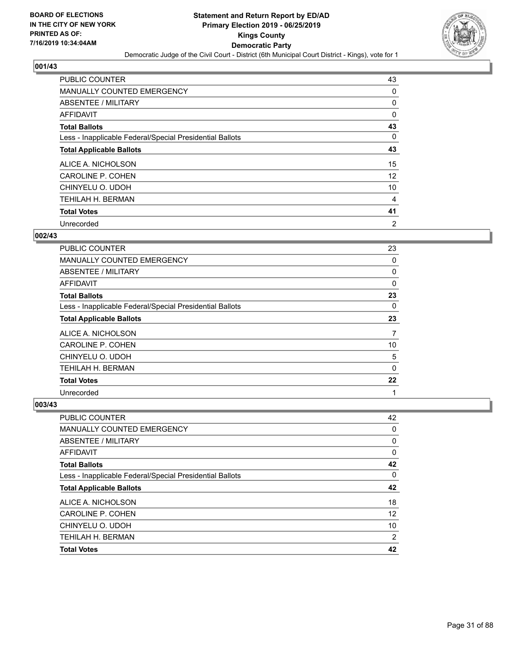

| <b>PUBLIC COUNTER</b>                                    | 43             |
|----------------------------------------------------------|----------------|
| MANUALLY COUNTED EMERGENCY                               | 0              |
| ABSENTEE / MILITARY                                      | 0              |
| <b>AFFIDAVIT</b>                                         | 0              |
| <b>Total Ballots</b>                                     | 43             |
| Less - Inapplicable Federal/Special Presidential Ballots | $\Omega$       |
| <b>Total Applicable Ballots</b>                          | 43             |
| ALICE A. NICHOLSON                                       | 15             |
| <b>CAROLINE P. COHEN</b>                                 | 12             |
| CHINYELU O. UDOH                                         | 10             |
| TEHILAH H. BERMAN                                        | 4              |
| <b>Total Votes</b>                                       | 41             |
| Unrecorded                                               | $\overline{2}$ |

#### **002/43**

| <b>PUBLIC COUNTER</b>                                    | 23       |
|----------------------------------------------------------|----------|
| <b>MANUALLY COUNTED EMERGENCY</b>                        | 0        |
| ABSENTEE / MILITARY                                      | 0        |
| AFFIDAVIT                                                | 0        |
| <b>Total Ballots</b>                                     | 23       |
| Less - Inapplicable Federal/Special Presidential Ballots | $\Omega$ |
| <b>Total Applicable Ballots</b>                          | 23       |
| ALICE A. NICHOLSON                                       | 7        |
| CAROLINE P. COHEN                                        | 10       |
| CHINYELU O. UDOH                                         | 5        |
| <b>TEHILAH H. BERMAN</b>                                 | 0        |
| <b>Total Votes</b>                                       | 22       |
| Unrecorded                                               | 1        |

| PUBLIC COUNTER                                           | 42             |
|----------------------------------------------------------|----------------|
| <b>MANUALLY COUNTED EMERGENCY</b>                        | 0              |
| ABSENTEE / MILITARY                                      | 0              |
| AFFIDAVIT                                                | 0              |
| <b>Total Ballots</b>                                     | 42             |
| Less - Inapplicable Federal/Special Presidential Ballots | 0              |
| <b>Total Applicable Ballots</b>                          | 42             |
| ALICE A. NICHOLSON                                       | 18             |
| CAROLINE P. COHEN                                        | 12             |
| CHINYELU O. UDOH                                         | 10             |
| <b>TEHILAH H. BERMAN</b>                                 | $\overline{2}$ |
| <b>Total Votes</b>                                       | 42             |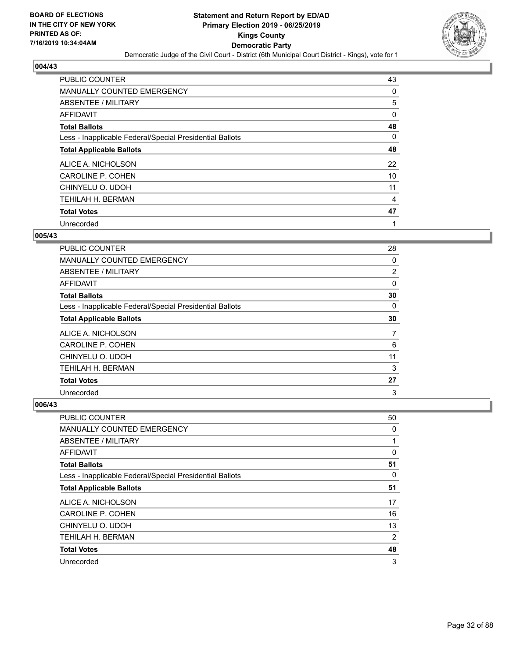

| <b>PUBLIC COUNTER</b>                                    | 43       |
|----------------------------------------------------------|----------|
| MANUALLY COUNTED EMERGENCY                               | 0        |
| ABSENTEE / MILITARY                                      | 5        |
| <b>AFFIDAVIT</b>                                         | 0        |
| <b>Total Ballots</b>                                     | 48       |
| Less - Inapplicable Federal/Special Presidential Ballots | $\Omega$ |
| <b>Total Applicable Ballots</b>                          | 48       |
| ALICE A. NICHOLSON                                       | 22       |
| <b>CAROLINE P. COHEN</b>                                 | 10       |
| CHINYELU O. UDOH                                         | 11       |
| TEHILAH H. BERMAN                                        | 4        |
| <b>Total Votes</b>                                       | 47       |
| Unrecorded                                               | 1        |

#### **005/43**

| PUBLIC COUNTER                                           | 28       |
|----------------------------------------------------------|----------|
| MANUALLY COUNTED EMERGENCY                               | 0        |
| ABSENTEE / MILITARY                                      | 2        |
| AFFIDAVIT                                                | 0        |
| <b>Total Ballots</b>                                     | 30       |
| Less - Inapplicable Federal/Special Presidential Ballots | $\Omega$ |
| <b>Total Applicable Ballots</b>                          | 30       |
| ALICE A. NICHOLSON                                       | 7        |
| <b>CAROLINE P. COHEN</b>                                 | 6        |
| CHINYELU O. UDOH                                         | 11       |
| <b>TEHILAH H. BERMAN</b>                                 | 3        |
| <b>Total Votes</b>                                       | 27       |
| Unrecorded                                               | 3        |

| <b>PUBLIC COUNTER</b>                                    | 50             |
|----------------------------------------------------------|----------------|
| <b>MANUALLY COUNTED EMERGENCY</b>                        | 0              |
| ABSENTEE / MILITARY                                      | 1              |
| AFFIDAVIT                                                | 0              |
| <b>Total Ballots</b>                                     | 51             |
| Less - Inapplicable Federal/Special Presidential Ballots | 0              |
| <b>Total Applicable Ballots</b>                          | 51             |
| ALICE A. NICHOLSON                                       | 17             |
| CAROLINE P. COHEN                                        | 16             |
| CHINYELU O. UDOH                                         | 13             |
| <b>TEHILAH H. BERMAN</b>                                 | $\overline{2}$ |
| <b>Total Votes</b>                                       | 48             |
| Unrecorded                                               | 3              |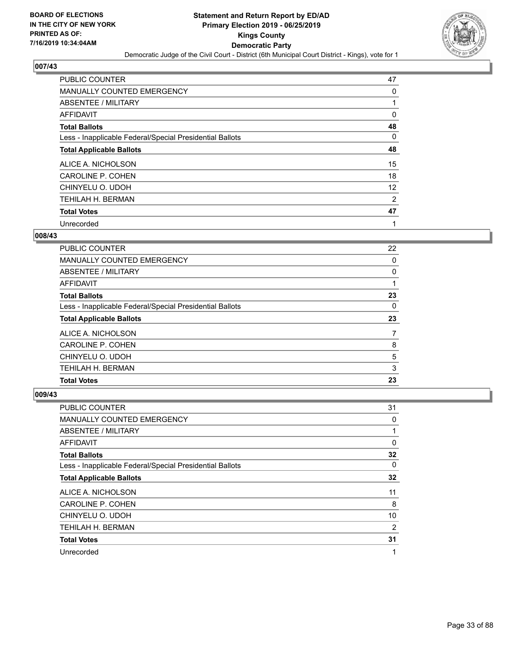

| PUBLIC COUNTER                                           | 47 |
|----------------------------------------------------------|----|
| MANUALLY COUNTED EMERGENCY                               | 0  |
| ABSENTEE / MILITARY                                      |    |
| <b>AFFIDAVIT</b>                                         | 0  |
| <b>Total Ballots</b>                                     | 48 |
| Less - Inapplicable Federal/Special Presidential Ballots | 0  |
| <b>Total Applicable Ballots</b>                          | 48 |
| ALICE A. NICHOLSON                                       | 15 |
| <b>CAROLINE P. COHEN</b>                                 | 18 |
| CHINYELU O. UDOH                                         | 12 |
| <b>TEHILAH H. BERMAN</b>                                 | 2  |
| <b>Total Votes</b>                                       | 47 |
| Unrecorded                                               | 1  |

#### **008/43**

| <b>PUBLIC COUNTER</b>                                    | 22 |
|----------------------------------------------------------|----|
| MANUALLY COUNTED EMERGENCY                               | 0  |
| ABSENTEE / MILITARY                                      | 0  |
| AFFIDAVIT                                                |    |
| <b>Total Ballots</b>                                     | 23 |
| Less - Inapplicable Federal/Special Presidential Ballots | 0  |
| <b>Total Applicable Ballots</b>                          | 23 |
|                                                          | 7  |
| ALICE A. NICHOLSON                                       |    |
| <b>CAROLINE P. COHEN</b>                                 | 8  |
| CHINYELU O. UDOH                                         | 5  |
| TEHILAH H. BERMAN                                        | 3  |

| PUBLIC COUNTER                                           | 31       |
|----------------------------------------------------------|----------|
| MANUALLY COUNTED EMERGENCY                               | 0        |
| ABSENTEE / MILITARY                                      | 1        |
| AFFIDAVIT                                                | 0        |
| <b>Total Ballots</b>                                     | 32       |
| Less - Inapplicable Federal/Special Presidential Ballots | $\Omega$ |
| <b>Total Applicable Ballots</b>                          | 32       |
| ALICE A. NICHOLSON                                       | 11       |
| CAROLINE P. COHEN                                        | 8        |
| CHINYELU O. UDOH                                         | 10       |
| TEHILAH H. BERMAN                                        | 2        |
| <b>Total Votes</b>                                       | 31       |
| Unrecorded                                               | 1        |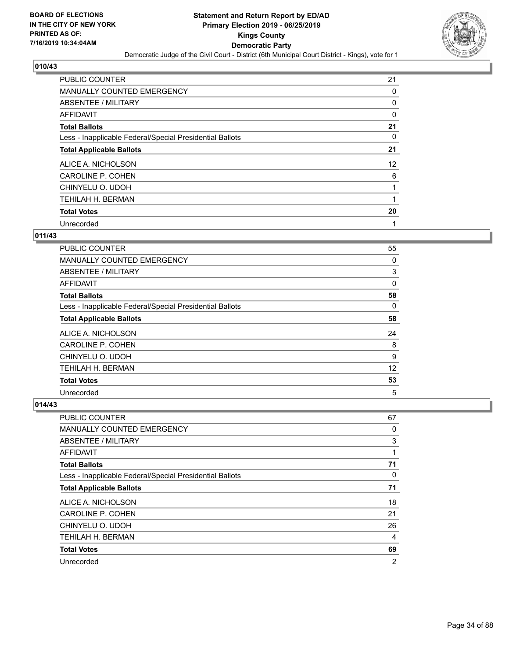

| <b>PUBLIC COUNTER</b>                                    | 21 |
|----------------------------------------------------------|----|
| MANUALLY COUNTED EMERGENCY                               | 0  |
| ABSENTEE / MILITARY                                      | 0  |
| AFFIDAVIT                                                | 0  |
| <b>Total Ballots</b>                                     | 21 |
| Less - Inapplicable Federal/Special Presidential Ballots | 0  |
| <b>Total Applicable Ballots</b>                          | 21 |
| ALICE A. NICHOLSON                                       | 12 |
| <b>CAROLINE P. COHEN</b>                                 | 6  |
| CHINYELU O. UDOH                                         |    |
| TEHILAH H. BERMAN                                        |    |
| <b>Total Votes</b>                                       | 20 |
| Unrecorded                                               | 1  |

#### **011/43**

| <b>PUBLIC COUNTER</b>                                    | 55 |
|----------------------------------------------------------|----|
| <b>MANUALLY COUNTED EMERGENCY</b>                        | 0  |
| ABSENTEE / MILITARY                                      | 3  |
| <b>AFFIDAVIT</b>                                         | 0  |
| <b>Total Ballots</b>                                     | 58 |
| Less - Inapplicable Federal/Special Presidential Ballots | 0  |
| <b>Total Applicable Ballots</b>                          | 58 |
| ALICE A. NICHOLSON                                       | 24 |
| <b>CAROLINE P. COHEN</b>                                 | 8  |
| CHINYELU O. UDOH                                         | 9  |
| TEHILAH H. BERMAN                                        | 12 |
| <b>Total Votes</b>                                       | 53 |
| Unrecorded                                               | 5  |

| PUBLIC COUNTER                                           | 67             |
|----------------------------------------------------------|----------------|
| MANUALLY COUNTED EMERGENCY                               | 0              |
| ABSENTEE / MILITARY                                      | 3              |
| AFFIDAVIT                                                | 1              |
| <b>Total Ballots</b>                                     | 71             |
| Less - Inapplicable Federal/Special Presidential Ballots | 0              |
| <b>Total Applicable Ballots</b>                          | 71             |
| ALICE A. NICHOLSON                                       | 18             |
| CAROLINE P. COHEN                                        | 21             |
| CHINYELU O. UDOH                                         | 26             |
| <b>TEHILAH H. BERMAN</b>                                 | 4              |
| <b>Total Votes</b>                                       | 69             |
| Unrecorded                                               | $\overline{2}$ |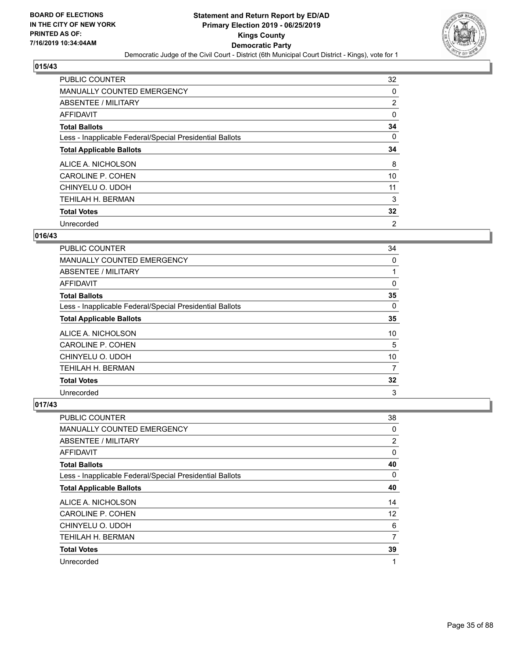

| <b>PUBLIC COUNTER</b>                                    | 32             |
|----------------------------------------------------------|----------------|
| MANUALLY COUNTED EMERGENCY                               | 0              |
| ABSENTEE / MILITARY                                      | 2              |
| <b>AFFIDAVIT</b>                                         | 0              |
| <b>Total Ballots</b>                                     | 34             |
| Less - Inapplicable Federal/Special Presidential Ballots | 0              |
| <b>Total Applicable Ballots</b>                          | 34             |
| ALICE A. NICHOLSON                                       | 8              |
| <b>CAROLINE P. COHEN</b>                                 | 10             |
| CHINYELU O. UDOH                                         | 11             |
| TEHILAH H. BERMAN                                        | 3              |
| <b>Total Votes</b>                                       | 32             |
| Unrecorded                                               | $\overline{2}$ |

#### **016/43**

| <b>PUBLIC COUNTER</b>                                    | 34       |
|----------------------------------------------------------|----------|
| MANUALLY COUNTED EMERGENCY                               | 0        |
| ABSENTEE / MILITARY                                      |          |
| <b>AFFIDAVIT</b>                                         | 0        |
| <b>Total Ballots</b>                                     | 35       |
| Less - Inapplicable Federal/Special Presidential Ballots | $\Omega$ |
| <b>Total Applicable Ballots</b>                          | 35       |
| ALICE A. NICHOLSON                                       | 10       |
| <b>CAROLINE P. COHEN</b>                                 | 5        |
| CHINYELU O. UDOH                                         | 10       |
| TEHILAH H. BERMAN                                        | 7        |
| <b>Total Votes</b>                                       | 32       |
| Unrecorded                                               | 3        |

| <b>PUBLIC COUNTER</b>                                    | 38 |
|----------------------------------------------------------|----|
| <b>MANUALLY COUNTED EMERGENCY</b>                        | 0  |
| ABSENTEE / MILITARY                                      | 2  |
| AFFIDAVIT                                                | 0  |
| <b>Total Ballots</b>                                     | 40 |
| Less - Inapplicable Federal/Special Presidential Ballots | 0  |
| <b>Total Applicable Ballots</b>                          | 40 |
| ALICE A. NICHOLSON                                       | 14 |
| CAROLINE P. COHEN                                        | 12 |
| CHINYELU O. UDOH                                         | 6  |
| <b>TEHILAH H. BERMAN</b>                                 | 7  |
| <b>Total Votes</b>                                       | 39 |
| Unrecorded                                               | 1  |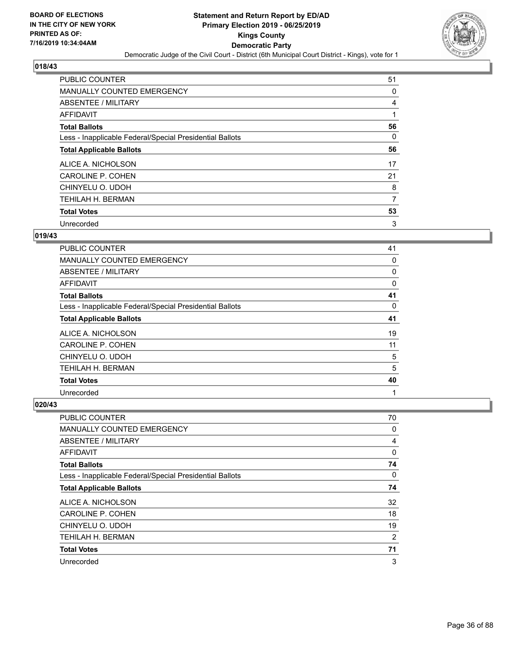

| <b>PUBLIC COUNTER</b>                                    | 51 |
|----------------------------------------------------------|----|
| MANUALLY COUNTED EMERGENCY                               | 0  |
| ABSENTEE / MILITARY                                      | 4  |
| <b>AFFIDAVIT</b>                                         |    |
| <b>Total Ballots</b>                                     | 56 |
| Less - Inapplicable Federal/Special Presidential Ballots | 0  |
| <b>Total Applicable Ballots</b>                          | 56 |
| ALICE A. NICHOLSON                                       | 17 |
| <b>CAROLINE P. COHEN</b>                                 | 21 |
| CHINYELU O. UDOH                                         | 8  |
| TEHILAH H. BERMAN                                        | 7  |
| <b>Total Votes</b>                                       | 53 |
| Unrecorded                                               | 3  |

#### **019/43**

| PUBLIC COUNTER                                           | 41       |
|----------------------------------------------------------|----------|
| MANUALLY COUNTED EMERGENCY                               | 0        |
| ABSENTEE / MILITARY                                      | 0        |
| <b>AFFIDAVIT</b>                                         | 0        |
| <b>Total Ballots</b>                                     | 41       |
| Less - Inapplicable Federal/Special Presidential Ballots | $\Omega$ |
| <b>Total Applicable Ballots</b>                          | 41       |
| ALICE A. NICHOLSON                                       | 19       |
| <b>CAROLINE P. COHEN</b>                                 | 11       |
| CHINYELU O. UDOH                                         | 5        |
| TEHILAH H. BERMAN                                        | 5        |
| <b>Total Votes</b>                                       | 40       |
| Unrecorded                                               | 1        |

| <b>PUBLIC COUNTER</b>                                    | 70       |
|----------------------------------------------------------|----------|
| <b>MANUALLY COUNTED EMERGENCY</b>                        | 0        |
| ABSENTEE / MILITARY                                      | 4        |
| AFFIDAVIT                                                | 0        |
| <b>Total Ballots</b>                                     | 74       |
| Less - Inapplicable Federal/Special Presidential Ballots | $\Omega$ |
| <b>Total Applicable Ballots</b>                          | 74       |
| ALICE A. NICHOLSON                                       | 32       |
| <b>CAROLINE P. COHEN</b>                                 | 18       |
| CHINYELU O. UDOH                                         | 19       |
| TEHILAH H. BERMAN                                        | 2        |
| <b>Total Votes</b>                                       | 71       |
| Unrecorded                                               | 3        |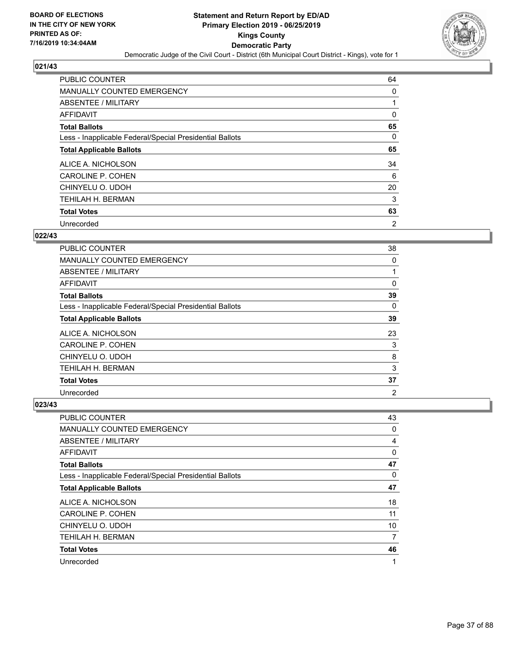

| <b>PUBLIC COUNTER</b>                                    | 64             |
|----------------------------------------------------------|----------------|
| <b>MANUALLY COUNTED EMERGENCY</b>                        | 0              |
| ABSENTEE / MILITARY                                      |                |
| AFFIDAVIT                                                | 0              |
| <b>Total Ballots</b>                                     | 65             |
| Less - Inapplicable Federal/Special Presidential Ballots | 0              |
| <b>Total Applicable Ballots</b>                          | 65             |
| ALICE A. NICHOLSON                                       | 34             |
| CAROLINE P. COHEN                                        | 6              |
| CHINYELU O. UDOH                                         | 20             |
| TEHILAH H. BERMAN                                        | 3              |
| <b>Total Votes</b>                                       | 63             |
| Unrecorded                                               | $\overline{2}$ |

## **022/43**

| PUBLIC COUNTER                                           | 38             |
|----------------------------------------------------------|----------------|
| MANUALLY COUNTED EMERGENCY                               | 0              |
| ABSENTEE / MILITARY                                      | 1              |
| AFFIDAVIT                                                | 0              |
| <b>Total Ballots</b>                                     | 39             |
| Less - Inapplicable Federal/Special Presidential Ballots | $\Omega$       |
| <b>Total Applicable Ballots</b>                          | 39             |
| ALICE A. NICHOLSON                                       | 23             |
| CAROLINE P. COHEN                                        | 3              |
| CHINYELU O. UDOH                                         | 8              |
| <b>TEHILAH H. BERMAN</b>                                 | 3              |
| <b>Total Votes</b>                                       | 37             |
| Unrecorded                                               | $\overline{2}$ |

| <b>PUBLIC COUNTER</b>                                    | 43 |
|----------------------------------------------------------|----|
| <b>MANUALLY COUNTED EMERGENCY</b>                        | 0  |
| ABSENTEE / MILITARY                                      | 4  |
| AFFIDAVIT                                                | 0  |
| <b>Total Ballots</b>                                     | 47 |
| Less - Inapplicable Federal/Special Presidential Ballots | 0  |
| <b>Total Applicable Ballots</b>                          | 47 |
| ALICE A. NICHOLSON                                       | 18 |
| CAROLINE P. COHEN                                        | 11 |
| CHINYELU O. UDOH                                         | 10 |
| <b>TEHILAH H. BERMAN</b>                                 | 7  |
| <b>Total Votes</b>                                       | 46 |
| Unrecorded                                               | 1  |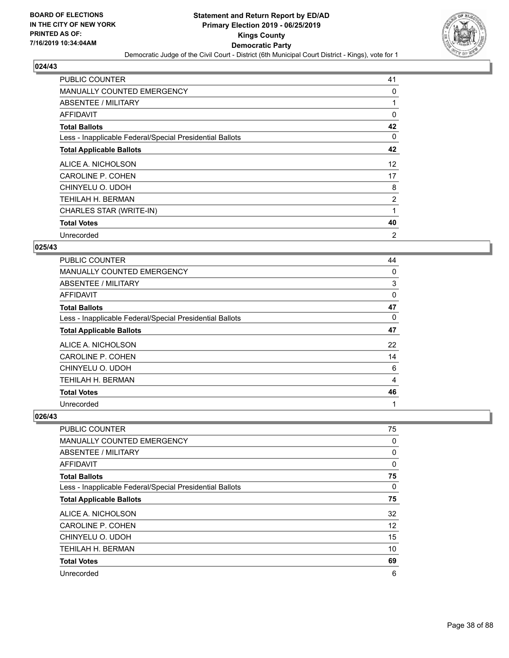

| <b>PUBLIC COUNTER</b>                                    | 41 |
|----------------------------------------------------------|----|
| MANUALLY COUNTED EMERGENCY                               | 0  |
| ABSENTEE / MILITARY                                      |    |
| AFFIDAVIT                                                | 0  |
| <b>Total Ballots</b>                                     | 42 |
| Less - Inapplicable Federal/Special Presidential Ballots | 0  |
| <b>Total Applicable Ballots</b>                          | 42 |
| ALICE A. NICHOLSON                                       | 12 |
| CAROLINE P. COHEN                                        | 17 |
| CHINYELU O. UDOH                                         | 8  |
| TEHILAH H. BERMAN                                        | 2  |
| CHARLES STAR (WRITE-IN)                                  | 1  |
| <b>Total Votes</b>                                       | 40 |
| Unrecorded                                               | 2  |

## **025/43**

| PUBLIC COUNTER                                           | 44 |
|----------------------------------------------------------|----|
| <b>MANUALLY COUNTED EMERGENCY</b>                        | 0  |
| ABSENTEE / MILITARY                                      | 3  |
| AFFIDAVIT                                                | 0  |
| <b>Total Ballots</b>                                     | 47 |
| Less - Inapplicable Federal/Special Presidential Ballots | 0  |
| <b>Total Applicable Ballots</b>                          | 47 |
| ALICE A. NICHOLSON                                       | 22 |
| CAROLINE P. COHEN                                        | 14 |
| CHINYELU O. UDOH                                         | 6  |
| TEHILAH H. BERMAN                                        | 4  |
| <b>Total Votes</b>                                       | 46 |
| Unrecorded                                               | 1  |

| <b>PUBLIC COUNTER</b>                                    | 75       |
|----------------------------------------------------------|----------|
| MANUALLY COUNTED EMERGENCY                               | 0        |
| ABSENTEE / MILITARY                                      | 0        |
| AFFIDAVIT                                                | $\Omega$ |
| <b>Total Ballots</b>                                     | 75       |
| Less - Inapplicable Federal/Special Presidential Ballots | $\Omega$ |
| <b>Total Applicable Ballots</b>                          | 75       |
| ALICE A. NICHOLSON                                       | 32       |
| <b>CAROLINE P. COHEN</b>                                 | 12       |
| CHINYELU O. UDOH                                         | 15       |
| <b>TEHILAH H. BERMAN</b>                                 | 10       |
| <b>Total Votes</b>                                       | 69       |
| Unrecorded                                               | 6        |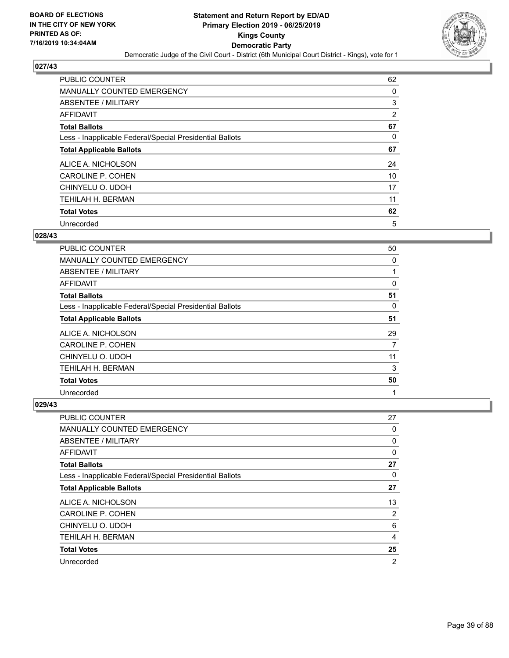

| <b>PUBLIC COUNTER</b>                                    | 62 |
|----------------------------------------------------------|----|
| <b>MANUALLY COUNTED EMERGENCY</b>                        | 0  |
| ABSENTEE / MILITARY                                      | 3  |
| AFFIDAVIT                                                | 2  |
| <b>Total Ballots</b>                                     | 67 |
| Less - Inapplicable Federal/Special Presidential Ballots | 0  |
| <b>Total Applicable Ballots</b>                          | 67 |
| ALICE A. NICHOLSON                                       | 24 |
| CAROLINE P. COHEN                                        | 10 |
| CHINYELU O. UDOH                                         | 17 |
| <b>TEHILAH H. BERMAN</b>                                 | 11 |
| <b>Total Votes</b>                                       | 62 |
| Unrecorded                                               | 5  |

## **028/43**

| <b>PUBLIC COUNTER</b>                                    | 50 |
|----------------------------------------------------------|----|
| MANUALLY COUNTED EMERGENCY                               | 0  |
| ABSENTEE / MILITARY                                      |    |
| <b>AFFIDAVIT</b>                                         | 0  |
| <b>Total Ballots</b>                                     | 51 |
| Less - Inapplicable Federal/Special Presidential Ballots | 0  |
| <b>Total Applicable Ballots</b>                          | 51 |
| ALICE A. NICHOLSON                                       | 29 |
| CAROLINE P. COHEN                                        | 7  |
| CHINYELU O. UDOH                                         | 11 |
| TEHILAH H. BERMAN                                        | 3  |
| <b>Total Votes</b>                                       | 50 |
| Unrecorded                                               | 1  |

| <b>PUBLIC COUNTER</b>                                    | 27 |
|----------------------------------------------------------|----|
| <b>MANUALLY COUNTED EMERGENCY</b>                        | 0  |
| ABSENTEE / MILITARY                                      | 0  |
| AFFIDAVIT                                                | 0  |
| <b>Total Ballots</b>                                     | 27 |
| Less - Inapplicable Federal/Special Presidential Ballots | 0  |
| <b>Total Applicable Ballots</b>                          | 27 |
| ALICE A. NICHOLSON                                       | 13 |
| CAROLINE P. COHEN                                        | 2  |
| CHINYELU O. UDOH                                         | 6  |
| <b>TEHILAH H. BERMAN</b>                                 | 4  |
| <b>Total Votes</b>                                       | 25 |
| Unrecorded                                               | 2  |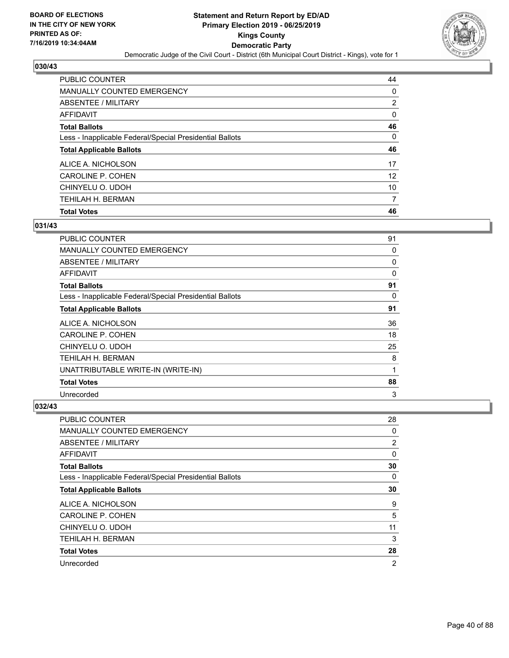

| <b>PUBLIC COUNTER</b>                                    | 44       |
|----------------------------------------------------------|----------|
| MANUALLY COUNTED EMERGENCY                               | 0        |
| ABSENTEE / MILITARY                                      | 2        |
| AFFIDAVIT                                                | $\Omega$ |
| <b>Total Ballots</b>                                     | 46       |
| Less - Inapplicable Federal/Special Presidential Ballots | $\Omega$ |
| <b>Total Applicable Ballots</b>                          | 46       |
| ALICE A. NICHOLSON                                       | 17       |
| CAROLINE P. COHEN                                        | 12       |
| CHINYELU O. UDOH                                         | 10       |
|                                                          |          |
| <b>TEHILAH H. BERMAN</b>                                 | 7        |

## **031/43**

| <b>PUBLIC COUNTER</b>                                    | 91           |
|----------------------------------------------------------|--------------|
| <b>MANUALLY COUNTED EMERGENCY</b>                        | 0            |
| ABSENTEE / MILITARY                                      | 0            |
| AFFIDAVIT                                                | $\mathbf{0}$ |
| <b>Total Ballots</b>                                     | 91           |
| Less - Inapplicable Federal/Special Presidential Ballots | 0            |
| <b>Total Applicable Ballots</b>                          | 91           |
| ALICE A. NICHOLSON                                       | 36           |
| <b>CAROLINE P. COHEN</b>                                 | 18           |
| CHINYELU O. UDOH                                         | 25           |
| <b>TEHILAH H. BERMAN</b>                                 | 8            |
| UNATTRIBUTABLE WRITE-IN (WRITE-IN)                       | 1            |
| <b>Total Votes</b>                                       | 88           |
| Unrecorded                                               | 3            |

| <b>PUBLIC COUNTER</b>                                    | 28             |
|----------------------------------------------------------|----------------|
| MANUALLY COUNTED EMERGENCY                               | 0              |
| ABSENTEE / MILITARY                                      | $\overline{2}$ |
| AFFIDAVIT                                                | 0              |
| <b>Total Ballots</b>                                     | 30             |
| Less - Inapplicable Federal/Special Presidential Ballots | 0              |
| <b>Total Applicable Ballots</b>                          | 30             |
| ALICE A. NICHOLSON                                       | 9              |
| CAROLINE P. COHEN                                        | 5              |
| CHINYELU O. UDOH                                         | 11             |
| <b>TEHILAH H. BERMAN</b>                                 | 3              |
| <b>Total Votes</b>                                       | 28             |
| Unrecorded                                               | 2              |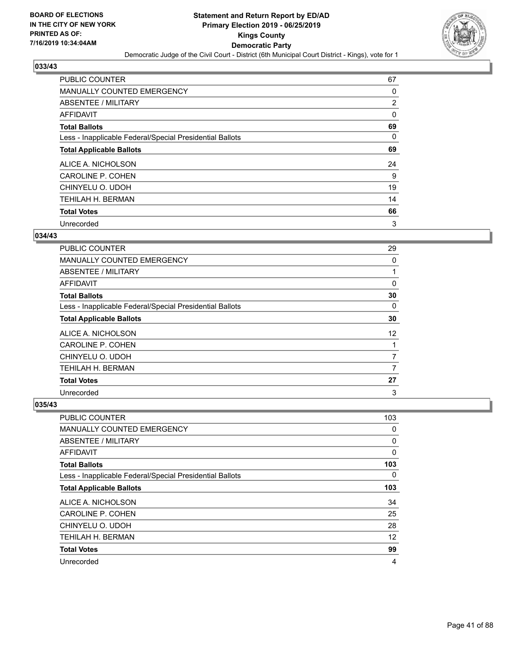

| <b>PUBLIC COUNTER</b>                                    | 67             |
|----------------------------------------------------------|----------------|
| <b>MANUALLY COUNTED EMERGENCY</b>                        | 0              |
| ABSENTEE / MILITARY                                      | $\overline{2}$ |
| AFFIDAVIT                                                | 0              |
| <b>Total Ballots</b>                                     | 69             |
| Less - Inapplicable Federal/Special Presidential Ballots | 0              |
| <b>Total Applicable Ballots</b>                          | 69             |
| ALICE A. NICHOLSON                                       | 24             |
| CAROLINE P. COHEN                                        | 9              |
| CHINYELU O. UDOH                                         | 19             |
| <b>TEHILAH H. BERMAN</b>                                 | 14             |
| <b>Total Votes</b>                                       | 66             |
| Unrecorded                                               | 3              |

## **034/43**

| PUBLIC COUNTER                                           | 29             |
|----------------------------------------------------------|----------------|
| MANUALLY COUNTED EMERGENCY                               | 0              |
| ABSENTEE / MILITARY                                      |                |
| AFFIDAVIT                                                | 0              |
| <b>Total Ballots</b>                                     | 30             |
| Less - Inapplicable Federal/Special Presidential Ballots | $\Omega$       |
| <b>Total Applicable Ballots</b>                          | 30             |
| ALICE A. NICHOLSON                                       | 12             |
| CAROLINE P. COHEN                                        |                |
| CHINYELU O. UDOH                                         | $\overline{7}$ |
| <b>TEHILAH H. BERMAN</b>                                 | 7              |
| <b>Total Votes</b>                                       | 27             |
| Unrecorded                                               | 3              |

| <b>PUBLIC COUNTER</b>                                    | 103 |
|----------------------------------------------------------|-----|
| <b>MANUALLY COUNTED EMERGENCY</b>                        | 0   |
| ABSENTEE / MILITARY                                      | 0   |
| AFFIDAVIT                                                | 0   |
| <b>Total Ballots</b>                                     | 103 |
| Less - Inapplicable Federal/Special Presidential Ballots | 0   |
| <b>Total Applicable Ballots</b>                          | 103 |
| ALICE A. NICHOLSON                                       | 34  |
| CAROLINE P. COHEN                                        | 25  |
| CHINYELU O. UDOH                                         | 28  |
| TEHILAH H. BERMAN                                        | 12  |
| <b>Total Votes</b>                                       | 99  |
| Unrecorded                                               | 4   |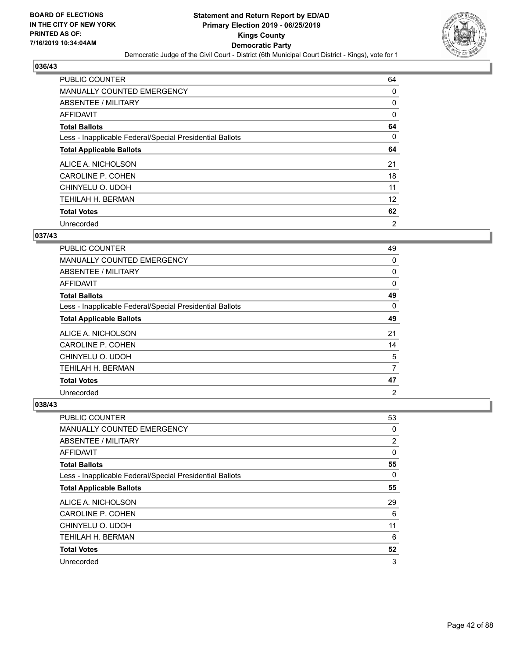

| <b>PUBLIC COUNTER</b>                                    | 64             |
|----------------------------------------------------------|----------------|
| <b>MANUALLY COUNTED EMERGENCY</b>                        | 0              |
| ABSENTEE / MILITARY                                      | 0              |
| <b>AFFIDAVIT</b>                                         | 0              |
| <b>Total Ballots</b>                                     | 64             |
| Less - Inapplicable Federal/Special Presidential Ballots | 0              |
| <b>Total Applicable Ballots</b>                          | 64             |
| ALICE A. NICHOLSON                                       | 21             |
| CAROLINE P. COHEN                                        | 18             |
| CHINYELU O. UDOH                                         | 11             |
| TEHILAH H. BERMAN                                        | 12             |
| <b>Total Votes</b>                                       | 62             |
| Unrecorded                                               | $\overline{2}$ |

## **037/43**

| <b>PUBLIC COUNTER</b>                                    | 49             |
|----------------------------------------------------------|----------------|
| MANUALLY COUNTED EMERGENCY                               | 0              |
| ABSENTEE / MILITARY                                      | 0              |
| <b>AFFIDAVIT</b>                                         | 0              |
| <b>Total Ballots</b>                                     | 49             |
| Less - Inapplicable Federal/Special Presidential Ballots | $\Omega$       |
| <b>Total Applicable Ballots</b>                          | 49             |
| ALICE A. NICHOLSON                                       | 21             |
| CAROLINE P. COHEN                                        | 14             |
| CHINYELU O. UDOH                                         | 5              |
| TEHILAH H. BERMAN                                        | 7              |
| <b>Total Votes</b>                                       | 47             |
| Unrecorded                                               | $\overline{2}$ |

| <b>PUBLIC COUNTER</b>                                    | 53             |
|----------------------------------------------------------|----------------|
| <b>MANUALLY COUNTED EMERGENCY</b>                        | 0              |
| <b>ABSENTEE / MILITARY</b>                               | $\overline{2}$ |
| AFFIDAVIT                                                | 0              |
| <b>Total Ballots</b>                                     | 55             |
| Less - Inapplicable Federal/Special Presidential Ballots | $\Omega$       |
| <b>Total Applicable Ballots</b>                          | 55             |
| ALICE A. NICHOLSON                                       | 29             |
| CAROLINE P. COHEN                                        | 6              |
| CHINYELU O. UDOH                                         | 11             |
| TEHILAH H. BERMAN                                        | 6              |
| <b>Total Votes</b>                                       | 52             |
| Unrecorded                                               | 3              |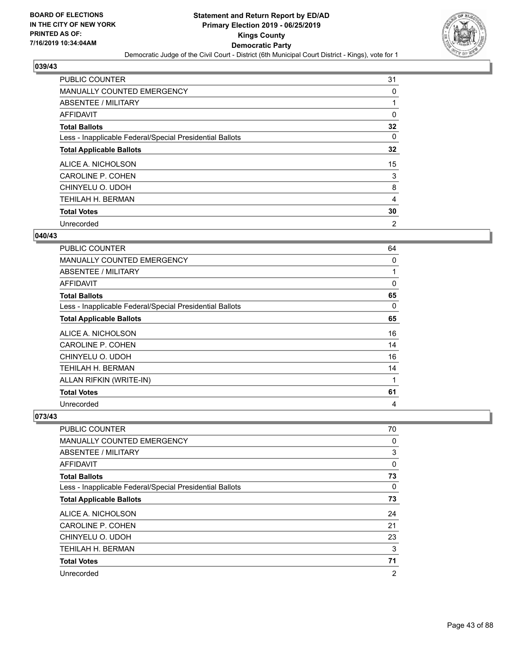

| <b>PUBLIC COUNTER</b>                                    | 31             |
|----------------------------------------------------------|----------------|
| MANUALLY COUNTED EMERGENCY                               | 0              |
| ABSENTEE / MILITARY                                      |                |
| AFFIDAVIT                                                | 0              |
| <b>Total Ballots</b>                                     | 32             |
| Less - Inapplicable Federal/Special Presidential Ballots | 0              |
| <b>Total Applicable Ballots</b>                          | 32             |
| ALICE A. NICHOLSON                                       | 15             |
| <b>CAROLINE P. COHEN</b>                                 | 3              |
| CHINYELU O. UDOH                                         | 8              |
| TEHILAH H. BERMAN                                        | $\overline{4}$ |
| <b>Total Votes</b>                                       | 30             |
| Unrecorded                                               | $\overline{2}$ |

## **040/43**

| PUBLIC COUNTER                                           | 64       |
|----------------------------------------------------------|----------|
| <b>MANUALLY COUNTED EMERGENCY</b>                        | 0        |
| ABSENTEE / MILITARY                                      | 1        |
| AFFIDAVIT                                                | $\Omega$ |
| <b>Total Ballots</b>                                     | 65       |
| Less - Inapplicable Federal/Special Presidential Ballots | 0        |
| <b>Total Applicable Ballots</b>                          | 65       |
| ALICE A. NICHOLSON                                       | 16       |
| <b>CAROLINE P. COHEN</b>                                 | 14       |
| CHINYELU O. UDOH                                         | 16       |
| TEHILAH H. BERMAN                                        | 14       |
| ALLAN RIFKIN (WRITE-IN)                                  | 1        |
| <b>Total Votes</b>                                       | 61       |
| Unrecorded                                               | 4        |

| PUBLIC COUNTER                                           | 70             |
|----------------------------------------------------------|----------------|
| MANUALLY COUNTED EMERGENCY                               | 0              |
| ABSENTEE / MILITARY                                      | 3              |
| AFFIDAVIT                                                | $\Omega$       |
| <b>Total Ballots</b>                                     | 73             |
| Less - Inapplicable Federal/Special Presidential Ballots | $\Omega$       |
| <b>Total Applicable Ballots</b>                          | 73             |
| ALICE A. NICHOLSON                                       | 24             |
| <b>CAROLINE P. COHEN</b>                                 | 21             |
| CHINYELU O. UDOH                                         | 23             |
| <b>TEHILAH H. BERMAN</b>                                 | 3              |
| <b>Total Votes</b>                                       | 71             |
| Unrecorded                                               | $\overline{2}$ |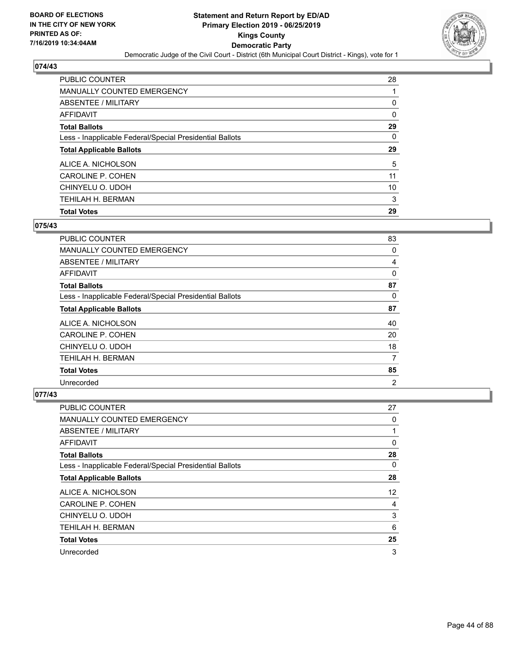

| PUBLIC COUNTER                                           | 28 |
|----------------------------------------------------------|----|
| <b>MANUALLY COUNTED EMERGENCY</b>                        |    |
| ABSENTEE / MILITARY                                      | 0  |
| AFFIDAVIT                                                | 0  |
| <b>Total Ballots</b>                                     | 29 |
| Less - Inapplicable Federal/Special Presidential Ballots | 0  |
| <b>Total Applicable Ballots</b>                          | 29 |
|                                                          |    |
| ALICE A. NICHOLSON                                       | 5  |
| CAROLINE P. COHEN                                        | 11 |
| CHINYELU O. UDOH                                         | 10 |
| <b>TEHILAH H. BERMAN</b>                                 | 3  |

## **075/43**

| PUBLIC COUNTER                                           | 83             |
|----------------------------------------------------------|----------------|
| <b>MANUALLY COUNTED EMERGENCY</b>                        | $\Omega$       |
| ABSENTEE / MILITARY                                      | 4              |
| AFFIDAVIT                                                | $\mathbf{0}$   |
| <b>Total Ballots</b>                                     | 87             |
| Less - Inapplicable Federal/Special Presidential Ballots | 0              |
| <b>Total Applicable Ballots</b>                          | 87             |
| ALICE A. NICHOLSON                                       | 40             |
| <b>CAROLINE P. COHEN</b>                                 | 20             |
| CHINYELU O. UDOH                                         | 18             |
| TEHILAH H. BERMAN                                        | 7              |
| <b>Total Votes</b>                                       | 85             |
| Unrecorded                                               | $\overline{2}$ |

| PUBLIC COUNTER                                           | 27                |
|----------------------------------------------------------|-------------------|
| <b>MANUALLY COUNTED EMERGENCY</b>                        | 0                 |
| ABSENTEE / MILITARY                                      | 1                 |
| AFFIDAVIT                                                | 0                 |
| <b>Total Ballots</b>                                     | 28                |
| Less - Inapplicable Federal/Special Presidential Ballots | 0                 |
| <b>Total Applicable Ballots</b>                          | 28                |
| ALICE A. NICHOLSON                                       | $12 \overline{ }$ |
| CAROLINE P. COHEN                                        | 4                 |
| CHINYELU O. UDOH                                         | 3                 |
| TEHILAH H. BERMAN                                        | 6                 |
| <b>Total Votes</b>                                       | 25                |
| Unrecorded                                               | 3                 |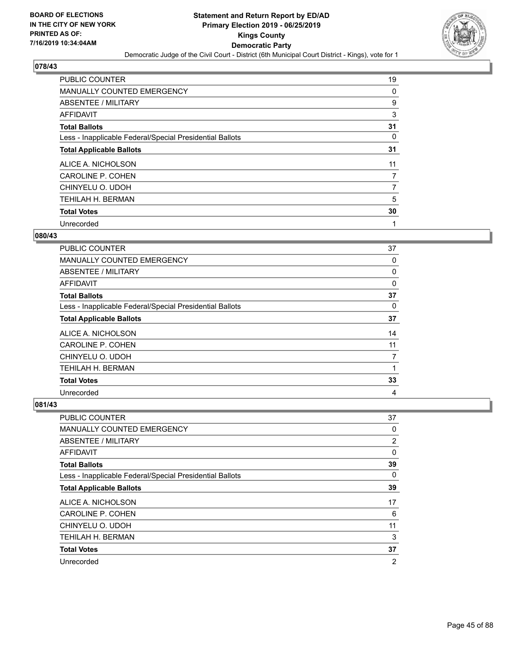

| <b>PUBLIC COUNTER</b>                                    | 19 |
|----------------------------------------------------------|----|
| <b>MANUALLY COUNTED EMERGENCY</b>                        | 0  |
| ABSENTEE / MILITARY                                      | 9  |
| AFFIDAVIT                                                | 3  |
| <b>Total Ballots</b>                                     | 31 |
| Less - Inapplicable Federal/Special Presidential Ballots | 0  |
| <b>Total Applicable Ballots</b>                          | 31 |
| ALICE A. NICHOLSON                                       | 11 |
| <b>CAROLINE P. COHEN</b>                                 | 7  |
| CHINYELU O. UDOH                                         |    |
| TEHILAH H. BERMAN                                        | 5  |
| <b>Total Votes</b>                                       | 30 |
| Unrecorded                                               | 1  |

## **080/43**

| PUBLIC COUNTER                                           | 37 |
|----------------------------------------------------------|----|
| MANUALLY COUNTED EMERGENCY                               | 0  |
| ABSENTEE / MILITARY                                      | 0  |
| AFFIDAVIT                                                | 0  |
| <b>Total Ballots</b>                                     | 37 |
| Less - Inapplicable Federal/Special Presidential Ballots | 0  |
| <b>Total Applicable Ballots</b>                          | 37 |
| ALICE A. NICHOLSON                                       | 14 |
| CAROLINE P. COHEN                                        | 11 |
| CHINYELU O. UDOH                                         | 7  |
| TEHILAH H. BERMAN                                        |    |
| <b>Total Votes</b>                                       | 33 |
| Unrecorded                                               | 4  |

| PUBLIC COUNTER                                           | 37             |
|----------------------------------------------------------|----------------|
| <b>MANUALLY COUNTED EMERGENCY</b>                        | 0              |
| ABSENTEE / MILITARY                                      | 2              |
| AFFIDAVIT                                                | 0              |
| <b>Total Ballots</b>                                     | 39             |
| Less - Inapplicable Federal/Special Presidential Ballots | 0              |
| <b>Total Applicable Ballots</b>                          | 39             |
| ALICE A. NICHOLSON                                       | 17             |
| CAROLINE P. COHEN                                        | 6              |
| CHINYELU O. UDOH                                         | 11             |
| TEHILAH H. BERMAN                                        | 3              |
| <b>Total Votes</b>                                       | 37             |
| Unrecorded                                               | $\overline{2}$ |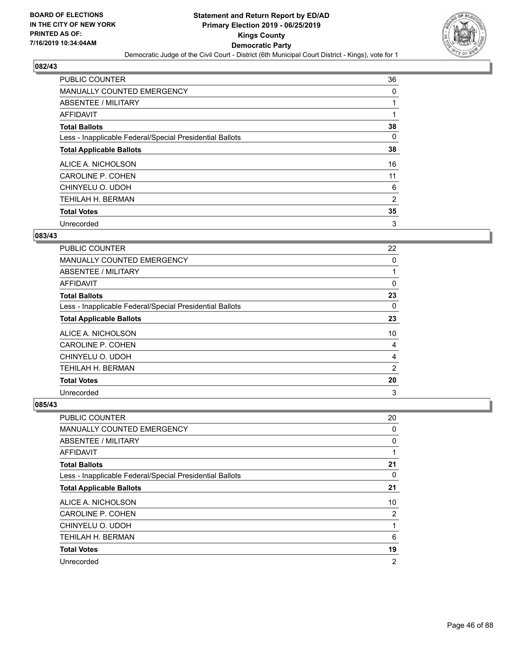

| <b>PUBLIC COUNTER</b>                                    | 36 |
|----------------------------------------------------------|----|
| <b>MANUALLY COUNTED EMERGENCY</b>                        | 0  |
| ABSENTEE / MILITARY                                      |    |
| <b>AFFIDAVIT</b>                                         |    |
| <b>Total Ballots</b>                                     | 38 |
| Less - Inapplicable Federal/Special Presidential Ballots | 0  |
| <b>Total Applicable Ballots</b>                          | 38 |
| ALICE A. NICHOLSON                                       | 16 |
| CAROLINE P. COHEN                                        | 11 |
| CHINYELU O. UDOH                                         | 6  |
| TEHILAH H. BERMAN                                        | 2  |
| <b>Total Votes</b>                                       | 35 |
| Unrecorded                                               | 3  |

## **083/43**

| PUBLIC COUNTER                                           | 22             |
|----------------------------------------------------------|----------------|
| <b>MANUALLY COUNTED EMERGENCY</b>                        | 0              |
| ABSENTEE / MILITARY                                      | 1              |
| AFFIDAVIT                                                | 0              |
| <b>Total Ballots</b>                                     | 23             |
| Less - Inapplicable Federal/Special Presidential Ballots | $\Omega$       |
| <b>Total Applicable Ballots</b>                          | 23             |
| ALICE A. NICHOLSON                                       | 10             |
| CAROLINE P. COHEN                                        | 4              |
| CHINYELU O. UDOH                                         | 4              |
| <b>TEHILAH H. BERMAN</b>                                 | $\overline{2}$ |
| <b>Total Votes</b>                                       | 20             |
| Unrecorded                                               | 3              |

| <b>PUBLIC COUNTER</b>                                    | 20             |
|----------------------------------------------------------|----------------|
| <b>MANUALLY COUNTED EMERGENCY</b>                        | 0              |
| ABSENTEE / MILITARY                                      | 0              |
| AFFIDAVIT                                                | 1              |
| <b>Total Ballots</b>                                     | 21             |
| Less - Inapplicable Federal/Special Presidential Ballots | 0              |
| <b>Total Applicable Ballots</b>                          | 21             |
| ALICE A. NICHOLSON                                       | 10             |
| CAROLINE P. COHEN                                        | 2              |
| CHINYELU O. UDOH                                         | 1              |
| <b>TEHILAH H. BERMAN</b>                                 | 6              |
| <b>Total Votes</b>                                       | 19             |
| Unrecorded                                               | $\overline{2}$ |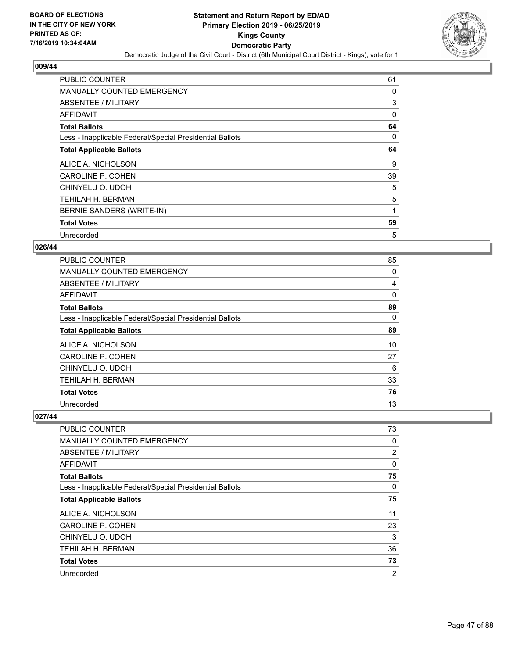

| <b>PUBLIC COUNTER</b>                                    | 61 |
|----------------------------------------------------------|----|
| MANUALLY COUNTED EMERGENCY                               | 0  |
| ABSENTEE / MILITARY                                      | 3  |
| AFFIDAVIT                                                | 0  |
| <b>Total Ballots</b>                                     | 64 |
| Less - Inapplicable Federal/Special Presidential Ballots | 0  |
| <b>Total Applicable Ballots</b>                          | 64 |
| ALICE A. NICHOLSON                                       | 9  |
| <b>CAROLINE P. COHEN</b>                                 | 39 |
| CHINYELU O. UDOH                                         | 5  |
| TEHILAH H. BERMAN                                        | 5  |
| BERNIE SANDERS (WRITE-IN)                                | 1  |
| <b>Total Votes</b>                                       | 59 |
| Unrecorded                                               | 5  |

## **026/44**

| <b>PUBLIC COUNTER</b>                                    | 85 |
|----------------------------------------------------------|----|
| <b>MANUALLY COUNTED EMERGENCY</b>                        | 0  |
| ABSENTEE / MILITARY                                      | 4  |
| AFFIDAVIT                                                | 0  |
| <b>Total Ballots</b>                                     | 89 |
| Less - Inapplicable Federal/Special Presidential Ballots | 0  |
| <b>Total Applicable Ballots</b>                          | 89 |
| ALICE A. NICHOLSON                                       | 10 |
| CAROLINE P. COHEN                                        | 27 |
| CHINYELU O. UDOH                                         | 6  |
| TEHILAH H. BERMAN                                        | 33 |
| <b>Total Votes</b>                                       | 76 |
| Unrecorded                                               | 13 |

| <b>PUBLIC COUNTER</b>                                    | 73 |
|----------------------------------------------------------|----|
| MANUALLY COUNTED EMERGENCY                               | 0  |
| ABSENTEE / MILITARY                                      | 2  |
| AFFIDAVIT                                                | 0  |
| <b>Total Ballots</b>                                     | 75 |
| Less - Inapplicable Federal/Special Presidential Ballots | 0  |
| <b>Total Applicable Ballots</b>                          | 75 |
| ALICE A. NICHOLSON                                       | 11 |
| CAROLINE P. COHEN                                        | 23 |
| CHINYELU O. UDOH                                         | 3  |
| TEHILAH H. BERMAN                                        | 36 |
| <b>Total Votes</b>                                       | 73 |
| Unrecorded                                               | 2  |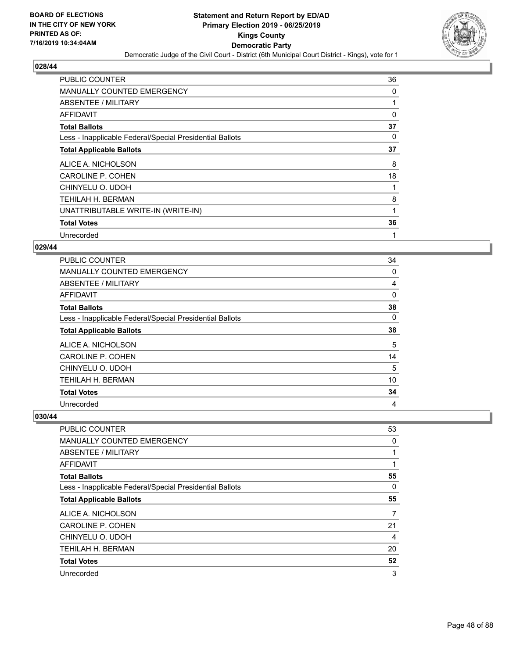

| <b>PUBLIC COUNTER</b>                                    | 36       |
|----------------------------------------------------------|----------|
| <b>MANUALLY COUNTED EMERGENCY</b>                        | 0        |
| ABSENTEE / MILITARY                                      |          |
| AFFIDAVIT                                                | $\Omega$ |
| <b>Total Ballots</b>                                     | 37       |
| Less - Inapplicable Federal/Special Presidential Ballots | 0        |
| <b>Total Applicable Ballots</b>                          | 37       |
| ALICE A. NICHOLSON                                       | 8        |
| <b>CAROLINE P. COHEN</b>                                 | 18       |
| CHINYELU O. UDOH                                         |          |
| TEHILAH H. BERMAN                                        | 8        |
| UNATTRIBUTABLE WRITE-IN (WRITE-IN)                       |          |
| <b>Total Votes</b>                                       | 36       |
| Unrecorded                                               | 1        |

## **029/44**

| PUBLIC COUNTER                                           | 34 |
|----------------------------------------------------------|----|
| MANUALLY COUNTED EMERGENCY                               | 0  |
| ABSENTEE / MILITARY                                      | 4  |
| AFFIDAVIT                                                | 0  |
| <b>Total Ballots</b>                                     | 38 |
| Less - Inapplicable Federal/Special Presidential Ballots | 0  |
| <b>Total Applicable Ballots</b>                          | 38 |
| ALICE A. NICHOLSON                                       | 5  |
| CAROLINE P. COHEN                                        | 14 |
| CHINYELU O. UDOH                                         | 5  |
| TEHILAH H. BERMAN                                        | 10 |
| <b>Total Votes</b>                                       | 34 |
| Unrecorded                                               | 4  |

| <b>PUBLIC COUNTER</b>                                    | 53 |
|----------------------------------------------------------|----|
| MANUALLY COUNTED EMERGENCY                               | 0  |
| ABSENTEE / MILITARY                                      |    |
| AFFIDAVIT                                                |    |
| <b>Total Ballots</b>                                     | 55 |
| Less - Inapplicable Federal/Special Presidential Ballots | 0  |
| <b>Total Applicable Ballots</b>                          | 55 |
| ALICE A. NICHOLSON                                       | 7  |
| CAROLINE P. COHEN                                        | 21 |
| CHINYELU O. UDOH                                         | 4  |
| TEHILAH H. BERMAN                                        | 20 |
| <b>Total Votes</b>                                       | 52 |
| Unrecorded                                               | 3  |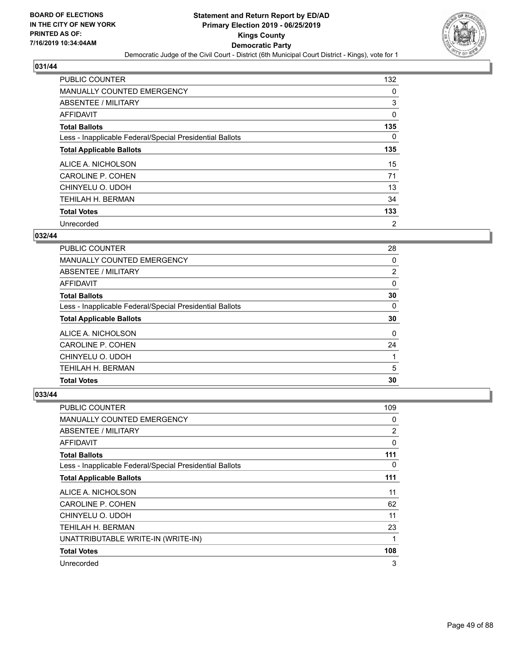

| <b>PUBLIC COUNTER</b>                                    | 132      |
|----------------------------------------------------------|----------|
| <b>MANUALLY COUNTED EMERGENCY</b>                        | 0        |
| ABSENTEE / MILITARY                                      | 3        |
| <b>AFFIDAVIT</b>                                         | 0        |
| <b>Total Ballots</b>                                     | 135      |
| Less - Inapplicable Federal/Special Presidential Ballots | $\Omega$ |
| <b>Total Applicable Ballots</b>                          | 135      |
| ALICE A. NICHOLSON                                       | 15       |
| CAROLINE P. COHEN                                        | 71       |
| CHINYELU O. UDOH                                         | 13       |
| TEHILAH H. BERMAN                                        | 34       |
| <b>Total Votes</b>                                       | 133      |
| Unrecorded                                               | 2        |

# **032/44**

| <b>PUBLIC COUNTER</b>                                    | 28             |
|----------------------------------------------------------|----------------|
| <b>MANUALLY COUNTED EMERGENCY</b>                        | 0              |
| ABSENTEE / MILITARY                                      | $\overline{2}$ |
| <b>AFFIDAVIT</b>                                         | 0              |
| <b>Total Ballots</b>                                     | 30             |
| Less - Inapplicable Federal/Special Presidential Ballots | 0              |
| <b>Total Applicable Ballots</b>                          | 30             |
| ALICE A. NICHOLSON                                       | $\Omega$       |
| CAROLINE P. COHEN                                        | 24             |
| CHINYELU O. UDOH                                         |                |
| TEHILAH H. BERMAN                                        | 5              |
| <b>Total Votes</b>                                       | 30             |

| <b>PUBLIC COUNTER</b>                                    | 109 |
|----------------------------------------------------------|-----|
| MANUALLY COUNTED EMERGENCY                               | 0   |
| ABSENTEE / MILITARY                                      | 2   |
| AFFIDAVIT                                                | 0   |
| <b>Total Ballots</b>                                     | 111 |
| Less - Inapplicable Federal/Special Presidential Ballots | 0   |
| <b>Total Applicable Ballots</b>                          | 111 |
| ALICE A. NICHOLSON                                       | 11  |
| CAROLINE P. COHEN                                        | 62  |
| CHINYELU O. UDOH                                         | 11  |
| TEHILAH H. BERMAN                                        | 23  |
| UNATTRIBUTABLE WRITE-IN (WRITE-IN)                       | 1   |
| <b>Total Votes</b>                                       | 108 |
| Unrecorded                                               | 3   |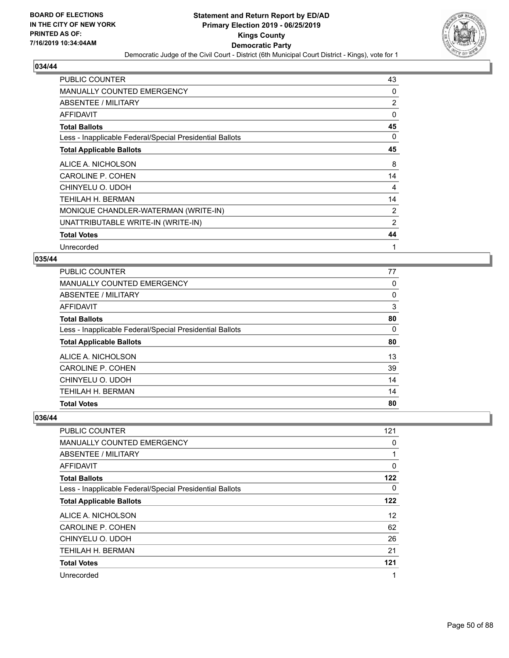

| <b>PUBLIC COUNTER</b>                                    | 43             |
|----------------------------------------------------------|----------------|
| MANUALLY COUNTED EMERGENCY                               | 0              |
| ABSENTEE / MILITARY                                      | $\overline{2}$ |
| <b>AFFIDAVIT</b>                                         | 0              |
| <b>Total Ballots</b>                                     | 45             |
| Less - Inapplicable Federal/Special Presidential Ballots | $\Omega$       |
| <b>Total Applicable Ballots</b>                          | 45             |
| ALICE A. NICHOLSON                                       | 8              |
| CAROLINE P. COHEN                                        | 14             |
| CHINYELU O. UDOH                                         | 4              |
| TEHILAH H. BERMAN                                        | 14             |
| MONIQUE CHANDLER-WATERMAN (WRITE-IN)                     | 2              |
| UNATTRIBUTABLE WRITE-IN (WRITE-IN)                       | 2              |
| <b>Total Votes</b>                                       | 44             |
| Unrecorded                                               | 1              |

## **035/44**

| <b>PUBLIC COUNTER</b>                                    | 77 |
|----------------------------------------------------------|----|
| <b>MANUALLY COUNTED EMERGENCY</b>                        | 0  |
| ABSENTEE / MILITARY                                      | 0  |
| <b>AFFIDAVIT</b>                                         | 3  |
| <b>Total Ballots</b>                                     | 80 |
| Less - Inapplicable Federal/Special Presidential Ballots | 0  |
| <b>Total Applicable Ballots</b>                          | 80 |
| ALICE A. NICHOLSON                                       | 13 |
| <b>CAROLINE P. COHEN</b>                                 | 39 |
| CHINYELU O. UDOH                                         | 14 |
| <b>TEHILAH H. BERMAN</b>                                 | 14 |
| <b>Total Votes</b>                                       | 80 |

| PUBLIC COUNTER                                           | 121      |
|----------------------------------------------------------|----------|
| MANUALLY COUNTED EMERGENCY                               | 0        |
| ABSENTEE / MILITARY                                      |          |
| AFFIDAVIT                                                | 0        |
| <b>Total Ballots</b>                                     | 122      |
| Less - Inapplicable Federal/Special Presidential Ballots | $\Omega$ |
| <b>Total Applicable Ballots</b>                          | 122      |
| ALICE A. NICHOLSON                                       | 12       |
| CAROLINE P. COHEN                                        | 62       |
| CHINYELU O. UDOH                                         | 26       |
| <b>TEHILAH H. BERMAN</b>                                 | 21       |
| <b>Total Votes</b>                                       | 121      |
| Unrecorded                                               | 1        |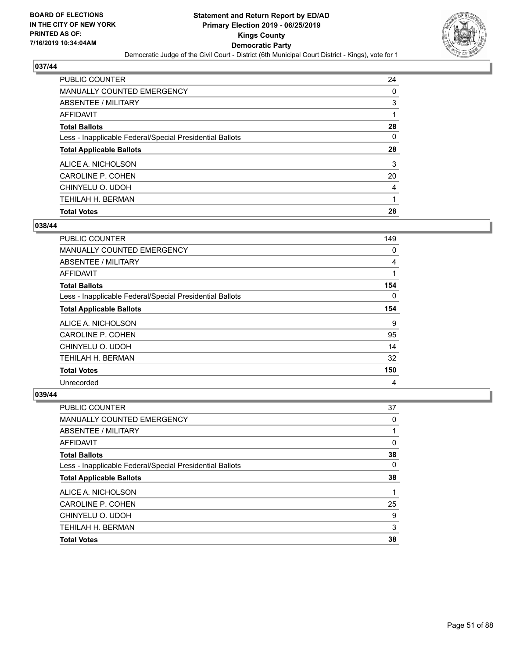

| <b>PUBLIC COUNTER</b>                                    | 24 |
|----------------------------------------------------------|----|
| <b>MANUALLY COUNTED EMERGENCY</b>                        | 0  |
| <b>ABSENTEE / MILITARY</b>                               | 3  |
| AFFIDAVIT                                                |    |
| <b>Total Ballots</b>                                     | 28 |
| Less - Inapplicable Federal/Special Presidential Ballots | 0  |
| <b>Total Applicable Ballots</b>                          | 28 |
| ALICE A. NICHOLSON                                       | 3  |
| CAROLINE P. COHEN                                        | 20 |
| CHINYELU O. UDOH                                         | 4  |
| <b>TEHILAH H. BERMAN</b>                                 | 1  |
| <b>Total Votes</b>                                       | 28 |

### **038/44**

| <b>PUBLIC COUNTER</b>                                    | 149          |
|----------------------------------------------------------|--------------|
| <b>MANUALLY COUNTED EMERGENCY</b>                        | 0            |
| ABSENTEE / MILITARY                                      | 4            |
| AFFIDAVIT                                                | $\mathbf{1}$ |
| <b>Total Ballots</b>                                     | 154          |
| Less - Inapplicable Federal/Special Presidential Ballots | 0            |
| <b>Total Applicable Ballots</b>                          | 154          |
| ALICE A. NICHOLSON                                       | 9            |
| CAROLINE P. COHEN                                        | 95           |
| CHINYELU O. UDOH                                         | 14           |
| TEHILAH H. BERMAN                                        | 32           |
| <b>Total Votes</b>                                       | 150          |
| Unrecorded                                               | 4            |

| PUBLIC COUNTER                                           | 37 |
|----------------------------------------------------------|----|
| <b>MANUALLY COUNTED EMERGENCY</b>                        | 0  |
| <b>ABSENTEE / MILITARY</b>                               |    |
| <b>AFFIDAVIT</b>                                         | 0  |
| <b>Total Ballots</b>                                     | 38 |
| Less - Inapplicable Federal/Special Presidential Ballots | 0  |
| <b>Total Applicable Ballots</b>                          | 38 |
| ALICE A. NICHOLSON                                       |    |
| <b>CAROLINE P. COHEN</b>                                 | 25 |
| CHINYELU O. UDOH                                         | 9  |
| TEHILAH H. BERMAN                                        | 3  |
| <b>Total Votes</b>                                       | 38 |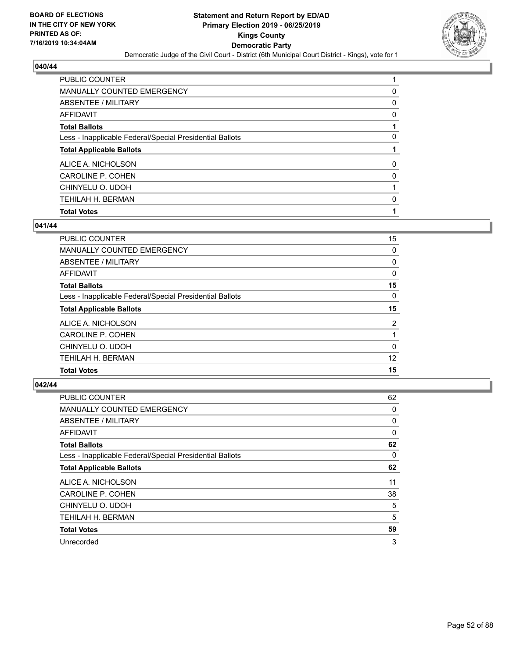

| <b>PUBLIC COUNTER</b>                                    |          |
|----------------------------------------------------------|----------|
| <b>MANUALLY COUNTED EMERGENCY</b>                        | 0        |
| ABSENTEE / MILITARY                                      | 0        |
| AFFIDAVIT                                                | 0        |
| <b>Total Ballots</b>                                     |          |
| Less - Inapplicable Federal/Special Presidential Ballots | 0        |
| <b>Total Applicable Ballots</b>                          |          |
| ALICE A. NICHOLSON                                       | $\Omega$ |
| CAROLINE P. COHEN                                        | 0        |
| CHINYELU O. UDOH                                         |          |
| <b>TEHILAH H. BERMAN</b>                                 | 0        |
| <b>Total Votes</b>                                       |          |

### **041/44**

| <b>PUBLIC COUNTER</b>                                    | 15             |
|----------------------------------------------------------|----------------|
| <b>MANUALLY COUNTED EMERGENCY</b>                        | 0              |
| ABSENTEE / MILITARY                                      | 0              |
| AFFIDAVIT                                                | 0              |
| <b>Total Ballots</b>                                     | 15             |
| Less - Inapplicable Federal/Special Presidential Ballots | 0              |
| <b>Total Applicable Ballots</b>                          | 15             |
| ALICE A. NICHOLSON                                       | $\overline{2}$ |
| CAROLINE P. COHEN                                        |                |
| CHINYELU O. UDOH                                         | 0              |
| TEHILAH H. BERMAN                                        | 12             |
| <b>Total Votes</b>                                       | 15             |
|                                                          |                |

| <b>PUBLIC COUNTER</b>                                    | 62       |
|----------------------------------------------------------|----------|
| <b>MANUALLY COUNTED EMERGENCY</b>                        | 0        |
| ABSENTEE / MILITARY                                      | 0        |
| AFFIDAVIT                                                | 0        |
| <b>Total Ballots</b>                                     | 62       |
| Less - Inapplicable Federal/Special Presidential Ballots | $\Omega$ |
| <b>Total Applicable Ballots</b>                          | 62       |
| ALICE A. NICHOLSON                                       | 11       |
| <b>CAROLINE P. COHEN</b>                                 | 38       |
| CHINYELU O. UDOH                                         | 5        |
| TEHILAH H. BERMAN                                        | 5        |
| <b>Total Votes</b>                                       | 59       |
| Unrecorded                                               | 3        |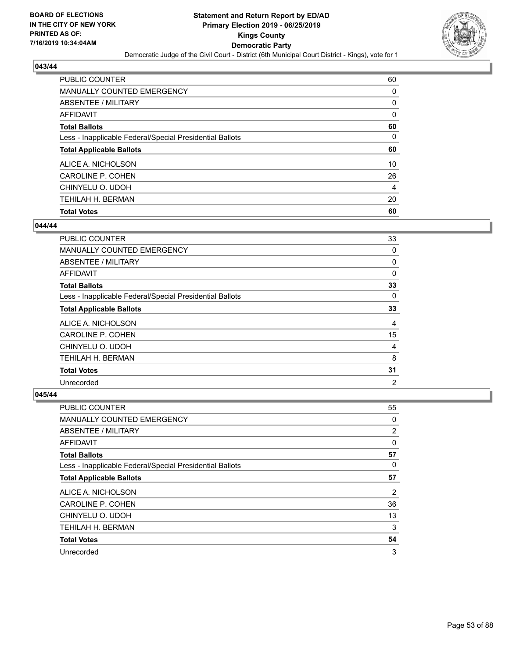

| <b>PUBLIC COUNTER</b>                                    | 60       |
|----------------------------------------------------------|----------|
| <b>MANUALLY COUNTED EMERGENCY</b>                        | 0        |
| ABSENTEE / MILITARY                                      | 0        |
| AFFIDAVIT                                                | $\Omega$ |
| <b>Total Ballots</b>                                     | 60       |
| Less - Inapplicable Federal/Special Presidential Ballots | 0        |
| <b>Total Applicable Ballots</b>                          | 60       |
| ALICE A. NICHOLSON                                       | 10       |
| CAROLINE P. COHEN                                        | 26       |
| CHINYELU O. UDOH                                         | 4        |
| <b>TEHILAH H. BERMAN</b>                                 | 20       |
| <b>Total Votes</b>                                       | 60       |

### **044/44**

| PUBLIC COUNTER                                           | 33             |
|----------------------------------------------------------|----------------|
| MANUALLY COUNTED EMERGENCY                               | 0              |
| ABSENTEE / MILITARY                                      | 0              |
| AFFIDAVIT                                                | 0              |
| <b>Total Ballots</b>                                     | 33             |
| Less - Inapplicable Federal/Special Presidential Ballots | 0              |
| <b>Total Applicable Ballots</b>                          | 33             |
| ALICE A. NICHOLSON                                       | 4              |
| CAROLINE P. COHEN                                        | 15             |
| CHINYELU O. UDOH                                         | 4              |
| TEHILAH H. BERMAN                                        | 8              |
| <b>Total Votes</b>                                       | 31             |
| Unrecorded                                               | $\overline{2}$ |

| PUBLIC COUNTER                                           | 55             |
|----------------------------------------------------------|----------------|
| MANUALLY COUNTED EMERGENCY                               | 0              |
| ABSENTEE / MILITARY                                      | 2              |
| AFFIDAVIT                                                | 0              |
| <b>Total Ballots</b>                                     | 57             |
| Less - Inapplicable Federal/Special Presidential Ballots | 0              |
| <b>Total Applicable Ballots</b>                          | 57             |
| ALICE A. NICHOLSON                                       | $\overline{2}$ |
| CAROLINE P. COHEN                                        | 36             |
| CHINYELU O. UDOH                                         | 13             |
| TEHILAH H. BERMAN                                        | 3              |
| <b>Total Votes</b>                                       | 54             |
| Unrecorded                                               | 3              |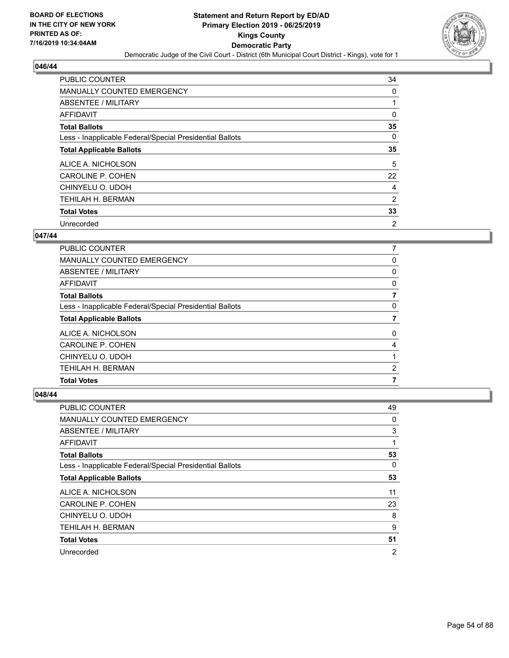

| <b>PUBLIC COUNTER</b>                                    | 34 |
|----------------------------------------------------------|----|
| <b>MANUALLY COUNTED EMERGENCY</b>                        | 0  |
| ABSENTEE / MILITARY                                      |    |
| <b>AFFIDAVIT</b>                                         | 0  |
| <b>Total Ballots</b>                                     | 35 |
| Less - Inapplicable Federal/Special Presidential Ballots | 0  |
| <b>Total Applicable Ballots</b>                          | 35 |
| ALICE A. NICHOLSON                                       | 5  |
| CAROLINE P. COHEN                                        | 22 |
| CHINYELU O. UDOH                                         | 4  |
| <b>TEHILAH H. BERMAN</b>                                 | 2  |
| <b>Total Votes</b>                                       | 33 |
| Unrecorded                                               | 2  |

## **047/44**

| <b>PUBLIC COUNTER</b>                                    | 7        |
|----------------------------------------------------------|----------|
| MANUALLY COUNTED EMERGENCY                               | 0        |
| ABSENTEE / MILITARY                                      | 0        |
| AFFIDAVIT                                                | 0        |
| <b>Total Ballots</b>                                     |          |
| Less - Inapplicable Federal/Special Presidential Ballots | 0        |
| <b>Total Applicable Ballots</b>                          |          |
| ALICE A. NICHOLSON                                       | $\Omega$ |
| CAROLINE P. COHEN                                        | 4        |
| CHINYELU O. UDOH                                         |          |
| TEHILAH H. BERMAN                                        | 2        |
| <b>Total Votes</b>                                       |          |

| PUBLIC COUNTER                                           | 49             |
|----------------------------------------------------------|----------------|
| MANUALLY COUNTED EMERGENCY                               | 0              |
| ABSENTEE / MILITARY                                      | 3              |
| AFFIDAVIT                                                | 1              |
| <b>Total Ballots</b>                                     | 53             |
| Less - Inapplicable Federal/Special Presidential Ballots | $\Omega$       |
| <b>Total Applicable Ballots</b>                          | 53             |
| ALICE A. NICHOLSON                                       | 11             |
| CAROLINE P. COHEN                                        | 23             |
| CHINYELU O. UDOH                                         | 8              |
| TEHILAH H. BERMAN                                        | 9              |
| <b>Total Votes</b>                                       | 51             |
| Unrecorded                                               | $\overline{2}$ |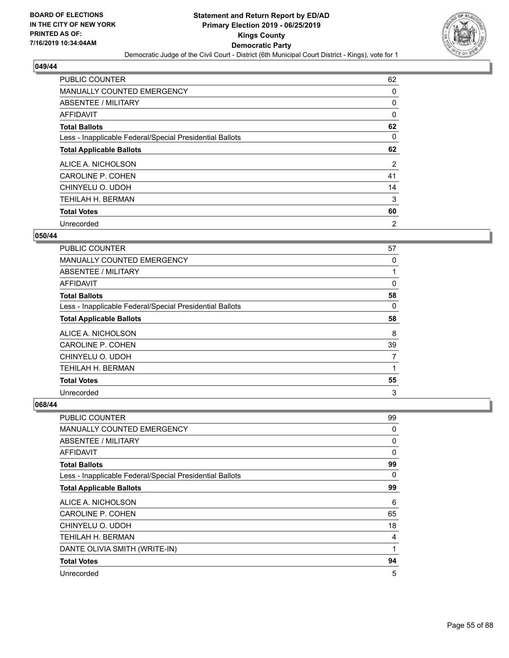

| <b>PUBLIC COUNTER</b>                                    | 62             |
|----------------------------------------------------------|----------------|
| <b>MANUALLY COUNTED EMERGENCY</b>                        | 0              |
| ABSENTEE / MILITARY                                      | 0              |
| <b>AFFIDAVIT</b>                                         | 0              |
| <b>Total Ballots</b>                                     | 62             |
| Less - Inapplicable Federal/Special Presidential Ballots | 0              |
| <b>Total Applicable Ballots</b>                          | 62             |
| ALICE A. NICHOLSON                                       | 2              |
| CAROLINE P. COHEN                                        | 41             |
| CHINYELU O. UDOH                                         | 14             |
| <b>TEHILAH H. BERMAN</b>                                 | 3              |
| <b>Total Votes</b>                                       | 60             |
| Unrecorded                                               | $\overline{2}$ |

## **050/44**

| <b>PUBLIC COUNTER</b>                                    | 57 |
|----------------------------------------------------------|----|
| MANUALLY COUNTED EMERGENCY                               | 0  |
| ABSENTEE / MILITARY                                      |    |
| <b>AFFIDAVIT</b>                                         | 0  |
| <b>Total Ballots</b>                                     | 58 |
| Less - Inapplicable Federal/Special Presidential Ballots | 0  |
| <b>Total Applicable Ballots</b>                          | 58 |
| ALICE A. NICHOLSON                                       | 8  |
| CAROLINE P. COHEN                                        | 39 |
| CHINYELU O. UDOH                                         | 7  |
| TEHILAH H. BERMAN                                        |    |
| <b>Total Votes</b>                                       | 55 |
| Unrecorded                                               | 3  |

| PUBLIC COUNTER                                           | 99           |
|----------------------------------------------------------|--------------|
| <b>MANUALLY COUNTED EMERGENCY</b>                        | 0            |
| ABSENTEE / MILITARY                                      | 0            |
| <b>AFFIDAVIT</b>                                         | $\mathbf{0}$ |
| <b>Total Ballots</b>                                     | 99           |
| Less - Inapplicable Federal/Special Presidential Ballots | 0            |
| <b>Total Applicable Ballots</b>                          | 99           |
| ALICE A. NICHOLSON                                       | 6            |
| <b>CAROLINE P. COHEN</b>                                 | 65           |
| CHINYELU O. UDOH                                         | 18           |
| TEHILAH H. BERMAN                                        | 4            |
| DANTE OLIVIA SMITH (WRITE-IN)                            | 1            |
| <b>Total Votes</b>                                       | 94           |
| Unrecorded                                               | 5            |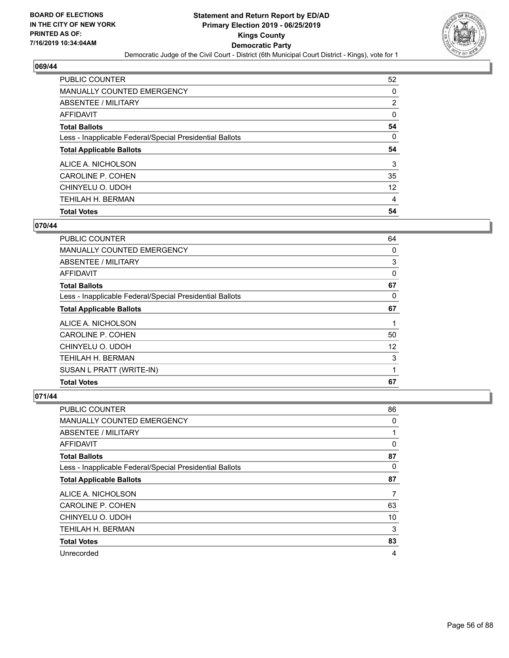

| <b>PUBLIC COUNTER</b>                                    | 52       |
|----------------------------------------------------------|----------|
| <b>MANUALLY COUNTED EMERGENCY</b>                        | 0        |
| ABSENTEE / MILITARY                                      | 2        |
| AFFIDAVIT                                                | $\Omega$ |
| <b>Total Ballots</b>                                     | 54       |
| Less - Inapplicable Federal/Special Presidential Ballots | 0        |
| <b>Total Applicable Ballots</b>                          | 54       |
|                                                          |          |
| ALICE A. NICHOLSON                                       | 3        |
| CAROLINE P. COHEN                                        | 35       |
| CHINYELU O. UDOH                                         | 12       |
| <b>TEHILAH H. BERMAN</b>                                 | 4        |

# **070/44**

| TEHILAH H. BERMAN<br>SUSAN L PRATT (WRITE-IN)            | 3<br>1 |
|----------------------------------------------------------|--------|
| CHINYELU O. UDOH                                         | 12     |
| CAROLINE P. COHEN                                        | 50     |
| ALICE A. NICHOLSON                                       | 1      |
| <b>Total Applicable Ballots</b>                          | 67     |
| Less - Inapplicable Federal/Special Presidential Ballots | 0      |
| <b>Total Ballots</b>                                     | 67     |
| AFFIDAVIT                                                | 0      |
| ABSENTEE / MILITARY                                      | 3      |
| MANUALLY COUNTED EMERGENCY                               | 0      |
| PUBLIC COUNTER                                           | 64     |

| PUBLIC COUNTER                                           | 86       |
|----------------------------------------------------------|----------|
| MANUALLY COUNTED EMERGENCY                               | 0        |
| ABSENTEE / MILITARY                                      | 1        |
| AFFIDAVIT                                                | 0        |
| <b>Total Ballots</b>                                     | 87       |
| Less - Inapplicable Federal/Special Presidential Ballots | $\Omega$ |
| <b>Total Applicable Ballots</b>                          | 87       |
| ALICE A. NICHOLSON                                       | 7        |
| CAROLINE P. COHEN                                        | 63       |
| CHINYELU O. UDOH                                         | 10       |
| TEHILAH H. BERMAN                                        | 3        |
| <b>Total Votes</b>                                       | 83       |
| Unrecorded                                               | 4        |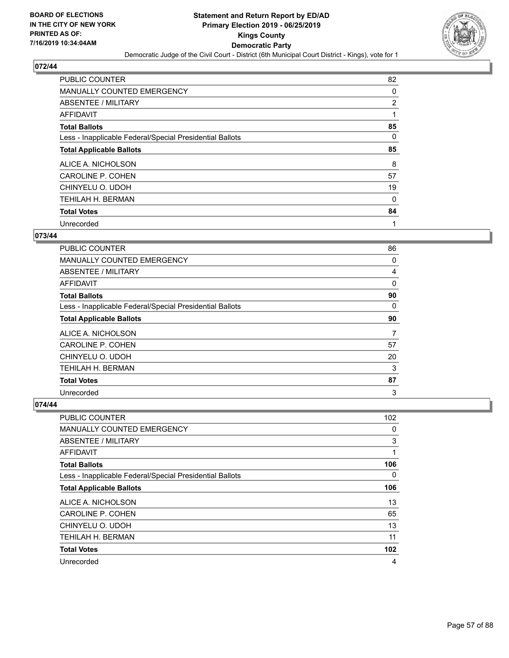

| <b>PUBLIC COUNTER</b>                                    | 82 |
|----------------------------------------------------------|----|
| <b>MANUALLY COUNTED EMERGENCY</b>                        | 0  |
| ABSENTEE / MILITARY                                      | 2  |
| AFFIDAVIT                                                |    |
| <b>Total Ballots</b>                                     | 85 |
| Less - Inapplicable Federal/Special Presidential Ballots | 0  |
| <b>Total Applicable Ballots</b>                          | 85 |
| ALICE A. NICHOLSON                                       | 8  |
| CAROLINE P. COHEN                                        | 57 |
| CHINYELU O. UDOH                                         | 19 |
| TEHILAH H. BERMAN                                        | 0  |
| <b>Total Votes</b>                                       | 84 |
| Unrecorded                                               | 1  |

# **073/44**

| PUBLIC COUNTER                                           | 86 |
|----------------------------------------------------------|----|
| <b>MANUALLY COUNTED EMERGENCY</b>                        | 0  |
| ABSENTEE / MILITARY                                      | 4  |
| AFFIDAVIT                                                | 0  |
| <b>Total Ballots</b>                                     | 90 |
| Less - Inapplicable Federal/Special Presidential Ballots | 0  |
| <b>Total Applicable Ballots</b>                          | 90 |
| ALICE A. NICHOLSON                                       | 7  |
| CAROLINE P. COHEN                                        | 57 |
| CHINYELU O. UDOH                                         | 20 |
| TEHILAH H. BERMAN                                        | 3  |
| <b>Total Votes</b>                                       | 87 |
| Unrecorded                                               | 3  |

| PUBLIC COUNTER                                           | 102      |
|----------------------------------------------------------|----------|
| MANUALLY COUNTED EMERGENCY                               | 0        |
| ABSENTEE / MILITARY                                      | 3        |
| AFFIDAVIT                                                | 1        |
| <b>Total Ballots</b>                                     | 106      |
| Less - Inapplicable Federal/Special Presidential Ballots | $\Omega$ |
| <b>Total Applicable Ballots</b>                          | 106      |
| ALICE A. NICHOLSON                                       | 13       |
| CAROLINE P. COHEN                                        | 65       |
| CHINYELU O. UDOH                                         | 13       |
| TEHILAH H. BERMAN                                        | 11       |
| <b>Total Votes</b>                                       | 102      |
| Unrecorded                                               | 4        |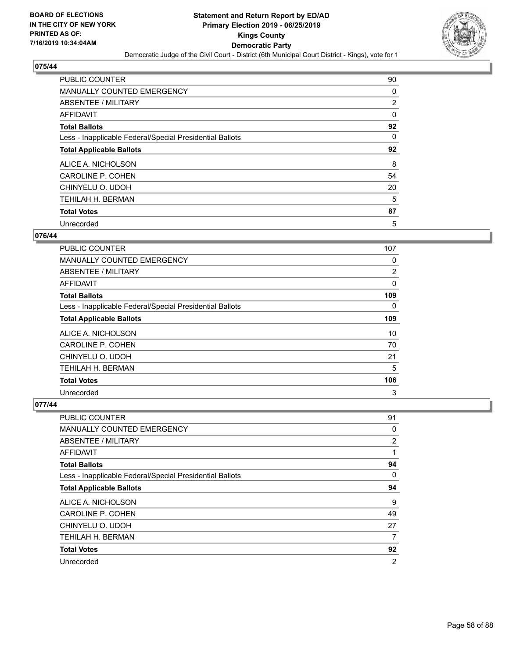

| <b>PUBLIC COUNTER</b>                                    | 90 |
|----------------------------------------------------------|----|
| <b>MANUALLY COUNTED EMERGENCY</b>                        | 0  |
| ABSENTEE / MILITARY                                      | 2  |
| <b>AFFIDAVIT</b>                                         | 0  |
| <b>Total Ballots</b>                                     | 92 |
| Less - Inapplicable Federal/Special Presidential Ballots | 0  |
| <b>Total Applicable Ballots</b>                          | 92 |
| ALICE A. NICHOLSON                                       | 8  |
| CAROLINE P. COHEN                                        | 54 |
| CHINYELU O. UDOH                                         | 20 |
| TEHILAH H. BERMAN                                        | 5  |
| <b>Total Votes</b>                                       | 87 |
| Unrecorded                                               | 5  |

## **076/44**

| PUBLIC COUNTER                                           | 107      |
|----------------------------------------------------------|----------|
| <b>MANUALLY COUNTED EMERGENCY</b>                        | 0        |
| ABSENTEE / MILITARY                                      | 2        |
| <b>AFFIDAVIT</b>                                         | 0        |
| <b>Total Ballots</b>                                     | 109      |
| Less - Inapplicable Federal/Special Presidential Ballots | $\Omega$ |
| <b>Total Applicable Ballots</b>                          | 109      |
| ALICE A. NICHOLSON                                       | 10       |
| <b>CAROLINE P. COHEN</b>                                 | 70       |
| CHINYELU O. UDOH                                         | 21       |
| TEHILAH H. BERMAN                                        | 5        |
| <b>Total Votes</b>                                       | 106      |
| Unrecorded                                               | 3        |

| <b>PUBLIC COUNTER</b>                                    | 91             |
|----------------------------------------------------------|----------------|
| <b>MANUALLY COUNTED EMERGENCY</b>                        | 0              |
| ABSENTEE / MILITARY                                      | $\overline{2}$ |
| AFFIDAVIT                                                | 1              |
| <b>Total Ballots</b>                                     | 94             |
| Less - Inapplicable Federal/Special Presidential Ballots | 0              |
| <b>Total Applicable Ballots</b>                          | 94             |
| ALICE A. NICHOLSON                                       | 9              |
| CAROLINE P. COHEN                                        | 49             |
| CHINYELU O. UDOH                                         | 27             |
| TEHILAH H. BERMAN                                        | 7              |
| <b>Total Votes</b>                                       | 92             |
| Unrecorded                                               | $\overline{2}$ |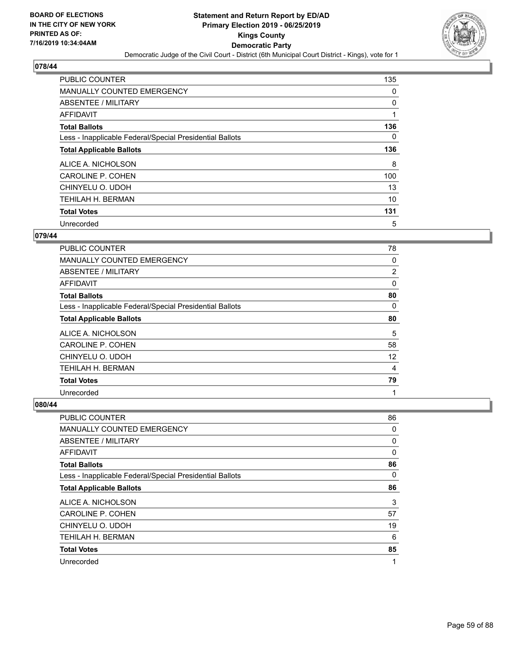

| <b>PUBLIC COUNTER</b>                                    | 135      |
|----------------------------------------------------------|----------|
| <b>MANUALLY COUNTED EMERGENCY</b>                        | 0        |
| ABSENTEE / MILITARY                                      | 0        |
| AFFIDAVIT                                                |          |
| <b>Total Ballots</b>                                     | 136      |
| Less - Inapplicable Federal/Special Presidential Ballots | $\Omega$ |
| <b>Total Applicable Ballots</b>                          | 136      |
| ALICE A. NICHOLSON                                       | 8        |
| <b>CAROLINE P. COHEN</b>                                 | 100      |
| CHINYELU O. UDOH                                         | 13       |
| TEHILAH H. BERMAN                                        | 10       |
| <b>Total Votes</b>                                       | 131      |
| Unrecorded                                               | 5        |

## **079/44**

| PUBLIC COUNTER                                           | 78             |
|----------------------------------------------------------|----------------|
| <b>MANUALLY COUNTED EMERGENCY</b>                        | 0              |
| ABSENTEE / MILITARY                                      | $\overline{2}$ |
| AFFIDAVIT                                                | 0              |
| <b>Total Ballots</b>                                     | 80             |
| Less - Inapplicable Federal/Special Presidential Ballots | $\Omega$       |
| <b>Total Applicable Ballots</b>                          | 80             |
| ALICE A. NICHOLSON                                       | 5              |
| CAROLINE P. COHEN                                        | 58             |
| CHINYELU O. UDOH                                         | 12             |
| TEHILAH H. BERMAN                                        | 4              |
| <b>Total Votes</b>                                       | 79             |
| Unrecorded                                               | 1              |

| <b>PUBLIC COUNTER</b>                                    | 86 |
|----------------------------------------------------------|----|
| MANUALLY COUNTED EMERGENCY                               | 0  |
| ABSENTEE / MILITARY                                      | 0  |
| AFFIDAVIT                                                | 0  |
| <b>Total Ballots</b>                                     | 86 |
| Less - Inapplicable Federal/Special Presidential Ballots | 0  |
| <b>Total Applicable Ballots</b>                          | 86 |
| ALICE A. NICHOLSON                                       | 3  |
| CAROLINE P. COHEN                                        | 57 |
| CHINYELU O. UDOH                                         | 19 |
| TEHILAH H. BERMAN                                        | 6  |
| <b>Total Votes</b>                                       | 85 |
| Unrecorded                                               | 1  |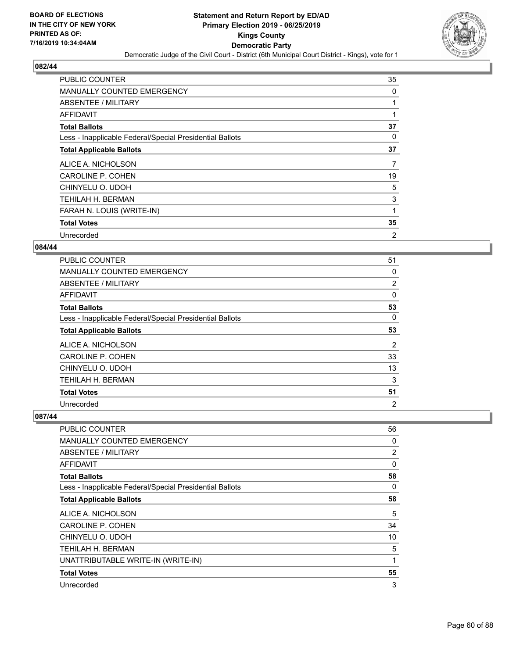

| PUBLIC COUNTER                                           | 35 |
|----------------------------------------------------------|----|
| MANUALLY COUNTED EMERGENCY                               | 0  |
| ABSENTEE / MILITARY                                      |    |
| AFFIDAVIT                                                |    |
| <b>Total Ballots</b>                                     | 37 |
| Less - Inapplicable Federal/Special Presidential Ballots | 0  |
| <b>Total Applicable Ballots</b>                          | 37 |
| ALICE A. NICHOLSON                                       | 7  |
|                                                          |    |
| CAROLINE P. COHEN                                        | 19 |
| CHINYELU O. UDOH                                         | 5  |
| TEHILAH H. BERMAN                                        | 3  |
| FARAH N. LOUIS (WRITE-IN)                                | 1  |
| <b>Total Votes</b>                                       | 35 |

## **084/44**

| PUBLIC COUNTER                                           | 51             |
|----------------------------------------------------------|----------------|
| <b>MANUALLY COUNTED EMERGENCY</b>                        | 0              |
| ABSENTEE / MILITARY                                      | $\overline{2}$ |
| AFFIDAVIT                                                | 0              |
| <b>Total Ballots</b>                                     | 53             |
| Less - Inapplicable Federal/Special Presidential Ballots | $\Omega$       |
| <b>Total Applicable Ballots</b>                          | 53             |
| ALICE A. NICHOLSON                                       | $\overline{2}$ |
| CAROLINE P. COHEN                                        | 33             |
| CHINYELU O. UDOH                                         | 13             |
| TEHILAH H. BERMAN                                        | 3              |
| <b>Total Votes</b>                                       | 51             |
| Unrecorded                                               | $\overline{2}$ |

| <b>PUBLIC COUNTER</b>                                    | 56 |
|----------------------------------------------------------|----|
| <b>MANUALLY COUNTED EMERGENCY</b>                        | 0  |
| ABSENTEE / MILITARY                                      | 2  |
| AFFIDAVIT                                                | 0  |
| <b>Total Ballots</b>                                     | 58 |
| Less - Inapplicable Federal/Special Presidential Ballots | 0  |
| <b>Total Applicable Ballots</b>                          | 58 |
| ALICE A. NICHOLSON                                       | 5  |
| <b>CAROLINE P. COHEN</b>                                 | 34 |
| CHINYELU O. UDOH                                         | 10 |
| TEHILAH H. BERMAN                                        | 5  |
| UNATTRIBUTABLE WRITE-IN (WRITE-IN)                       | 1  |
| <b>Total Votes</b>                                       | 55 |
| Unrecorded                                               | 3  |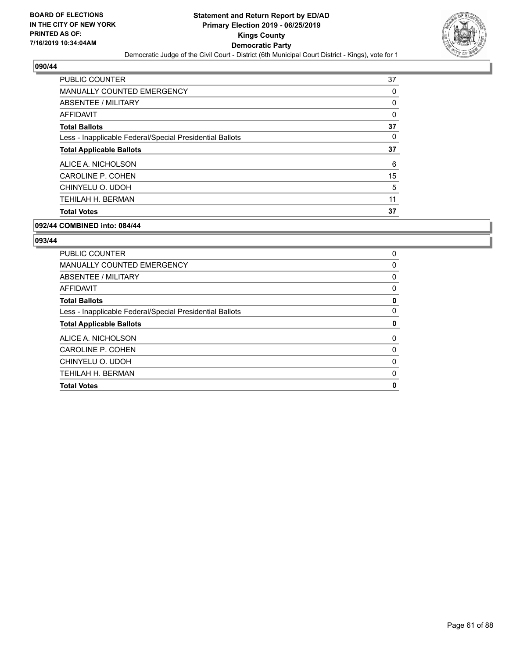

| <b>PUBLIC COUNTER</b>                                    | 37 |
|----------------------------------------------------------|----|
| <b>MANUALLY COUNTED EMERGENCY</b>                        | 0  |
| ABSENTEE / MILITARY                                      | 0  |
| <b>AFFIDAVIT</b>                                         | 0  |
| <b>Total Ballots</b>                                     | 37 |
| Less - Inapplicable Federal/Special Presidential Ballots | 0  |
| <b>Total Applicable Ballots</b>                          | 37 |
| ALICE A. NICHOLSON                                       | 6  |
| CAROLINE P. COHEN                                        | 15 |
| CHINYELU O. UDOH                                         | 5  |
| TEHILAH H. BERMAN                                        | 11 |
| <b>Total Votes</b>                                       | 37 |

## **092/44 COMBINED into: 084/44**

| PUBLIC COUNTER                                           | 0 |
|----------------------------------------------------------|---|
| MANUALLY COUNTED EMERGENCY                               | 0 |
| ABSENTEE / MILITARY                                      | 0 |
| AFFIDAVIT                                                | 0 |
| <b>Total Ballots</b>                                     | 0 |
| Less - Inapplicable Federal/Special Presidential Ballots | 0 |
| <b>Total Applicable Ballots</b>                          | 0 |
| ALICE A. NICHOLSON                                       | 0 |
| CAROLINE P. COHEN                                        | 0 |
| CHINYELU O. UDOH                                         | 0 |
| TEHILAH H. BERMAN                                        | 0 |
| <b>Total Votes</b>                                       | 0 |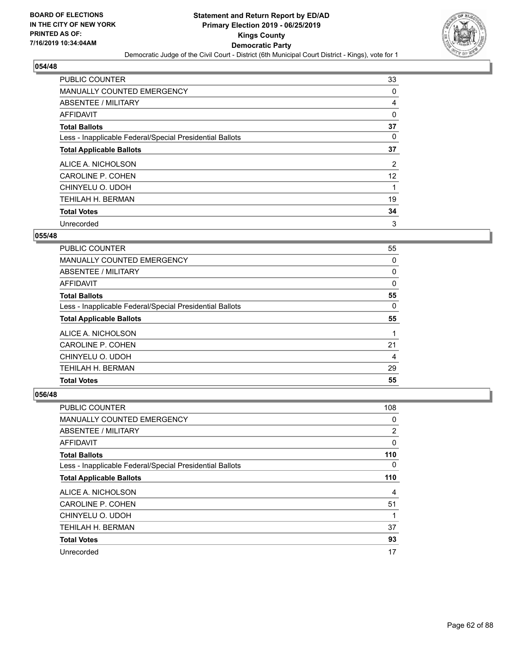

| <b>PUBLIC COUNTER</b>                                    | 33             |
|----------------------------------------------------------|----------------|
| <b>MANUALLY COUNTED EMERGENCY</b>                        | 0              |
| ABSENTEE / MILITARY                                      | 4              |
| AFFIDAVIT                                                | 0              |
| <b>Total Ballots</b>                                     | 37             |
| Less - Inapplicable Federal/Special Presidential Ballots | 0              |
| <b>Total Applicable Ballots</b>                          | 37             |
| ALICE A. NICHOLSON                                       | $\overline{2}$ |
| CAROLINE P. COHEN                                        | 12             |
| CHINYELU O. UDOH                                         |                |
| TEHILAH H. BERMAN                                        | 19             |
| <b>Total Votes</b>                                       | 34             |
| Unrecorded                                               | 3              |

### **055/48**

| <b>PUBLIC COUNTER</b>                                    | 55       |
|----------------------------------------------------------|----------|
| MANUALLY COUNTED EMERGENCY                               | 0        |
| ABSENTEE / MILITARY                                      | $\Omega$ |
| AFFIDAVIT                                                | $\Omega$ |
| <b>Total Ballots</b>                                     | 55       |
| Less - Inapplicable Federal/Special Presidential Ballots | 0        |
| <b>Total Applicable Ballots</b>                          | 55       |
| ALICE A. NICHOLSON                                       |          |
| CAROLINE P. COHEN                                        | 21       |
| CHINYELU O. UDOH                                         | 4        |
| TEHILAH H. BERMAN                                        | 29       |
| <b>Total Votes</b>                                       | 55       |

| PUBLIC COUNTER                                           | 108      |
|----------------------------------------------------------|----------|
| MANUALLY COUNTED EMERGENCY                               | 0        |
| ABSENTEE / MILITARY                                      | 2        |
| AFFIDAVIT                                                | 0        |
| <b>Total Ballots</b>                                     | 110      |
| Less - Inapplicable Federal/Special Presidential Ballots | $\Omega$ |
| <b>Total Applicable Ballots</b>                          | 110      |
| ALICE A. NICHOLSON                                       | 4        |
| CAROLINE P. COHEN                                        | 51       |
| CHINYELU O. UDOH                                         | 1        |
| TEHILAH H. BERMAN                                        | 37       |
| <b>Total Votes</b>                                       | 93       |
| Unrecorded                                               | 17       |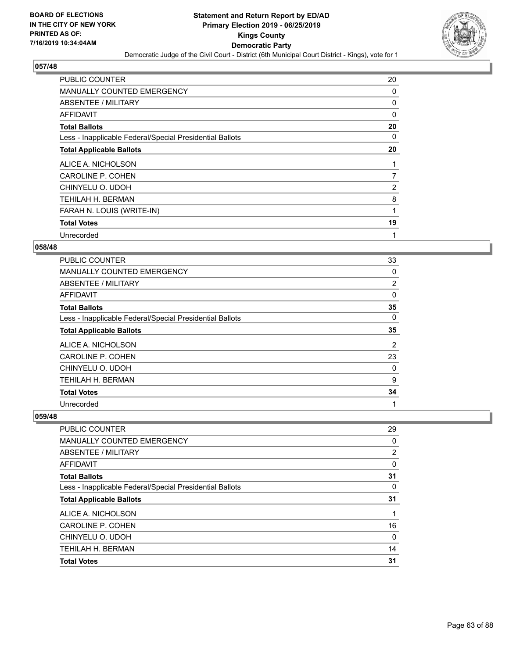

| PUBLIC COUNTER                                           | 20             |
|----------------------------------------------------------|----------------|
| <b>MANUALLY COUNTED EMERGENCY</b>                        | 0              |
| ABSENTEE / MILITARY                                      | 0              |
| AFFIDAVIT                                                | $\Omega$       |
| <b>Total Ballots</b>                                     | 20             |
| Less - Inapplicable Federal/Special Presidential Ballots | 0              |
| <b>Total Applicable Ballots</b>                          | 20             |
| ALICE A. NICHOLSON                                       | 1              |
| <b>CAROLINE P. COHEN</b>                                 | 7              |
| CHINYELU O. UDOH                                         | $\overline{2}$ |
| TEHILAH H. BERMAN                                        | 8              |
| FARAH N. LOUIS (WRITE-IN)                                | 1              |
| <b>Total Votes</b>                                       | 19             |
| Unrecorded                                               | 1              |

## **058/48**

| PUBLIC COUNTER                                           | 33             |
|----------------------------------------------------------|----------------|
| MANUALLY COUNTED EMERGENCY                               | 0              |
| ABSENTEE / MILITARY                                      | 2              |
| AFFIDAVIT                                                | 0              |
| <b>Total Ballots</b>                                     | 35             |
| Less - Inapplicable Federal/Special Presidential Ballots | 0              |
| <b>Total Applicable Ballots</b>                          | 35             |
| ALICE A. NICHOLSON                                       | $\overline{2}$ |
| CAROLINE P. COHEN                                        | 23             |
| CHINYELU O. UDOH                                         | 0              |
| TEHILAH H. BERMAN                                        | 9              |
| <b>Total Votes</b>                                       | 34             |
| Unrecorded                                               | 1              |

| <b>PUBLIC COUNTER</b>                                    | 29       |
|----------------------------------------------------------|----------|
| MANUALLY COUNTED EMERGENCY                               | $\Omega$ |
| <b>ABSENTEE / MILITARY</b>                               | 2        |
| AFFIDAVIT                                                | $\Omega$ |
| <b>Total Ballots</b>                                     | 31       |
| Less - Inapplicable Federal/Special Presidential Ballots | 0        |
| <b>Total Applicable Ballots</b>                          | 31       |
| ALICE A. NICHOLSON                                       |          |
| CAROLINE P. COHEN                                        | 16       |
| CHINYELU O. UDOH                                         | $\Omega$ |
| <b>TEHILAH H. BERMAN</b>                                 | 14       |
| <b>Total Votes</b>                                       | 31       |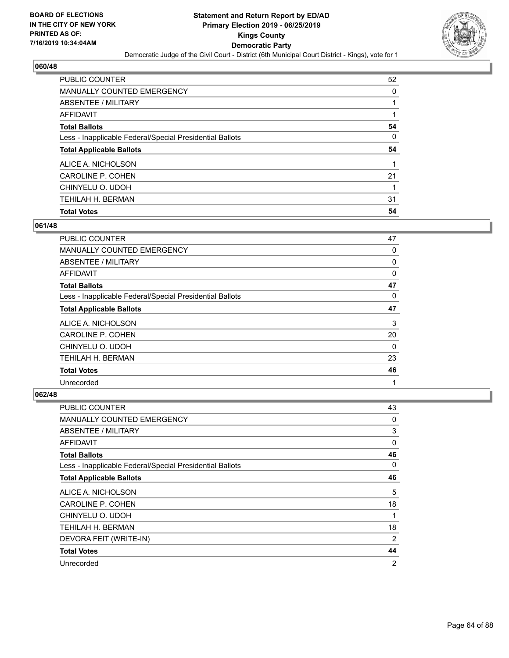

| <b>PUBLIC COUNTER</b>                                    | 52       |
|----------------------------------------------------------|----------|
| MANUALLY COUNTED EMERGENCY                               | $\Omega$ |
| ABSENTEE / MILITARY                                      |          |
| AFFIDAVIT                                                |          |
| <b>Total Ballots</b>                                     | 54       |
| Less - Inapplicable Federal/Special Presidential Ballots | 0        |
|                                                          |          |
| <b>Total Applicable Ballots</b>                          | 54       |
| ALICE A. NICHOLSON                                       |          |
| CAROLINE P. COHEN                                        | 21       |
| CHINYELU O. UDOH                                         | 1        |
| TEHILAH H. BERMAN                                        | 31       |

## **061/48**

| PUBLIC COUNTER                                           | 47       |
|----------------------------------------------------------|----------|
| MANUALLY COUNTED EMERGENCY                               | 0        |
| ABSENTEE / MILITARY                                      | 0        |
| AFFIDAVIT                                                | $\Omega$ |
| <b>Total Ballots</b>                                     | 47       |
| Less - Inapplicable Federal/Special Presidential Ballots | 0        |
| <b>Total Applicable Ballots</b>                          | 47       |
| ALICE A. NICHOLSON                                       | 3        |
| CAROLINE P. COHEN                                        | 20       |
| CHINYELU O. UDOH                                         | 0        |
| TEHILAH H. BERMAN                                        | 23       |
| <b>Total Votes</b>                                       | 46       |
| Unrecorded                                               | 1        |

| <b>PUBLIC COUNTER</b>                                    | 43             |
|----------------------------------------------------------|----------------|
| MANUALLY COUNTED EMERGENCY                               | 0              |
| ABSENTEE / MILITARY                                      | 3              |
| AFFIDAVIT                                                | 0              |
| <b>Total Ballots</b>                                     | 46             |
| Less - Inapplicable Federal/Special Presidential Ballots | 0              |
| <b>Total Applicable Ballots</b>                          | 46             |
| ALICE A. NICHOLSON                                       | 5              |
| CAROLINE P. COHEN                                        | 18             |
| CHINYELU O. UDOH                                         | 1              |
| TEHILAH H. BERMAN                                        | 18             |
| DEVORA FEIT (WRITE-IN)                                   | 2              |
| <b>Total Votes</b>                                       | 44             |
| Unrecorded                                               | $\overline{2}$ |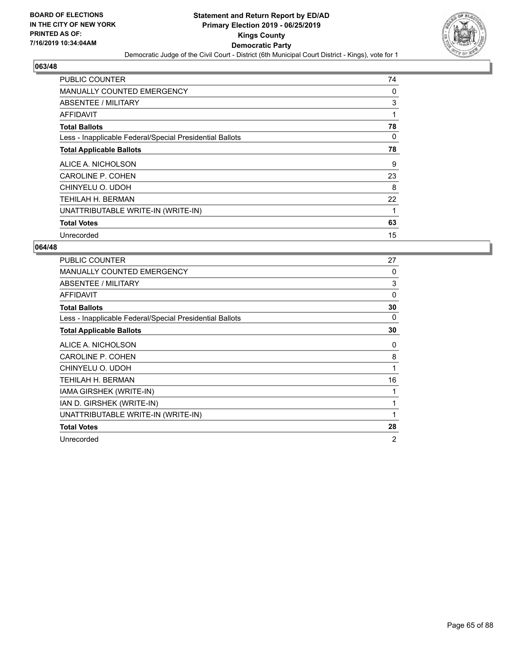

| PUBLIC COUNTER                                           | 74 |
|----------------------------------------------------------|----|
| <b>MANUALLY COUNTED EMERGENCY</b>                        | 0  |
| ABSENTEE / MILITARY                                      | 3  |
| AFFIDAVIT                                                | 1  |
| <b>Total Ballots</b>                                     | 78 |
| Less - Inapplicable Federal/Special Presidential Ballots | 0  |
| <b>Total Applicable Ballots</b>                          | 78 |
| ALICE A. NICHOLSON                                       | 9  |
| <b>CAROLINE P. COHEN</b>                                 | 23 |
| CHINYELU O. UDOH                                         | 8  |
| <b>TEHILAH H. BERMAN</b>                                 | 22 |
|                                                          |    |
| UNATTRIBUTABLE WRITE-IN (WRITE-IN)                       |    |
| <b>Total Votes</b>                                       | 63 |

| <b>PUBLIC COUNTER</b>                                    | 27             |
|----------------------------------------------------------|----------------|
| <b>MANUALLY COUNTED EMERGENCY</b>                        | 0              |
| ABSENTEE / MILITARY                                      | 3              |
| <b>AFFIDAVIT</b>                                         | $\Omega$       |
| <b>Total Ballots</b>                                     | 30             |
| Less - Inapplicable Federal/Special Presidential Ballots | 0              |
| <b>Total Applicable Ballots</b>                          | 30             |
| ALICE A. NICHOLSON                                       | 0              |
| <b>CAROLINE P. COHEN</b>                                 | 8              |
| CHINYELU O. UDOH                                         | 1              |
| TEHILAH H. BERMAN                                        | 16             |
| IAMA GIRSHEK (WRITE-IN)                                  | 1              |
| IAN D. GIRSHEK (WRITE-IN)                                | $\mathbf{1}$   |
| UNATTRIBUTABLE WRITE-IN (WRITE-IN)                       | 1              |
| <b>Total Votes</b>                                       | 28             |
| Unrecorded                                               | $\overline{2}$ |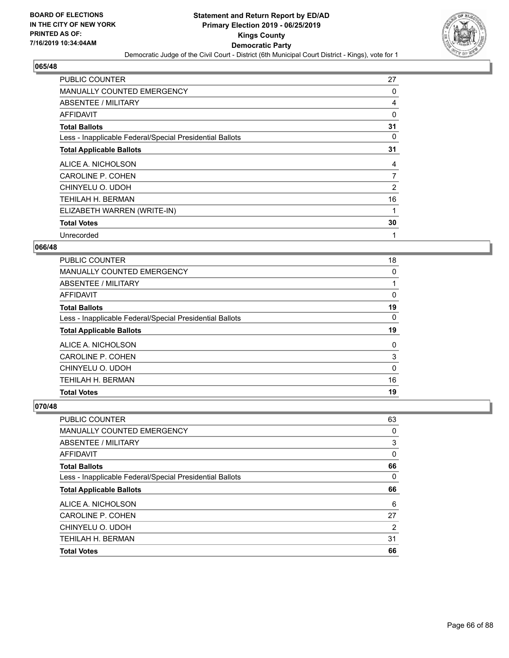

| PUBLIC COUNTER                                           | 27           |
|----------------------------------------------------------|--------------|
| <b>MANUALLY COUNTED EMERGENCY</b>                        | 0            |
| ABSENTEE / MILITARY                                      | 4            |
| AFFIDAVIT                                                | $\mathbf{0}$ |
| <b>Total Ballots</b>                                     | 31           |
| Less - Inapplicable Federal/Special Presidential Ballots | 0            |
| <b>Total Applicable Ballots</b>                          | 31           |
| ALICE A. NICHOLSON                                       | 4            |
| <b>CAROLINE P. COHEN</b>                                 | 7            |
|                                                          |              |
| CHINYELU O. UDOH                                         | 2            |
| TEHILAH H. BERMAN                                        | 16           |
| ELIZABETH WARREN (WRITE-IN)                              | 1            |
| <b>Total Votes</b>                                       | 30           |

## **066/48**

| <b>PUBLIC COUNTER</b>                                    | 18       |
|----------------------------------------------------------|----------|
| <b>MANUALLY COUNTED EMERGENCY</b>                        | 0        |
| ABSENTEE / MILITARY                                      |          |
| <b>AFFIDAVIT</b>                                         | 0        |
| <b>Total Ballots</b>                                     | 19       |
| Less - Inapplicable Federal/Special Presidential Ballots | 0        |
| <b>Total Applicable Ballots</b>                          | 19       |
| ALICE A. NICHOLSON                                       | $\Omega$ |
| CAROLINE P. COHEN                                        | 3        |
| CHINYELU O. UDOH                                         | $\Omega$ |
| TEHILAH H. BERMAN                                        | 16       |
| <b>Total Votes</b>                                       | 19       |

| <b>PUBLIC COUNTER</b>                                    | 63       |
|----------------------------------------------------------|----------|
| MANUALLY COUNTED EMERGENCY                               | 0        |
| ABSENTEE / MILITARY                                      | 3        |
| AFFIDAVIT                                                | $\Omega$ |
| <b>Total Ballots</b>                                     | 66       |
| Less - Inapplicable Federal/Special Presidential Ballots | 0        |
|                                                          |          |
| <b>Total Applicable Ballots</b>                          | 66       |
| ALICE A. NICHOLSON                                       | 6        |
| CAROLINE P. COHEN                                        | 27       |
| CHINYELU O. UDOH                                         | 2        |
| TEHILAH H. BERMAN                                        | 31       |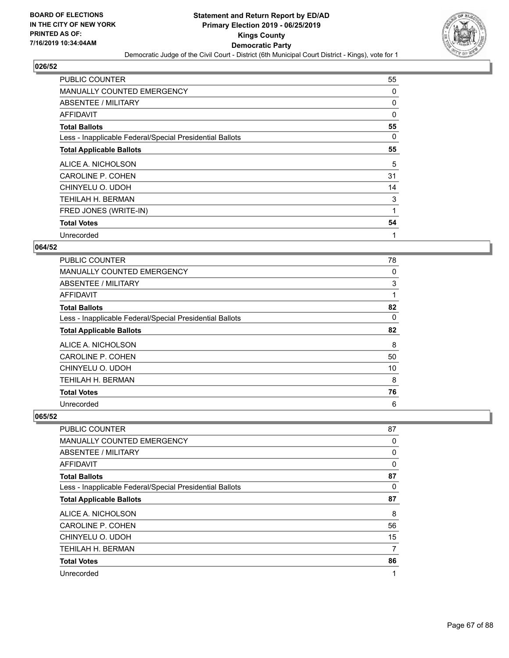

| PUBLIC COUNTER                                           | 55 |
|----------------------------------------------------------|----|
| MANUALLY COUNTED EMERGENCY                               | 0  |
| ABSENTEE / MILITARY                                      | 0  |
| AFFIDAVIT                                                | 0  |
| <b>Total Ballots</b>                                     | 55 |
| Less - Inapplicable Federal/Special Presidential Ballots | 0  |
| <b>Total Applicable Ballots</b>                          | 55 |
| ALICE A. NICHOLSON                                       | 5  |
| CAROLINE P. COHEN                                        | 31 |
| CHINYELU O. UDOH                                         | 14 |
| TEHILAH H. BERMAN                                        | 3  |
| FRED JONES (WRITE-IN)                                    | 1  |
| <b>Total Votes</b>                                       | 54 |
|                                                          |    |

## **064/52**

| PUBLIC COUNTER                                           | 78 |
|----------------------------------------------------------|----|
| <b>MANUALLY COUNTED EMERGENCY</b>                        | 0  |
| ABSENTEE / MILITARY                                      | 3  |
| AFFIDAVIT                                                | 1  |
| <b>Total Ballots</b>                                     | 82 |
| Less - Inapplicable Federal/Special Presidential Ballots | 0  |
| <b>Total Applicable Ballots</b>                          | 82 |
| ALICE A. NICHOLSON                                       | 8  |
| CAROLINE P. COHEN                                        | 50 |
| CHINYELU O. UDOH                                         | 10 |
| TEHILAH H. BERMAN                                        | 8  |
| <b>Total Votes</b>                                       | 76 |
| Unrecorded                                               | 6  |

| <b>PUBLIC COUNTER</b>                                    | 87 |
|----------------------------------------------------------|----|
| MANUALLY COUNTED EMERGENCY                               | 0  |
| ABSENTEE / MILITARY                                      | 0  |
| AFFIDAVIT                                                | 0  |
| <b>Total Ballots</b>                                     | 87 |
| Less - Inapplicable Federal/Special Presidential Ballots | 0  |
| <b>Total Applicable Ballots</b>                          | 87 |
| ALICE A. NICHOLSON                                       | 8  |
| <b>CAROLINE P. COHEN</b>                                 | 56 |
| CHINYELU O. UDOH                                         | 15 |
| <b>TEHILAH H. BERMAN</b>                                 | 7  |
| <b>Total Votes</b>                                       | 86 |
| Unrecorded                                               | 1  |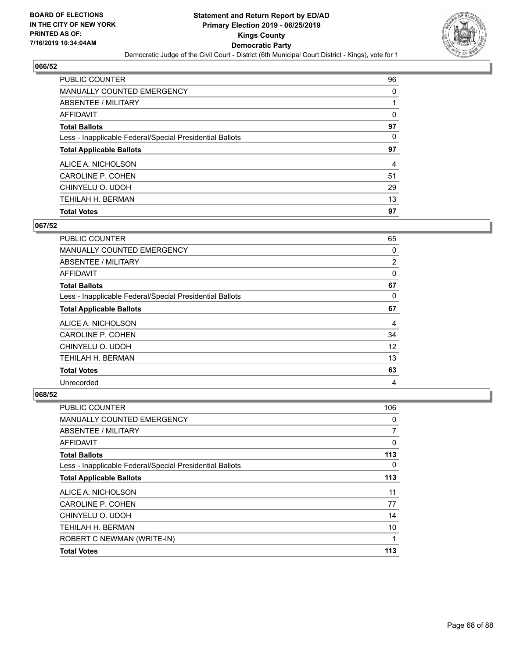

| <b>PUBLIC COUNTER</b>                                    | 96 |
|----------------------------------------------------------|----|
| <b>MANUALLY COUNTED EMERGENCY</b>                        | 0  |
| ABSENTEE / MILITARY                                      |    |
| AFFIDAVIT                                                | 0  |
| <b>Total Ballots</b>                                     | 97 |
| Less - Inapplicable Federal/Special Presidential Ballots | 0  |
|                                                          |    |
| <b>Total Applicable Ballots</b>                          | 97 |
| ALICE A. NICHOLSON                                       | 4  |
| CAROLINE P. COHEN                                        | 51 |
| CHINYELU O. UDOH                                         | 29 |
| <b>TEHILAH H. BERMAN</b>                                 | 13 |

## **067/52**

| PUBLIC COUNTER                                           | 65             |
|----------------------------------------------------------|----------------|
| <b>MANUALLY COUNTED EMERGENCY</b>                        | 0              |
| ABSENTEE / MILITARY                                      | $\overline{2}$ |
| AFFIDAVIT                                                | 0              |
| <b>Total Ballots</b>                                     | 67             |
| Less - Inapplicable Federal/Special Presidential Ballots | 0              |
| <b>Total Applicable Ballots</b>                          | 67             |
| ALICE A. NICHOLSON                                       | 4              |
| <b>CAROLINE P. COHEN</b>                                 | 34             |
| CHINYELU O. UDOH                                         | 12             |
| TEHILAH H. BERMAN                                        | 13             |
| <b>Total Votes</b>                                       | 63             |
| Unrecorded                                               | 4              |

| AFFIDAVIT<br><b>Total Ballots</b>                        | 0<br>113 |
|----------------------------------------------------------|----------|
| Less - Inapplicable Federal/Special Presidential Ballots | 0        |
| <b>Total Applicable Ballots</b>                          | 113      |
| ALICE A. NICHOLSON                                       | 11       |
| CAROLINE P. COHEN                                        | 77       |
| CHINYELU O. UDOH                                         | 14       |
| <b>TEHILAH H. BERMAN</b>                                 | 10       |
| ROBERT C NEWMAN (WRITE-IN)                               | 1        |
| <b>Total Votes</b>                                       | 113      |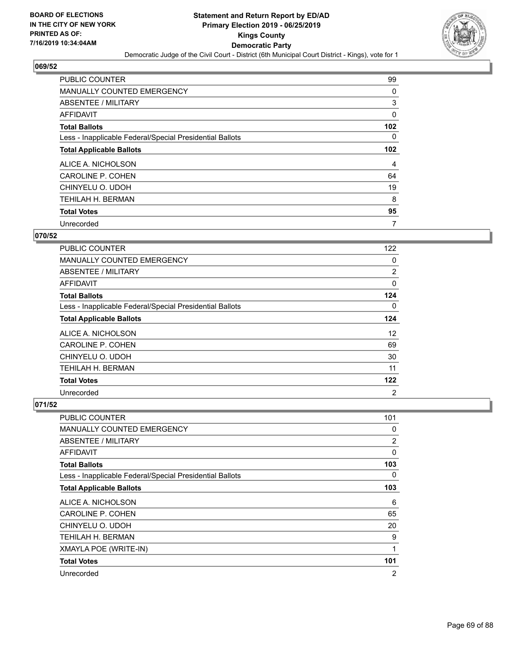

| PUBLIC COUNTER                                           | 99               |
|----------------------------------------------------------|------------------|
| MANUALLY COUNTED EMERGENCY                               | 0                |
| ABSENTEE / MILITARY                                      | 3                |
| AFFIDAVIT                                                | 0                |
| <b>Total Ballots</b>                                     | 102              |
| Less - Inapplicable Federal/Special Presidential Ballots | 0                |
| <b>Total Applicable Ballots</b>                          | 102 <sub>2</sub> |
| ALICE A. NICHOLSON                                       | 4                |
| <b>CAROLINE P. COHEN</b>                                 | 64               |
| CHINYELU O. UDOH                                         | 19               |
| <b>TEHILAH H. BERMAN</b>                                 | 8                |
| <b>Total Votes</b>                                       | 95               |
| Unrecorded                                               | 7                |

## **070/52**

| PUBLIC COUNTER                                           | 122            |
|----------------------------------------------------------|----------------|
| <b>MANUALLY COUNTED EMERGENCY</b>                        | $\Omega$       |
| ABSENTEE / MILITARY                                      | 2              |
| <b>AFFIDAVIT</b>                                         | 0              |
| <b>Total Ballots</b>                                     | 124            |
| Less - Inapplicable Federal/Special Presidential Ballots | 0              |
| <b>Total Applicable Ballots</b>                          | 124            |
| ALICE A. NICHOLSON                                       | 12             |
| <b>CAROLINE P. COHEN</b>                                 | 69             |
| CHINYELU O. UDOH                                         | 30             |
| TEHILAH H. BERMAN                                        | 11             |
| <b>Total Votes</b>                                       | 122            |
| Unrecorded                                               | $\overline{2}$ |

| PUBLIC COUNTER                                           | 101 |
|----------------------------------------------------------|-----|
| MANUALLY COUNTED EMERGENCY                               | 0   |
| ABSENTEE / MILITARY                                      | 2   |
| AFFIDAVIT                                                | 0   |
| <b>Total Ballots</b>                                     | 103 |
| Less - Inapplicable Federal/Special Presidential Ballots | 0   |
| <b>Total Applicable Ballots</b>                          | 103 |
| ALICE A. NICHOLSON                                       | 6   |
| CAROLINE P. COHEN                                        | 65  |
| CHINYELU O. UDOH                                         | 20  |
| TEHILAH H. BERMAN                                        | 9   |
| XMAYLA POE (WRITE-IN)                                    | 1   |
| <b>Total Votes</b>                                       | 101 |
| Unrecorded                                               | 2   |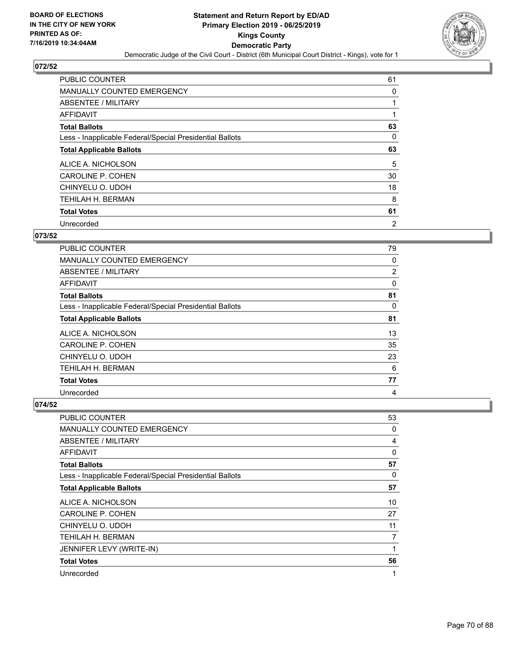

| PUBLIC COUNTER                                           | 61             |
|----------------------------------------------------------|----------------|
| <b>MANUALLY COUNTED EMERGENCY</b>                        | 0              |
| ABSENTEE / MILITARY                                      |                |
| <b>AFFIDAVIT</b>                                         |                |
| <b>Total Ballots</b>                                     | 63             |
| Less - Inapplicable Federal/Special Presidential Ballots | 0              |
| <b>Total Applicable Ballots</b>                          | 63             |
| ALICE A. NICHOLSON                                       | 5              |
| CAROLINE P. COHEN                                        | 30             |
| CHINYELU O. UDOH                                         | 18             |
| <b>TEHILAH H. BERMAN</b>                                 | 8              |
| <b>Total Votes</b>                                       | 61             |
| Unrecorded                                               | $\overline{2}$ |

## **073/52**

| <b>PUBLIC COUNTER</b>                                    | 79 |
|----------------------------------------------------------|----|
| <b>MANUALLY COUNTED EMERGENCY</b>                        | 0  |
| ABSENTEE / MILITARY                                      | 2  |
| <b>AFFIDAVIT</b>                                         | 0  |
| <b>Total Ballots</b>                                     | 81 |
| Less - Inapplicable Federal/Special Presidential Ballots | 0  |
| <b>Total Applicable Ballots</b>                          | 81 |
| ALICE A. NICHOLSON                                       | 13 |
| <b>CAROLINE P. COHEN</b>                                 | 35 |
| CHINYELU O. UDOH                                         | 23 |
| TEHILAH H. BERMAN                                        | 6  |
| <b>Total Votes</b>                                       | 77 |
| Unrecorded                                               | 4  |

| PUBLIC COUNTER                                           | 53           |
|----------------------------------------------------------|--------------|
| <b>MANUALLY COUNTED EMERGENCY</b>                        | 0            |
| ABSENTEE / MILITARY                                      | 4            |
| AFFIDAVIT                                                | $\mathbf{0}$ |
| <b>Total Ballots</b>                                     | 57           |
| Less - Inapplicable Federal/Special Presidential Ballots | 0            |
| <b>Total Applicable Ballots</b>                          | 57           |
| ALICE A. NICHOLSON                                       | 10           |
| <b>CAROLINE P. COHEN</b>                                 | 27           |
| CHINYELU O. UDOH                                         | 11           |
| TEHILAH H. BERMAN                                        | 7            |
| JENNIFER LEVY (WRITE-IN)                                 | 1            |
| <b>Total Votes</b>                                       | 56           |
| Unrecorded                                               | 1            |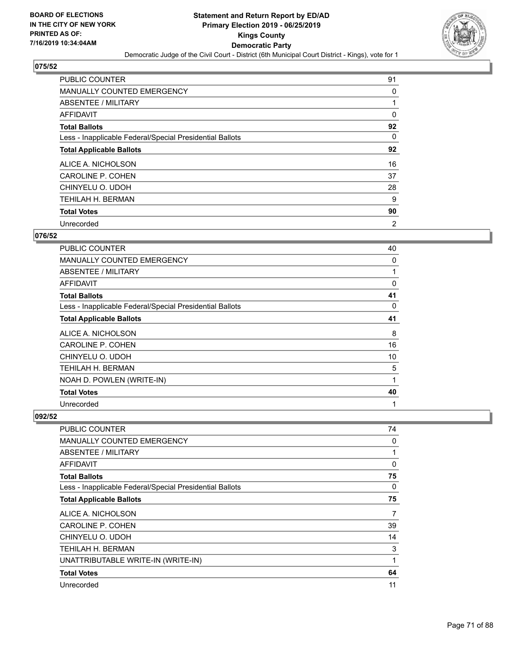

| PUBLIC COUNTER                                           | 91             |
|----------------------------------------------------------|----------------|
| MANUALLY COUNTED EMERGENCY                               | 0              |
| ABSENTEE / MILITARY                                      |                |
| AFFIDAVIT                                                | 0              |
| <b>Total Ballots</b>                                     | 92             |
| Less - Inapplicable Federal/Special Presidential Ballots | 0              |
| <b>Total Applicable Ballots</b>                          | 92             |
| ALICE A. NICHOLSON                                       | 16             |
| <b>CAROLINE P. COHEN</b>                                 | 37             |
| CHINYELU O. UDOH                                         | 28             |
| TEHILAH H. BERMAN                                        | 9              |
| <b>Total Votes</b>                                       | 90             |
| Unrecorded                                               | $\overline{2}$ |

# **076/52**

| PUBLIC COUNTER                                           | 40 |
|----------------------------------------------------------|----|
| <b>MANUALLY COUNTED EMERGENCY</b>                        | 0  |
| <b>ABSENTEE / MILITARY</b>                               | 1  |
| <b>AFFIDAVIT</b>                                         | 0  |
| <b>Total Ballots</b>                                     | 41 |
| Less - Inapplicable Federal/Special Presidential Ballots | 0  |
| <b>Total Applicable Ballots</b>                          | 41 |
| ALICE A. NICHOLSON                                       | 8  |
| <b>CAROLINE P. COHEN</b>                                 | 16 |
| CHINYELU O. UDOH                                         | 10 |
| TEHILAH H. BERMAN                                        | 5  |
| NOAH D. POWLEN (WRITE-IN)                                | 1  |
| <b>Total Votes</b>                                       | 40 |
| Unrecorded                                               | 1  |

| <b>PUBLIC COUNTER</b>                                    | 74 |
|----------------------------------------------------------|----|
| MANUALLY COUNTED EMERGENCY                               | 0  |
| <b>ABSENTEE / MILITARY</b>                               |    |
| AFFIDAVIT                                                | 0  |
| <b>Total Ballots</b>                                     | 75 |
| Less - Inapplicable Federal/Special Presidential Ballots | 0  |
| <b>Total Applicable Ballots</b>                          | 75 |
| ALICE A. NICHOLSON                                       | 7  |
| CAROLINE P. COHEN                                        | 39 |
| CHINYELU O. UDOH                                         | 14 |
| TEHILAH H. BERMAN                                        | 3  |
| UNATTRIBUTABLE WRITE-IN (WRITE-IN)                       | 1  |
| <b>Total Votes</b>                                       | 64 |
| Unrecorded                                               | 11 |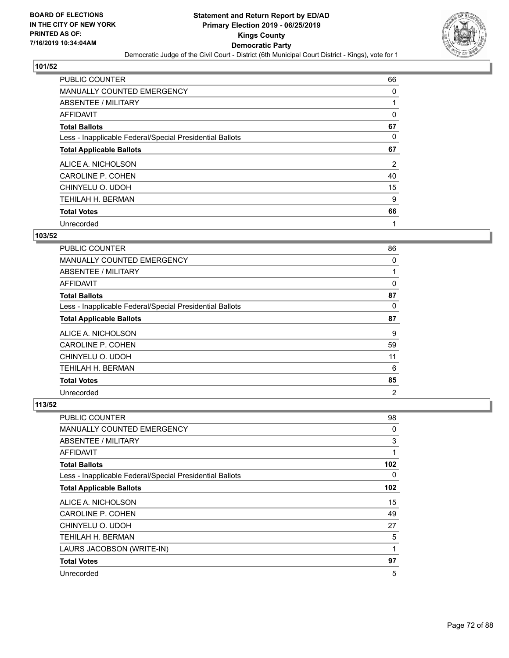

| <b>PUBLIC COUNTER</b>                                    | 66             |
|----------------------------------------------------------|----------------|
| <b>MANUALLY COUNTED EMERGENCY</b>                        | 0              |
| ABSENTEE / MILITARY                                      |                |
| AFFIDAVIT                                                | 0              |
| <b>Total Ballots</b>                                     | 67             |
| Less - Inapplicable Federal/Special Presidential Ballots | 0              |
| <b>Total Applicable Ballots</b>                          | 67             |
| ALICE A. NICHOLSON                                       | $\overline{2}$ |
| CAROLINE P. COHEN                                        | 40             |
| CHINYELU O. UDOH                                         | 15             |
| TEHILAH H. BERMAN                                        | 9              |
| <b>Total Votes</b>                                       | 66             |
| Unrecorded                                               | 1              |

## **103/52**

| <b>PUBLIC COUNTER</b>                                    | 86             |
|----------------------------------------------------------|----------------|
| MANUALLY COUNTED EMERGENCY                               | 0              |
| ABSENTEE / MILITARY                                      |                |
| <b>AFFIDAVIT</b>                                         | 0              |
| <b>Total Ballots</b>                                     | 87             |
| Less - Inapplicable Federal/Special Presidential Ballots | 0              |
| <b>Total Applicable Ballots</b>                          | 87             |
| ALICE A. NICHOLSON                                       | 9              |
| CAROLINE P. COHEN                                        | 59             |
| CHINYELU O. UDOH                                         | 11             |
| TEHILAH H. BERMAN                                        | 6              |
| <b>Total Votes</b>                                       | 85             |
| Unrecorded                                               | $\overline{2}$ |

| PUBLIC COUNTER                                           | 98  |
|----------------------------------------------------------|-----|
| MANUALLY COUNTED EMERGENCY                               | 0   |
| ABSENTEE / MILITARY                                      | 3   |
| AFFIDAVIT                                                | 1   |
| <b>Total Ballots</b>                                     | 102 |
| Less - Inapplicable Federal/Special Presidential Ballots | 0   |
| <b>Total Applicable Ballots</b>                          | 102 |
| ALICE A. NICHOLSON                                       | 15  |
| <b>CAROLINE P. COHEN</b>                                 | 49  |
| CHINYELU O. UDOH                                         | 27  |
| TEHILAH H. BERMAN                                        | 5   |
| LAURS JACOBSON (WRITE-IN)                                | 1   |
| <b>Total Votes</b>                                       | 97  |
| Unrecorded                                               | 5   |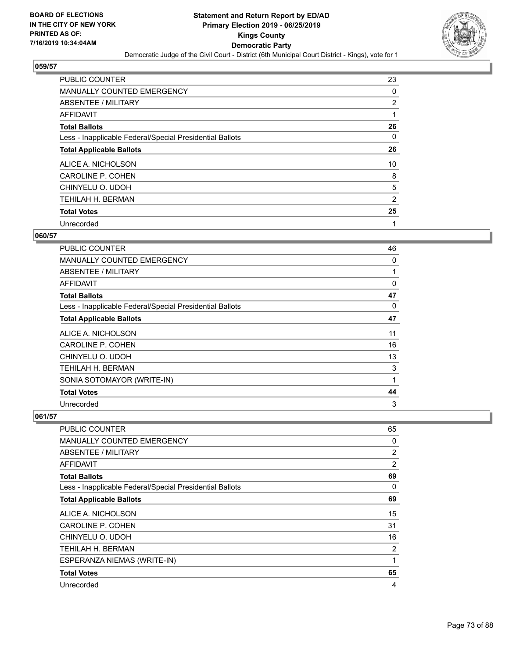

| <b>PUBLIC COUNTER</b>                                    | 23 |
|----------------------------------------------------------|----|
| <b>MANUALLY COUNTED EMERGENCY</b>                        | 0  |
| ABSENTEE / MILITARY                                      | 2  |
| AFFIDAVIT                                                |    |
| <b>Total Ballots</b>                                     | 26 |
| Less - Inapplicable Federal/Special Presidential Ballots | 0  |
| <b>Total Applicable Ballots</b>                          | 26 |
| ALICE A. NICHOLSON                                       | 10 |
| <b>CAROLINE P. COHEN</b>                                 | 8  |
| CHINYELU O. UDOH                                         | 5  |
| TEHILAH H. BERMAN                                        | 2  |
| <b>Total Votes</b>                                       | 25 |
| Unrecorded                                               | 1  |

#### **060/57**

| <b>PUBLIC COUNTER</b>                                    | 46       |
|----------------------------------------------------------|----------|
| <b>MANUALLY COUNTED EMERGENCY</b>                        | 0        |
| ABSENTEE / MILITARY                                      | 1        |
| <b>AFFIDAVIT</b>                                         | 0        |
| <b>Total Ballots</b>                                     | 47       |
| Less - Inapplicable Federal/Special Presidential Ballots | $\Omega$ |
| <b>Total Applicable Ballots</b>                          | 47       |
| ALICE A. NICHOLSON                                       | 11       |
| <b>CAROLINE P. COHEN</b>                                 | 16       |
| CHINYELU O. UDOH                                         | 13       |
| TEHILAH H. BERMAN                                        | 3        |
| SONIA SOTOMAYOR (WRITE-IN)                               | 1        |
| <b>Total Votes</b>                                       | 44       |
| Unrecorded                                               | 3        |

| <b>PUBLIC COUNTER</b>                                    | 65 |
|----------------------------------------------------------|----|
| MANUALLY COUNTED EMERGENCY                               | 0  |
| ABSENTEE / MILITARY                                      | 2  |
| AFFIDAVIT                                                | 2  |
| <b>Total Ballots</b>                                     | 69 |
| Less - Inapplicable Federal/Special Presidential Ballots | 0  |
| <b>Total Applicable Ballots</b>                          | 69 |
| ALICE A. NICHOLSON                                       | 15 |
| CAROLINE P. COHEN                                        | 31 |
| CHINYELU O. UDOH                                         | 16 |
| TEHILAH H. BERMAN                                        | 2  |
| ESPERANZA NIEMAS (WRITE-IN)                              | 1  |
| <b>Total Votes</b>                                       | 65 |
| Unrecorded                                               | 4  |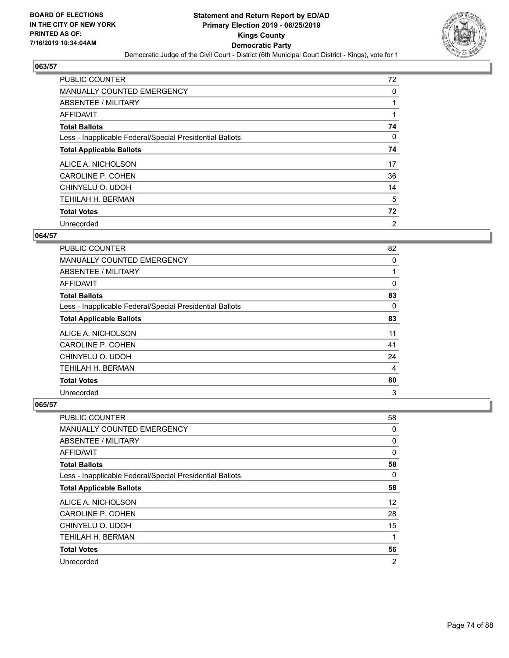

| <b>PUBLIC COUNTER</b>                                    | 72             |
|----------------------------------------------------------|----------------|
| <b>MANUALLY COUNTED EMERGENCY</b>                        | 0              |
| ABSENTEE / MILITARY                                      |                |
| AFFIDAVIT                                                |                |
| <b>Total Ballots</b>                                     | 74             |
| Less - Inapplicable Federal/Special Presidential Ballots | $\Omega$       |
| <b>Total Applicable Ballots</b>                          | 74             |
| ALICE A. NICHOLSON                                       | 17             |
| CAROLINE P. COHEN                                        | 36             |
| CHINYELU O. UDOH                                         | 14             |
| TEHILAH H. BERMAN                                        | 5              |
| <b>Total Votes</b>                                       | 72             |
| Unrecorded                                               | $\overline{2}$ |

### **064/57**

| <b>PUBLIC COUNTER</b>                                    | 82 |
|----------------------------------------------------------|----|
| MANUALLY COUNTED EMERGENCY                               | 0  |
| ABSENTEE / MILITARY                                      |    |
| <b>AFFIDAVIT</b>                                         | 0  |
| <b>Total Ballots</b>                                     | 83 |
| Less - Inapplicable Federal/Special Presidential Ballots | 0  |
| <b>Total Applicable Ballots</b>                          | 83 |
| ALICE A. NICHOLSON                                       | 11 |
| <b>CAROLINE P. COHEN</b>                                 | 41 |
| CHINYELU O. UDOH                                         | 24 |
| TEHILAH H. BERMAN                                        | 4  |
| <b>Total Votes</b>                                       | 80 |
| Unrecorded                                               | 3  |

| <b>PUBLIC COUNTER</b>                                    | 58                |
|----------------------------------------------------------|-------------------|
| <b>MANUALLY COUNTED EMERGENCY</b>                        | 0                 |
| ABSENTEE / MILITARY                                      | 0                 |
| AFFIDAVIT                                                | 0                 |
| <b>Total Ballots</b>                                     | 58                |
| Less - Inapplicable Federal/Special Presidential Ballots | 0                 |
| <b>Total Applicable Ballots</b>                          | 58                |
| ALICE A. NICHOLSON                                       | $12 \overline{ }$ |
| CAROLINE P. COHEN                                        | 28                |
| CHINYELU O. UDOH                                         | 15                |
| <b>TEHILAH H. BERMAN</b>                                 | 1                 |
| <b>Total Votes</b>                                       | 56                |
| Unrecorded                                               | $\overline{2}$    |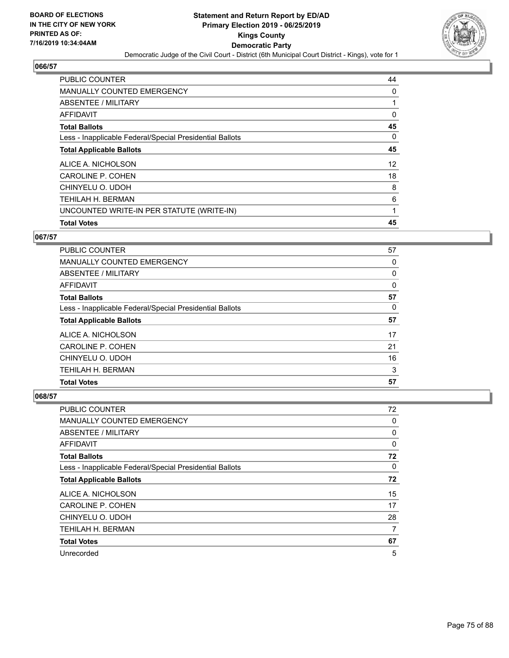

| <b>PUBLIC COUNTER</b>                                    | 44 |
|----------------------------------------------------------|----|
| MANUALLY COUNTED EMERGENCY                               | 0  |
| ABSENTEE / MILITARY                                      | 1  |
| <b>AFFIDAVIT</b>                                         | 0  |
| <b>Total Ballots</b>                                     | 45 |
| Less - Inapplicable Federal/Special Presidential Ballots | 0  |
| <b>Total Applicable Ballots</b>                          | 45 |
| ALICE A. NICHOLSON                                       | 12 |
| CAROLINE P. COHEN                                        | 18 |
| CHINYELU O. UDOH                                         | 8  |
| TEHILAH H. BERMAN                                        | 6  |
| UNCOUNTED WRITE-IN PER STATUTE (WRITE-IN)                | 1  |
| <b>Total Votes</b>                                       | 45 |

# **067/57**

| <b>PUBLIC COUNTER</b>                                    | 57       |
|----------------------------------------------------------|----------|
| <b>MANUALLY COUNTED EMERGENCY</b>                        | 0        |
| ABSENTEE / MILITARY                                      | $\Omega$ |
| AFFIDAVIT                                                | 0        |
| <b>Total Ballots</b>                                     | 57       |
| Less - Inapplicable Federal/Special Presidential Ballots | 0        |
| <b>Total Applicable Ballots</b>                          | 57       |
| ALICE A. NICHOLSON                                       | 17       |
| <b>CAROLINE P. COHEN</b>                                 | 21       |
| CHINYELU O. UDOH                                         | 16       |
| TEHILAH H. BERMAN                                        | 3        |
| <b>Total Votes</b>                                       | 57       |

| PUBLIC COUNTER                                           | 72 |
|----------------------------------------------------------|----|
| MANUALLY COUNTED EMERGENCY                               | 0  |
| ABSENTEE / MILITARY                                      | 0  |
| AFFIDAVIT                                                | 0  |
| <b>Total Ballots</b>                                     | 72 |
| Less - Inapplicable Federal/Special Presidential Ballots | 0  |
| <b>Total Applicable Ballots</b>                          | 72 |
| ALICE A. NICHOLSON                                       | 15 |
| CAROLINE P. COHEN                                        | 17 |
| CHINYELU O. UDOH                                         | 28 |
| <b>TEHILAH H. BERMAN</b>                                 | 7  |
| <b>Total Votes</b>                                       | 67 |
| Unrecorded                                               | 5  |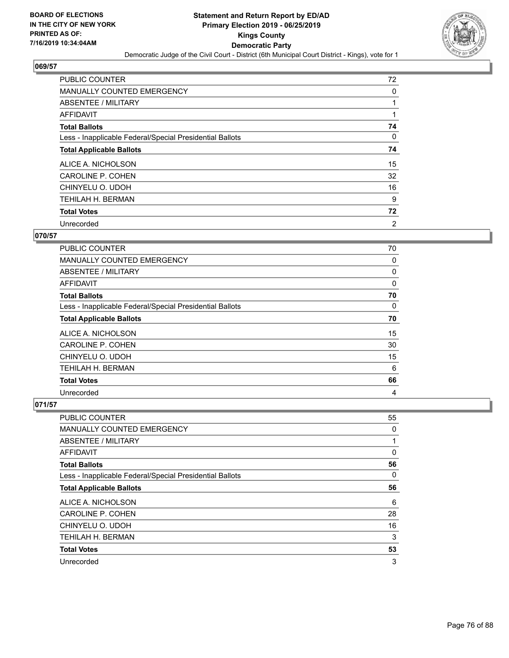

| <b>PUBLIC COUNTER</b>                                    | 72             |
|----------------------------------------------------------|----------------|
| <b>MANUALLY COUNTED EMERGENCY</b>                        | 0              |
| ABSENTEE / MILITARY                                      |                |
| <b>AFFIDAVIT</b>                                         |                |
| <b>Total Ballots</b>                                     | 74             |
| Less - Inapplicable Federal/Special Presidential Ballots | 0              |
| <b>Total Applicable Ballots</b>                          | 74             |
| ALICE A. NICHOLSON                                       | 15             |
| CAROLINE P. COHEN                                        | 32             |
| CHINYELU O. UDOH                                         | 16             |
| <b>TEHILAH H. BERMAN</b>                                 | 9              |
| <b>Total Votes</b>                                       | 72             |
| Unrecorded                                               | $\overline{2}$ |

# **070/57**

| <b>PUBLIC COUNTER</b>                                    | 70       |
|----------------------------------------------------------|----------|
| <b>MANUALLY COUNTED EMERGENCY</b>                        | 0        |
| ABSENTEE / MILITARY                                      | 0        |
| <b>AFFIDAVIT</b>                                         | 0        |
| <b>Total Ballots</b>                                     | 70       |
| Less - Inapplicable Federal/Special Presidential Ballots | $\Omega$ |
| <b>Total Applicable Ballots</b>                          | 70       |
| ALICE A. NICHOLSON                                       | 15       |
| <b>CAROLINE P. COHEN</b>                                 | 30       |
| CHINYELU O. UDOH                                         | 15       |
| TEHILAH H. BERMAN                                        | 6        |
| <b>Total Votes</b>                                       | 66       |
| Unrecorded                                               | 4        |

| <b>PUBLIC COUNTER</b>                                    | 55 |
|----------------------------------------------------------|----|
| MANUALLY COUNTED EMERGENCY                               | 0  |
| ABSENTEE / MILITARY                                      | 1  |
| AFFIDAVIT                                                | 0  |
| <b>Total Ballots</b>                                     | 56 |
| Less - Inapplicable Federal/Special Presidential Ballots | 0  |
| <b>Total Applicable Ballots</b>                          | 56 |
| ALICE A. NICHOLSON                                       | 6  |
| CAROLINE P. COHEN                                        | 28 |
| CHINYELU O. UDOH                                         | 16 |
| <b>TEHILAH H. BERMAN</b>                                 | 3  |
| <b>Total Votes</b>                                       | 53 |
| Unrecorded                                               | 3  |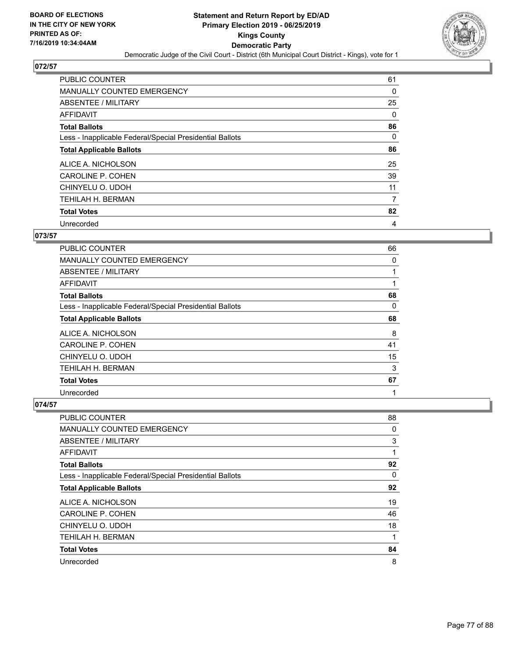

| <b>PUBLIC COUNTER</b>                                    | 61       |
|----------------------------------------------------------|----------|
| <b>MANUALLY COUNTED EMERGENCY</b>                        | 0        |
| ABSENTEE / MILITARY                                      | 25       |
| <b>AFFIDAVIT</b>                                         | $\Omega$ |
| <b>Total Ballots</b>                                     | 86       |
| Less - Inapplicable Federal/Special Presidential Ballots | $\Omega$ |
| <b>Total Applicable Ballots</b>                          | 86       |
| ALICE A. NICHOLSON                                       | 25       |
| CAROLINE P. COHEN                                        | 39       |
| CHINYELU O. UDOH                                         | 11       |
| TEHILAH H. BERMAN                                        | 7        |
| <b>Total Votes</b>                                       | 82       |
| Unrecorded                                               | 4        |

# **073/57**

| PUBLIC COUNTER                                           | 66 |
|----------------------------------------------------------|----|
| MANUALLY COUNTED EMERGENCY                               | 0  |
| ABSENTEE / MILITARY                                      | 1  |
| <b>AFFIDAVIT</b>                                         |    |
| <b>Total Ballots</b>                                     | 68 |
| Less - Inapplicable Federal/Special Presidential Ballots | 0  |
| <b>Total Applicable Ballots</b>                          | 68 |
| ALICE A. NICHOLSON                                       | 8  |
| CAROLINE P. COHEN                                        | 41 |
| CHINYELU O. UDOH                                         | 15 |
| TEHILAH H. BERMAN                                        | 3  |
| <b>Total Votes</b>                                       | 67 |
| Unrecorded                                               | 1  |

| <b>PUBLIC COUNTER</b>                                    | 88 |
|----------------------------------------------------------|----|
| MANUALLY COUNTED EMERGENCY                               | 0  |
| ABSENTEE / MILITARY                                      | 3  |
| AFFIDAVIT                                                | 1  |
| <b>Total Ballots</b>                                     | 92 |
| Less - Inapplicable Federal/Special Presidential Ballots | 0  |
| <b>Total Applicable Ballots</b>                          | 92 |
| ALICE A. NICHOLSON                                       | 19 |
| CAROLINE P. COHEN                                        | 46 |
| CHINYELU O. UDOH                                         | 18 |
| <b>TEHILAH H. BERMAN</b>                                 | 1  |
| <b>Total Votes</b>                                       | 84 |
| Unrecorded                                               | 8  |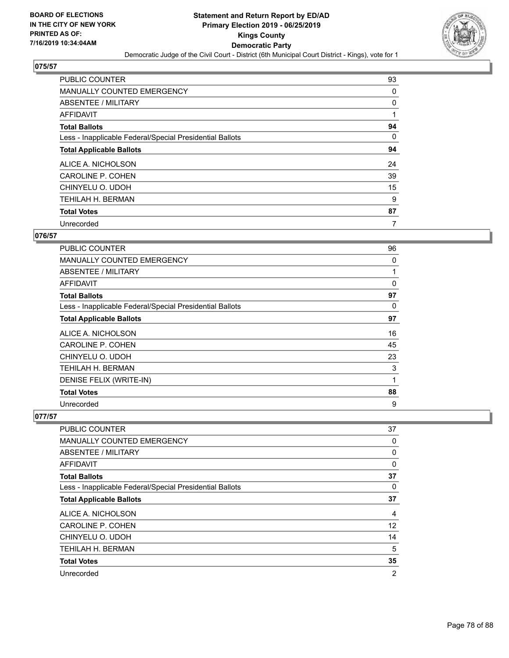

| <b>PUBLIC COUNTER</b>                                    | 93       |
|----------------------------------------------------------|----------|
| <b>MANUALLY COUNTED EMERGENCY</b>                        | 0        |
| ABSENTEE / MILITARY                                      | 0        |
| <b>AFFIDAVIT</b>                                         |          |
| <b>Total Ballots</b>                                     | 94       |
| Less - Inapplicable Federal/Special Presidential Ballots | $\Omega$ |
| <b>Total Applicable Ballots</b>                          | 94       |
| ALICE A. NICHOLSON                                       | 24       |
| CAROLINE P. COHEN                                        | 39       |
| CHINYELU O. UDOH                                         | 15       |
| TEHILAH H. BERMAN                                        | 9        |
| <b>Total Votes</b>                                       | 87       |
| Unrecorded                                               | 7        |

# **076/57**

| <b>PUBLIC COUNTER</b>                                    | 96           |
|----------------------------------------------------------|--------------|
| <b>MANUALLY COUNTED EMERGENCY</b>                        | 0            |
| ABSENTEE / MILITARY                                      | 1            |
| AFFIDAVIT                                                | $\mathbf{0}$ |
| <b>Total Ballots</b>                                     | 97           |
| Less - Inapplicable Federal/Special Presidential Ballots | 0            |
| <b>Total Applicable Ballots</b>                          | 97           |
| ALICE A. NICHOLSON                                       | 16           |
| <b>CAROLINE P. COHEN</b>                                 | 45           |
| CHINYELU O. UDOH                                         | 23           |
| TEHILAH H. BERMAN                                        | 3            |
| DENISE FELIX (WRITE-IN)                                  | 1            |
| <b>Total Votes</b>                                       | 88           |
| Unrecorded                                               | 9            |

| <b>PUBLIC COUNTER</b>                                    | 37 |
|----------------------------------------------------------|----|
| MANUALLY COUNTED EMERGENCY                               | 0  |
| ABSENTEE / MILITARY                                      | 0  |
| AFFIDAVIT                                                | 0  |
| <b>Total Ballots</b>                                     | 37 |
| Less - Inapplicable Federal/Special Presidential Ballots | 0  |
| <b>Total Applicable Ballots</b>                          | 37 |
| ALICE A. NICHOLSON                                       | 4  |
| CAROLINE P. COHEN                                        | 12 |
| CHINYELU O. UDOH                                         | 14 |
| TEHILAH H. BERMAN                                        | 5  |
| <b>Total Votes</b>                                       | 35 |
| Unrecorded                                               | 2  |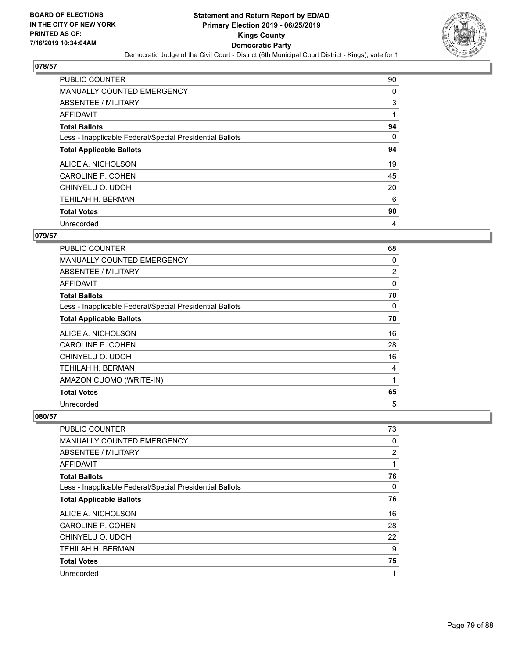

| <b>PUBLIC COUNTER</b>                                    | 90 |
|----------------------------------------------------------|----|
| MANUALLY COUNTED EMERGENCY                               | 0  |
| ABSENTEE / MILITARY                                      | 3  |
| AFFIDAVIT                                                | 1  |
| <b>Total Ballots</b>                                     | 94 |
| Less - Inapplicable Federal/Special Presidential Ballots | 0  |
| <b>Total Applicable Ballots</b>                          | 94 |
| ALICE A. NICHOLSON                                       | 19 |
| <b>CAROLINE P. COHEN</b>                                 | 45 |
| CHINYELU O. UDOH                                         | 20 |
| TEHILAH H. BERMAN                                        | 6  |
| <b>Total Votes</b>                                       | 90 |
| Unrecorded                                               | 4  |

### **079/57**

| PUBLIC COUNTER                                           | 68       |
|----------------------------------------------------------|----------|
| <b>MANUALLY COUNTED EMERGENCY</b>                        | 0        |
| ABSENTEE / MILITARY                                      | 2        |
| AFFIDAVIT                                                | $\Omega$ |
| <b>Total Ballots</b>                                     | 70       |
| Less - Inapplicable Federal/Special Presidential Ballots | 0        |
| <b>Total Applicable Ballots</b>                          | 70       |
| ALICE A. NICHOLSON                                       | 16       |
| <b>CAROLINE P. COHEN</b>                                 | 28       |
| CHINYELU O. UDOH                                         | 16       |
| TEHILAH H. BERMAN                                        | 4        |
| AMAZON CUOMO (WRITE-IN)                                  | 1        |
| <b>Total Votes</b>                                       | 65       |
| Unrecorded                                               | 5        |

| PUBLIC COUNTER                                           | 73             |
|----------------------------------------------------------|----------------|
| MANUALLY COUNTED EMERGENCY                               | 0              |
| ABSENTEE / MILITARY                                      | $\overline{2}$ |
| AFFIDAVIT                                                |                |
| <b>Total Ballots</b>                                     | 76             |
| Less - Inapplicable Federal/Special Presidential Ballots | $\Omega$       |
| <b>Total Applicable Ballots</b>                          | 76             |
| ALICE A. NICHOLSON                                       | 16             |
| CAROLINE P. COHEN                                        | 28             |
| CHINYELU O. UDOH                                         | 22             |
| <b>TEHILAH H. BERMAN</b>                                 | 9              |
| <b>Total Votes</b>                                       | 75             |
| Unrecorded                                               | 1              |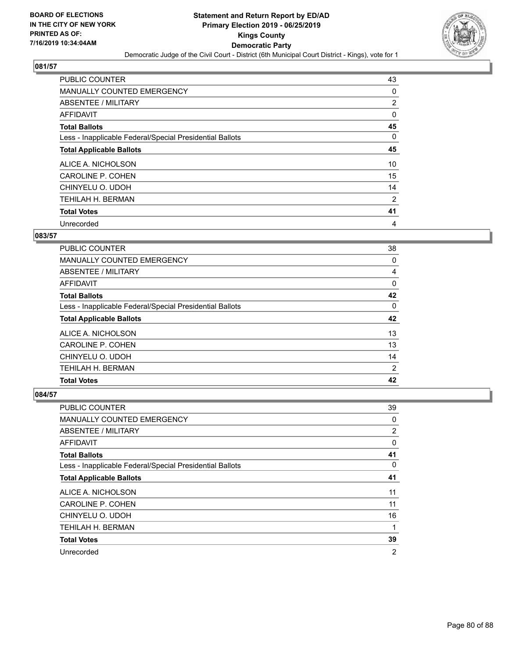

| <b>PUBLIC COUNTER</b>                                    | 43             |
|----------------------------------------------------------|----------------|
| <b>MANUALLY COUNTED EMERGENCY</b>                        | 0              |
| ABSENTEE / MILITARY                                      | $\overline{2}$ |
| AFFIDAVIT                                                | 0              |
| <b>Total Ballots</b>                                     | 45             |
| Less - Inapplicable Federal/Special Presidential Ballots | $\Omega$       |
| <b>Total Applicable Ballots</b>                          | 45             |
| ALICE A. NICHOLSON                                       | 10             |
| CAROLINE P. COHEN                                        | 15             |
| CHINYELU O. UDOH                                         | 14             |
| TEHILAH H. BERMAN                                        | 2              |
| <b>Total Votes</b>                                       | 41             |
| Unrecorded                                               | 4              |

### **083/57**

| <b>PUBLIC COUNTER</b>                                    | 38 |
|----------------------------------------------------------|----|
| <b>MANUALLY COUNTED EMERGENCY</b>                        | 0  |
| ABSENTEE / MILITARY                                      | 4  |
| AFFIDAVIT                                                | 0  |
| <b>Total Ballots</b>                                     | 42 |
| Less - Inapplicable Federal/Special Presidential Ballots | 0  |
| <b>Total Applicable Ballots</b>                          | 42 |
| ALICE A. NICHOLSON                                       | 13 |
| CAROLINE P. COHEN                                        | 13 |
| CHINYELU O. UDOH                                         | 14 |
| <b>TEHILAH H. BERMAN</b>                                 | 2  |
| <b>Total Votes</b>                                       | 42 |

| PUBLIC COUNTER                                           | 39             |
|----------------------------------------------------------|----------------|
| <b>MANUALLY COUNTED EMERGENCY</b>                        | 0              |
| ABSENTEE / MILITARY                                      | 2              |
| AFFIDAVIT                                                | 0              |
| <b>Total Ballots</b>                                     | 41             |
| Less - Inapplicable Federal/Special Presidential Ballots | 0              |
| <b>Total Applicable Ballots</b>                          | 41             |
| ALICE A. NICHOLSON                                       | 11             |
| CAROLINE P. COHEN                                        | 11             |
| CHINYELU O. UDOH                                         | 16             |
| TEHILAH H. BERMAN                                        | 1              |
| <b>Total Votes</b>                                       | 39             |
| Unrecorded                                               | $\overline{2}$ |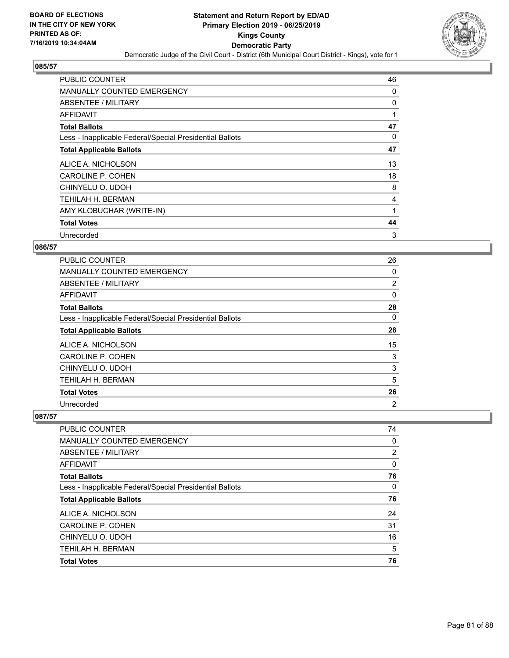

| <b>PUBLIC COUNTER</b>                                    | 46 |
|----------------------------------------------------------|----|
| <b>MANUALLY COUNTED EMERGENCY</b>                        | 0  |
| ABSENTEE / MILITARY                                      | 0  |
| AFFIDAVIT                                                | 1  |
| <b>Total Ballots</b>                                     | 47 |
| Less - Inapplicable Federal/Special Presidential Ballots | 0  |
| <b>Total Applicable Ballots</b>                          | 47 |
| ALICE A. NICHOLSON                                       | 13 |
| <b>CAROLINE P. COHEN</b>                                 | 18 |
| CHINYELU O. UDOH                                         | 8  |
| TEHILAH H. BERMAN                                        | 4  |
| AMY KLOBUCHAR (WRITE-IN)                                 |    |
| <b>Total Votes</b>                                       | 44 |
| Unrecorded                                               | 3  |

## **086/57**

| PUBLIC COUNTER                                           | 26             |
|----------------------------------------------------------|----------------|
| <b>MANUALLY COUNTED EMERGENCY</b>                        | 0              |
| ABSENTEE / MILITARY                                      | $\overline{2}$ |
| AFFIDAVIT                                                | 0              |
| <b>Total Ballots</b>                                     | 28             |
| Less - Inapplicable Federal/Special Presidential Ballots | $\Omega$       |
| <b>Total Applicable Ballots</b>                          | 28             |
| ALICE A. NICHOLSON                                       | 15             |
| CAROLINE P. COHEN                                        | 3              |
| CHINYELU O. UDOH                                         | 3              |
| TEHILAH H. BERMAN                                        | 5              |
| <b>Total Votes</b>                                       | 26             |
| Unrecorded                                               | $\overline{2}$ |

| PUBLIC COUNTER                                           | 74       |
|----------------------------------------------------------|----------|
| MANUALLY COUNTED EMERGENCY                               | $\Omega$ |
| ABSENTEE / MILITARY                                      | 2        |
| AFFIDAVIT                                                | $\Omega$ |
| <b>Total Ballots</b>                                     | 76       |
| Less - Inapplicable Federal/Special Presidential Ballots | $\Omega$ |
| <b>Total Applicable Ballots</b>                          | 76       |
| ALICE A. NICHOLSON                                       | 24       |
| CAROLINE P. COHEN                                        | 31       |
| CHINYELU O. UDOH                                         | 16       |
| <b>TEHILAH H. BERMAN</b>                                 | 5        |
| <b>Total Votes</b>                                       | 76       |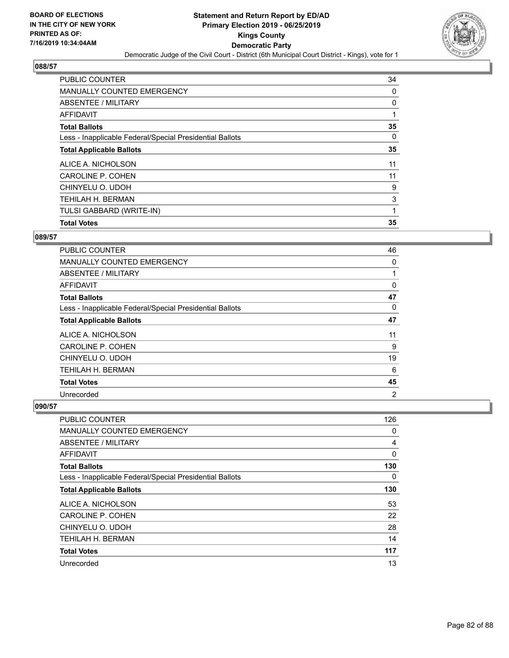

| <b>Total Votes</b>                                       | 35 |
|----------------------------------------------------------|----|
| TULSI GABBARD (WRITE-IN)                                 |    |
| <b>TEHILAH H. BERMAN</b>                                 | 3  |
| CHINYELU O. UDOH                                         | 9  |
| CAROLINE P. COHEN                                        | 11 |
| ALICE A. NICHOLSON                                       | 11 |
| <b>Total Applicable Ballots</b>                          | 35 |
| Less - Inapplicable Federal/Special Presidential Ballots | 0  |
| <b>Total Ballots</b>                                     | 35 |
| <b>AFFIDAVIT</b>                                         |    |
| ABSENTEE / MILITARY                                      | 0  |
| MANUALLY COUNTED EMERGENCY                               | 0  |
| <b>PUBLIC COUNTER</b>                                    | 34 |

### **089/57**

| <b>PUBLIC COUNTER</b>                                    | 46             |
|----------------------------------------------------------|----------------|
| <b>MANUALLY COUNTED EMERGENCY</b>                        | 0              |
| ABSENTEE / MILITARY                                      |                |
| AFFIDAVIT                                                | 0              |
| <b>Total Ballots</b>                                     | 47             |
| Less - Inapplicable Federal/Special Presidential Ballots | 0              |
| <b>Total Applicable Ballots</b>                          | 47             |
| ALICE A. NICHOLSON                                       | 11             |
| CAROLINE P. COHEN                                        | 9              |
| CHINYELU O. UDOH                                         | 19             |
| <b>TEHILAH H. BERMAN</b>                                 | 6              |
| <b>Total Votes</b>                                       | 45             |
| Unrecorded                                               | $\overline{2}$ |

| <b>PUBLIC COUNTER</b>                                    | 126 |
|----------------------------------------------------------|-----|
| <b>MANUALLY COUNTED EMERGENCY</b>                        | 0   |
| ABSENTEE / MILITARY                                      | 4   |
| AFFIDAVIT                                                | 0   |
| <b>Total Ballots</b>                                     | 130 |
| Less - Inapplicable Federal/Special Presidential Ballots | 0   |
| <b>Total Applicable Ballots</b>                          | 130 |
| ALICE A. NICHOLSON                                       | 53  |
| CAROLINE P. COHEN                                        | 22  |
| CHINYELU O. UDOH                                         | 28  |
| TEHILAH H. BERMAN                                        | 14  |
| <b>Total Votes</b>                                       | 117 |
| Unrecorded                                               | 13  |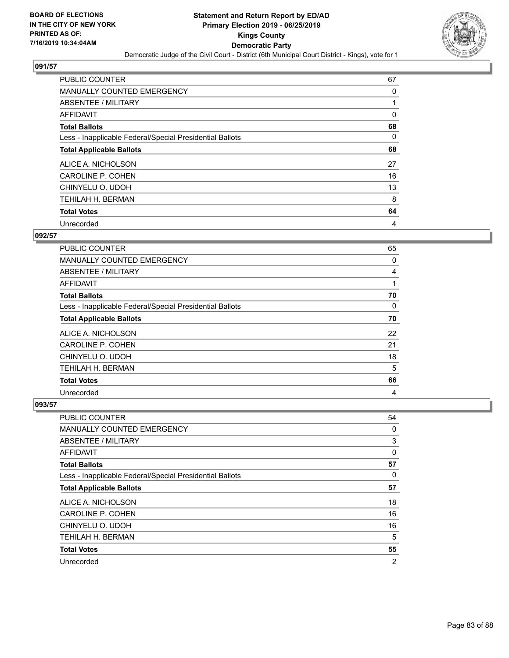

| <b>PUBLIC COUNTER</b>                                    | 67       |
|----------------------------------------------------------|----------|
| <b>MANUALLY COUNTED EMERGENCY</b>                        | 0        |
| ABSENTEE / MILITARY                                      |          |
| AFFIDAVIT                                                | 0        |
| <b>Total Ballots</b>                                     | 68       |
| Less - Inapplicable Federal/Special Presidential Ballots | $\Omega$ |
| <b>Total Applicable Ballots</b>                          | 68       |
| ALICE A. NICHOLSON                                       | 27       |
| CAROLINE P. COHEN                                        | 16       |
| CHINYELU O. UDOH                                         | 13       |
| TEHILAH H. BERMAN                                        | 8        |
| <b>Total Votes</b>                                       | 64       |
| Unrecorded                                               | 4        |

### **092/57**

| <b>PUBLIC COUNTER</b>                                    | 65 |
|----------------------------------------------------------|----|
| MANUALLY COUNTED EMERGENCY                               | 0  |
| ABSENTEE / MILITARY                                      | 4  |
| <b>AFFIDAVIT</b>                                         |    |
| <b>Total Ballots</b>                                     | 70 |
| Less - Inapplicable Federal/Special Presidential Ballots | 0  |
| <b>Total Applicable Ballots</b>                          | 70 |
| ALICE A. NICHOLSON                                       | 22 |
| CAROLINE P. COHEN                                        | 21 |
| CHINYELU O. UDOH                                         | 18 |
| TEHILAH H. BERMAN                                        | 5  |
| <b>Total Votes</b>                                       | 66 |
| Unrecorded                                               | 4  |

| <b>PUBLIC COUNTER</b>                                    | 54             |
|----------------------------------------------------------|----------------|
| <b>MANUALLY COUNTED EMERGENCY</b>                        | 0              |
| ABSENTEE / MILITARY                                      | 3              |
| AFFIDAVIT                                                | 0              |
| <b>Total Ballots</b>                                     | 57             |
| Less - Inapplicable Federal/Special Presidential Ballots | 0              |
| <b>Total Applicable Ballots</b>                          | 57             |
| ALICE A. NICHOLSON                                       | 18             |
| CAROLINE P. COHEN                                        | 16             |
| CHINYELU O. UDOH                                         | 16             |
| TEHILAH H. BERMAN                                        | 5              |
| <b>Total Votes</b>                                       | 55             |
| Unrecorded                                               | $\overline{2}$ |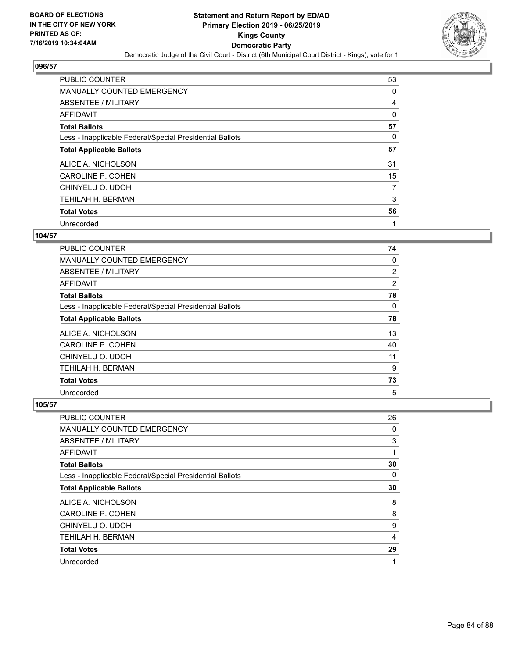

| <b>PUBLIC COUNTER</b>                                    | 53 |
|----------------------------------------------------------|----|
| MANUALLY COUNTED EMERGENCY                               | 0  |
| ABSENTEE / MILITARY                                      | 4  |
| AFFIDAVIT                                                | 0  |
| <b>Total Ballots</b>                                     | 57 |
| Less - Inapplicable Federal/Special Presidential Ballots | 0  |
| <b>Total Applicable Ballots</b>                          | 57 |
| ALICE A. NICHOLSON                                       | 31 |
| CAROLINE P. COHEN                                        | 15 |
| CHINYELU O. UDOH                                         | 7  |
| TEHILAH H. BERMAN                                        | 3  |
| <b>Total Votes</b>                                       | 56 |
| Unrecorded                                               | 1  |

#### **104/57**

| PUBLIC COUNTER                                           | 74       |
|----------------------------------------------------------|----------|
| <b>MANUALLY COUNTED EMERGENCY</b>                        | $\Omega$ |
| ABSENTEE / MILITARY                                      | 2        |
| <b>AFFIDAVIT</b>                                         | 2        |
| <b>Total Ballots</b>                                     | 78       |
| Less - Inapplicable Federal/Special Presidential Ballots | 0        |
| <b>Total Applicable Ballots</b>                          | 78       |
| ALICE A. NICHOLSON                                       | 13       |
| CAROLINE P. COHEN                                        | 40       |
| CHINYELU O. UDOH                                         | 11       |
| TEHILAH H. BERMAN                                        | 9        |
| <b>Total Votes</b>                                       | 73       |
| Unrecorded                                               | 5        |

| <b>PUBLIC COUNTER</b>                                    | 26 |
|----------------------------------------------------------|----|
| MANUALLY COUNTED EMERGENCY                               | 0  |
| ABSENTEE / MILITARY                                      | 3  |
| AFFIDAVIT                                                | 1  |
| <b>Total Ballots</b>                                     | 30 |
| Less - Inapplicable Federal/Special Presidential Ballots | 0  |
| <b>Total Applicable Ballots</b>                          | 30 |
| ALICE A. NICHOLSON                                       | 8  |
| CAROLINE P. COHEN                                        | 8  |
| CHINYELU O. UDOH                                         | 9  |
| <b>TEHILAH H. BERMAN</b>                                 | 4  |
| <b>Total Votes</b>                                       | 29 |
| Unrecorded                                               | 1  |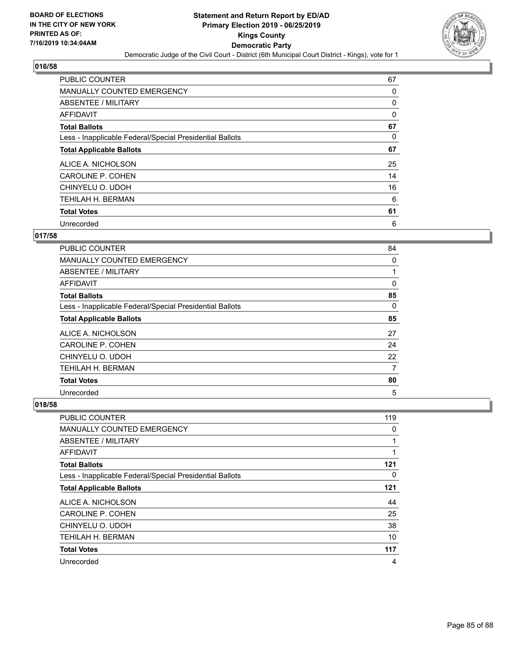

| <b>PUBLIC COUNTER</b>                                    | 67 |
|----------------------------------------------------------|----|
| <b>MANUALLY COUNTED EMERGENCY</b>                        | 0  |
| ABSENTEE / MILITARY                                      | 0  |
| <b>AFFIDAVIT</b>                                         | 0  |
| <b>Total Ballots</b>                                     | 67 |
| Less - Inapplicable Federal/Special Presidential Ballots | 0  |
| <b>Total Applicable Ballots</b>                          | 67 |
| ALICE A. NICHOLSON                                       | 25 |
| CAROLINE P. COHEN                                        | 14 |
| CHINYELU O. UDOH                                         | 16 |
| TEHILAH H. BERMAN                                        | 6  |
| <b>Total Votes</b>                                       | 61 |
| Unrecorded                                               | 6  |

# **017/58**

| PUBLIC COUNTER                                           | 84       |
|----------------------------------------------------------|----------|
| MANUALLY COUNTED EMERGENCY                               | 0        |
| ABSENTEE / MILITARY                                      | 1        |
| AFFIDAVIT                                                | 0        |
| <b>Total Ballots</b>                                     | 85       |
| Less - Inapplicable Federal/Special Presidential Ballots | $\Omega$ |
| <b>Total Applicable Ballots</b>                          | 85       |
| ALICE A. NICHOLSON                                       | 27       |
| CAROLINE P. COHEN                                        | 24       |
| CHINYELU O. UDOH                                         | 22       |
| <b>TEHILAH H. BERMAN</b>                                 | 7        |
| <b>Total Votes</b>                                       | 80       |
| Unrecorded                                               | 5        |

| <b>PUBLIC COUNTER</b>                                    | 119 |
|----------------------------------------------------------|-----|
| <b>MANUALLY COUNTED EMERGENCY</b>                        | 0   |
| ABSENTEE / MILITARY                                      |     |
| AFFIDAVIT                                                |     |
| <b>Total Ballots</b>                                     | 121 |
| Less - Inapplicable Federal/Special Presidential Ballots | 0   |
| <b>Total Applicable Ballots</b>                          | 121 |
| ALICE A. NICHOLSON                                       | 44  |
| <b>CAROLINE P. COHEN</b>                                 | 25  |
| CHINYELU O. UDOH                                         | 38  |
| <b>TEHILAH H. BERMAN</b>                                 | 10  |
| <b>Total Votes</b>                                       | 117 |
| Unrecorded                                               | 4   |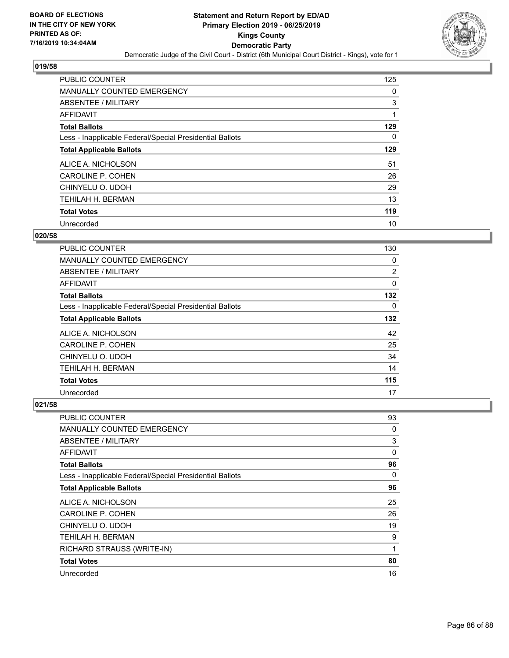

| <b>PUBLIC COUNTER</b>                                    | 125 |
|----------------------------------------------------------|-----|
| <b>MANUALLY COUNTED EMERGENCY</b>                        | 0   |
| ABSENTEE / MILITARY                                      | 3   |
| AFFIDAVIT                                                |     |
| <b>Total Ballots</b>                                     | 129 |
| Less - Inapplicable Federal/Special Presidential Ballots | 0   |
| <b>Total Applicable Ballots</b>                          | 129 |
| ALICE A. NICHOLSON                                       | 51  |
| <b>CAROLINE P. COHEN</b>                                 | 26  |
| CHINYELU O. UDOH                                         | 29  |
| <b>TEHILAH H. BERMAN</b>                                 | 13  |
| <b>Total Votes</b>                                       | 119 |
| Unrecorded                                               | 10  |

### **020/58**

| PUBLIC COUNTER                                           | 130      |
|----------------------------------------------------------|----------|
| <b>MANUALLY COUNTED EMERGENCY</b>                        | 0        |
| ABSENTEE / MILITARY                                      | 2        |
| AFFIDAVIT                                                | 0        |
| <b>Total Ballots</b>                                     | 132      |
| Less - Inapplicable Federal/Special Presidential Ballots | $\Omega$ |
| <b>Total Applicable Ballots</b>                          | 132      |
| ALICE A. NICHOLSON                                       | 42       |
| <b>CAROLINE P. COHEN</b>                                 | 25       |
| CHINYELU O. UDOH                                         | 34       |
| TEHILAH H. BERMAN                                        | 14       |
| <b>Total Votes</b>                                       | 115      |
| Unrecorded                                               | 17       |

| PUBLIC COUNTER                                           | 93           |
|----------------------------------------------------------|--------------|
| MANUALLY COUNTED EMERGENCY                               | 0            |
| ABSENTEE / MILITARY                                      | 3            |
| AFFIDAVIT                                                | $\mathbf{0}$ |
| <b>Total Ballots</b>                                     | 96           |
| Less - Inapplicable Federal/Special Presidential Ballots | 0            |
| <b>Total Applicable Ballots</b>                          | 96           |
| ALICE A. NICHOLSON                                       | 25           |
| <b>CAROLINE P. COHEN</b>                                 | 26           |
| CHINYELU O. UDOH                                         | 19           |
| TEHILAH H. BERMAN                                        | 9            |
| RICHARD STRAUSS (WRITE-IN)                               | 1            |
| <b>Total Votes</b>                                       | 80           |
| Unrecorded                                               | 16           |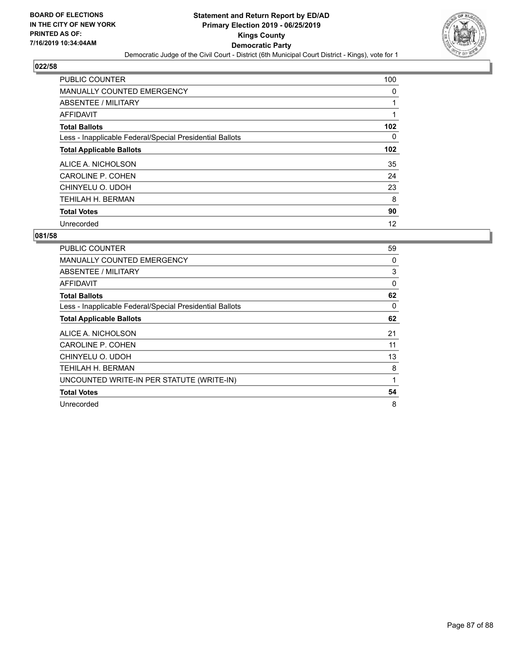

| <b>PUBLIC COUNTER</b>                                    | 100      |
|----------------------------------------------------------|----------|
| <b>MANUALLY COUNTED EMERGENCY</b>                        | 0        |
| ABSENTEE / MILITARY                                      |          |
| <b>AFFIDAVIT</b>                                         |          |
| <b>Total Ballots</b>                                     | 102      |
| Less - Inapplicable Federal/Special Presidential Ballots | $\Omega$ |
| <b>Total Applicable Ballots</b>                          | 102      |
| ALICE A. NICHOLSON                                       | 35       |
| <b>CAROLINE P. COHEN</b>                                 | 24       |
| CHINYELU O. UDOH                                         | 23       |
| TEHILAH H. BERMAN                                        | 8        |
| <b>Total Votes</b>                                       | 90       |
| Unrecorded                                               | 12       |

| <b>PUBLIC COUNTER</b>                                    | 59 |
|----------------------------------------------------------|----|
| <b>MANUALLY COUNTED EMERGENCY</b>                        | 0  |
| ABSENTEE / MILITARY                                      | 3  |
| <b>AFFIDAVIT</b>                                         | 0  |
| <b>Total Ballots</b>                                     | 62 |
| Less - Inapplicable Federal/Special Presidential Ballots | 0  |
| <b>Total Applicable Ballots</b>                          | 62 |
| ALICE A. NICHOLSON                                       | 21 |
| <b>CAROLINE P. COHEN</b>                                 | 11 |
| CHINYELU O. UDOH                                         | 13 |
| TEHILAH H. BERMAN                                        | 8  |
| UNCOUNTED WRITE-IN PER STATUTE (WRITE-IN)                | 1  |
| <b>Total Votes</b>                                       | 54 |
| Unrecorded                                               | 8  |